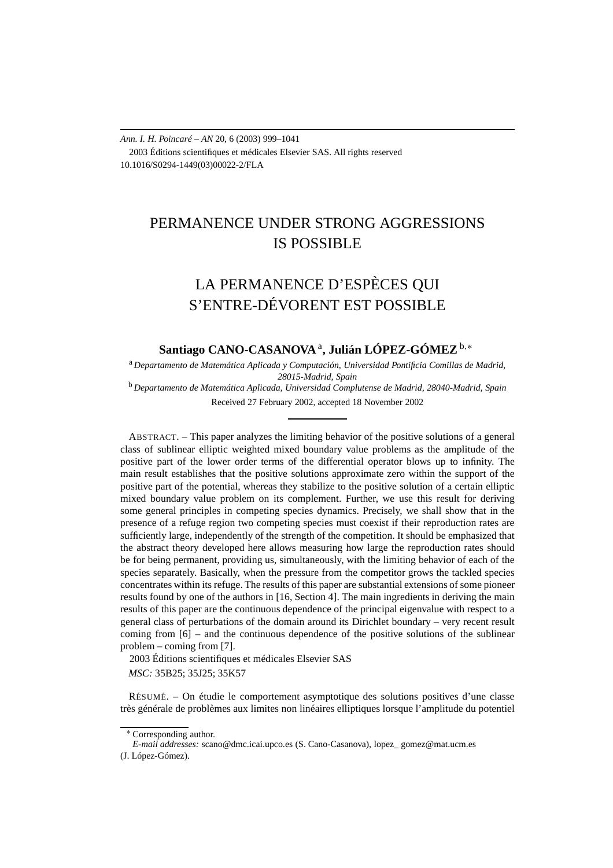*Ann. I. H. Poincaré – AN* 20, 6 (2003) 999–1041 2003 Éditions scientifiques et médicales Elsevier SAS. All rights reserved 10.1016/S0294-1449(03)00022-2/FLA

# PERMANENCE UNDER STRONG AGGRESSIONS IS POSSIBLE

# LA PERMANENCE D'ESPÈCES QUI S'ENTRE-DÉVORENT EST POSSIBLE

### **Santiago CANO-CASANOVA** <sup>a</sup> **, Julián LÓPEZ-GÓMEZ** <sup>b</sup>*,*<sup>∗</sup>

<sup>a</sup> *Departamento de Matemática Aplicada y Computación, Universidad Pontificia Comillas de Madrid, 28015-Madrid, Spain*

<sup>b</sup> *Departamento de Matemática Aplicada, Universidad Complutense de Madrid, 28040-Madrid, Spain* Received 27 February 2002, accepted 18 November 2002

ABSTRACT. – This paper analyzes the limiting behavior of the positive solutions of a general class of sublinear elliptic weighted mixed boundary value problems as the amplitude of the positive part of the lower order terms of the differential operator blows up to infinity. The main result establishes that the positive solutions approximate zero within the support of the positive part of the potential, whereas they stabilize to the positive solution of a certain elliptic mixed boundary value problem on its complement. Further, we use this result for deriving some general principles in competing species dynamics. Precisely, we shall show that in the presence of a refuge region two competing species must coexist if their reproduction rates are sufficiently large, independently of the strength of the competition. It should be emphasized that the abstract theory developed here allows measuring how large the reproduction rates should be for being permanent, providing us, simultaneously, with the limiting behavior of each of the species separately. Basically, when the pressure from the competitor grows the tackled species concentrates within its refuge. The results of this paper are substantial extensions of some pioneer results found by one of the authors in [16, Section 4]. The main ingredients in deriving the main results of this paper are the continuous dependence of the principal eigenvalue with respect to a general class of perturbations of the domain around its Dirichlet boundary – very recent result coming from [6] – and the continuous dependence of the positive solutions of the sublinear problem – coming from [7].

2003 Éditions scientifiques et médicales Elsevier SAS

*MSC:* 35B25; 35J25; 35K57

RÉSUMÉ. – On étudie le comportement asymptotique des solutions positives d'une classe très générale de problèmes aux limites non linéaires elliptiques lorsque l'amplitude du potentiel

<sup>∗</sup> Corresponding author.

*E-mail addresses:* scano@dmc.icai.upco.es (S. Cano-Casanova), lopez\_ gomez@mat.ucm.es

<sup>(</sup>J. López-Gómez).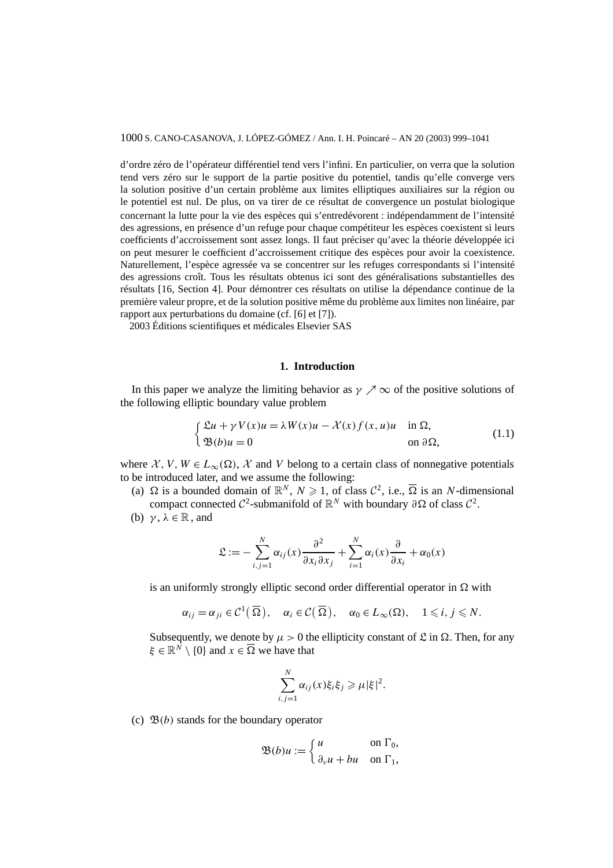1000 S. CANO-CASANOVA, J. LÓPEZ-GÓMEZ / Ann. I. H. Poincaré – AN 20 (2003) 999–1041

d'ordre zéro de l'opérateur différentiel tend vers l'infini. En particulier, on verra que la solution tend vers zéro sur le support de la partie positive du potentiel, tandis qu'elle converge vers la solution positive d'un certain problème aux limites elliptiques auxiliaires sur la région ou le potentiel est nul. De plus, on va tirer de ce résultat de convergence un postulat biologique concernant la lutte pour la vie des espèces qui s'entredévorent : indépendamment de l'intensité des agressions, en présence d'un refuge pour chaque compétiteur les espèces coexistent si leurs coefficients d'accroissement sont assez longs. Il faut préciser qu'avec la théorie développée ici on peut mesurer le coefficient d'accroissement critique des espèces pour avoir la coexistence. Naturellement, l'espèce agressée va se concentrer sur les refuges correspondants si l'intensité des agressions croît. Tous les résultats obtenus ici sont des généralisations substantielles des résultats [16, Section 4]. Pour démontrer ces résultats on utilise la dépendance continue de la première valeur propre, et de la solution positive même du problème aux limites non linéaire, par rapport aux perturbations du domaine (cf. [6] et [7]).

2003 Éditions scientifiques et médicales Elsevier SAS

### **1. Introduction**

In this paper we analyze the limiting behavior as  $\gamma \nearrow \infty$  of the positive solutions of the following elliptic boundary value problem

$$
\begin{cases} \mathfrak{L}u + \gamma V(x)u = \lambda W(x)u - \mathcal{X}(x)f(x,u)u & \text{in } \Omega, \\ \mathfrak{B}(b)u = 0 & \text{on } \partial\Omega, \end{cases}
$$
(1.1)

where  $\mathcal{X}, V, W \in L_{\infty}(\Omega)$ ,  $\mathcal{X}$  and *V* belong to a certain class of nonnegative potentials to be introduced later, and we assume the following:

- (a)  $\Omega$  is a bounded domain of  $\mathbb{R}^N$ ,  $N \ge 1$ , of class  $\mathcal{C}^2$ , i.e.,  $\overline{\Omega}$  is an *N*-dimensional compact connected  $C^2$ -submanifold of  $\mathbb{R}^N$  with boundary  $\partial \Omega$  of class  $C^2$ .
- (b) *γ* , *λ* ∈ R , and

$$
\mathfrak{L} := -\sum_{i,j=1}^N \alpha_{ij}(x) \frac{\partial^2}{\partial x_i \partial x_j} + \sum_{i=1}^N \alpha_i(x) \frac{\partial}{\partial x_i} + \alpha_0(x)
$$

is an uniformly strongly elliptic second order differential operator in  $\Omega$  with

$$
\alpha_{ij}=\alpha_{ji}\in\mathcal{C}^{1}(\overline{\Omega}),\quad \alpha_{i}\in\mathcal{C}(\overline{\Omega}),\quad \alpha_{0}\in L_{\infty}(\Omega),\quad 1\leqslant i,\,j\leqslant N.
$$

Subsequently, we denote by  $\mu > 0$  the ellipticity constant of  $\mathfrak L$  in  $\Omega$ . Then, for any  $\xi \in \mathbb{R}^N \setminus \{0\}$  and  $x \in \overline{\Omega}$  we have that

$$
\sum_{i,j=1}^N \alpha_{ij}(x)\xi_i\xi_j \geq \mu |\xi|^2.
$$

(c)  $\mathfrak{B}(b)$  stands for the boundary operator

$$
\mathfrak{B}(b)u := \begin{cases} u & \text{on } \Gamma_0, \\ \partial_\nu u + bu & \text{on } \Gamma_1, \end{cases}
$$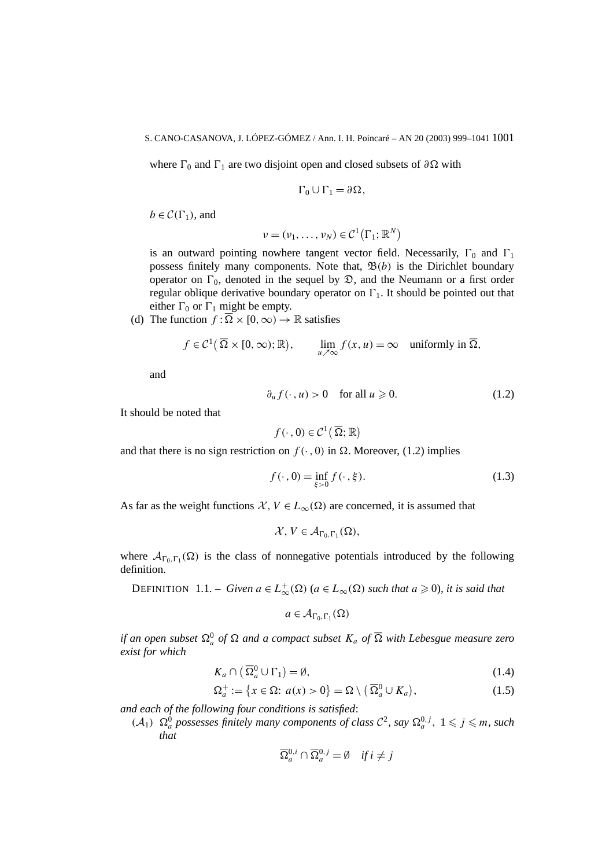where  $\Gamma_0$  and  $\Gamma_1$  are two disjoint open and closed subsets of  $\partial\Omega$  with

$$
\Gamma_0\cup\Gamma_1=\partial\Omega\;\! ,
$$

 $b \in \mathcal{C}(\Gamma_1)$ , and

$$
\nu=(\nu_1,\ldots,\nu_N)\in\mathcal{C}^1(\Gamma_1;\mathbb{R}^N)
$$

is an outward pointing nowhere tangent vector field. Necessarily,  $\Gamma_0$  and  $\Gamma_1$ possess finitely many components. Note that,  $\mathfrak{B}(b)$  is the Dirichlet boundary operator on  $\Gamma_0$ , denoted in the sequel by  $\mathfrak{D}$ , and the Neumann or a first order regular oblique derivative boundary operator on  $\Gamma_1$ . It should be pointed out that either  $\Gamma_0$  or  $\Gamma_1$  might be empty.

(d) The function  $f : \overline{\Omega} \times [0, \infty) \to \mathbb{R}$  satisfies

$$
f \in C^1(\overline{\Omega} \times [0, \infty); \mathbb{R}), \qquad \lim_{u \nearrow \infty} f(x, u) = \infty \quad \text{uniformly in } \overline{\Omega},
$$

and

$$
\partial_u f(\cdot, u) > 0 \quad \text{for all } u \geqslant 0. \tag{1.2}
$$

It should be noted that

$$
f(\cdot\,,0)\in\mathcal{C}^1\big(\,\overline{\Omega};\,\mathbb{R}\big)
$$

and that there is no sign restriction on  $f(\cdot, 0)$  in  $\Omega$ . Moreover, (1.2) implies

$$
f(\cdot, 0) = \inf_{\xi > 0} f(\cdot, \xi).
$$
 (1.3)

As far as the weight functions  $X, V \in L_{\infty}(\Omega)$  are concerned, it is assumed that

$$
\mathcal{X}, V \in \mathcal{A}_{\Gamma_0, \Gamma_1}(\Omega),
$$

where  $\mathcal{A}_{\Gamma_0,\Gamma_1}(\Omega)$  is the class of nonnegative potentials introduced by the following definition.

DEFINITION 1.1. – *Given*  $a \in L^{\infty}_{\infty}(\Omega)$  ( $a \in L_{\infty}(\Omega)$  such that  $a \ge 0$ ), it is said that

$$
a\in \mathcal{A}_{\Gamma_0,\Gamma_1}(\Omega)
$$

if an open subset  $\Omega_a^0$  of  $\Omega$  and a compact subset  $K_a$  of  $\overline{\Omega}$  with Lebesgue measure zero *exist for which*

$$
K_a \cap \left(\overline{\Omega}_a^0 \cup \Gamma_1\right) = \emptyset,\tag{1.4}
$$

$$
\Omega_a^+ := \{ x \in \Omega : a(x) > 0 \} = \Omega \setminus (\overline{\Omega}_a^0 \cup K_a), \tag{1.5}
$$

*and each of the following four conditions is satisfied*:

 $(A_1)$   $\Omega_a^0$  possesses finitely many components of class  $C^2$ , say  $\Omega_a^{0,j}$ ,  $1 \leq j \leq m$ , such *that*

$$
\overline{\Omega}^{0,i}_a\cap \overline{\Omega}^{0,j}_a=\emptyset \quad \textit{if } i\neq j
$$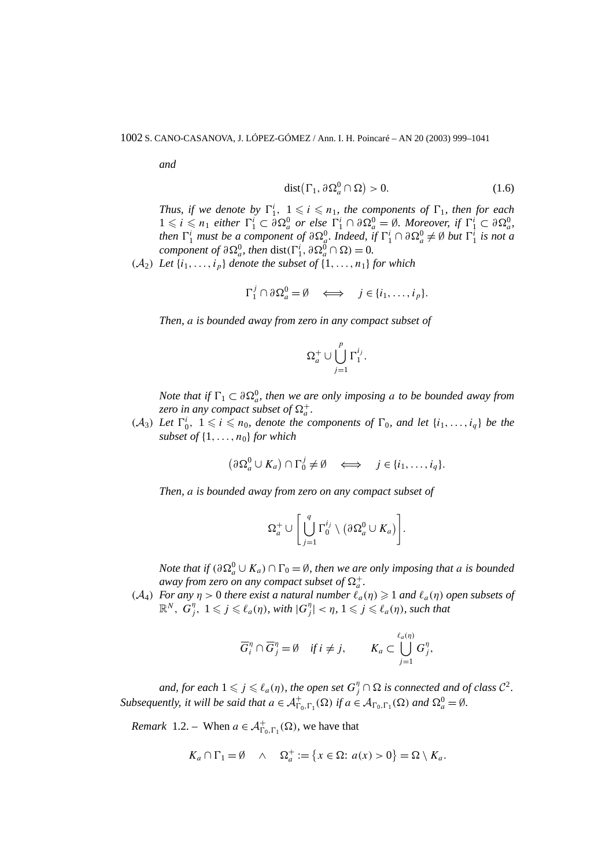*and*

$$
dist(\Gamma_1, \partial \Omega_a^0 \cap \Omega) > 0. \tag{1.6}
$$

*Thus, if we denote by*  $\Gamma_1^i$ ,  $1 \leq i \leq n_1$ , the components of  $\Gamma_1$ , then for each  $1 \leq i \leq n_1$  either  $\Gamma_1^i \subset \partial \Omega_a^0$  or else  $\Gamma_1^i \cap \partial \Omega_a^0 = \emptyset$ . Moreover, if  $\Gamma_1^i \subset \partial \Omega_a^0$ , *then*  $\Gamma_1^i$  *must be a component of*  $\partial \Omega_a^0$ *. Indeed, if*  $\Gamma_1^i \cap \partial \Omega_a^0 \neq \emptyset$  *but*  $\Gamma_1^i$  *is not a component of*  $\partial \Omega_a^0$ *, then* dist $(\Gamma_1^i, \partial \Omega_a^0 \cap \Omega) = 0$ *.* 

 $(A_2)$  *Let*  $\{i_1, \ldots, i_p\}$  *denote the subset of*  $\{1, \ldots, n_1\}$  *for which* 

$$
\Gamma_1^j \cap \partial \Omega_a^0 = \emptyset \iff j \in \{i_1, \dots, i_p\}.
$$

*Then, a is bounded away from zero in any compact subset of*

$$
\Omega_a^+ \cup \bigcup_{j=1}^p \Gamma_1^{i_j}.
$$

*Note that if*  $\Gamma_1 \subset \partial \Omega_a^0$ , then we are only imposing a to be bounded away from *zero in any compact subset of*  $\Omega_a^+$ .

 $(A_3)$  *Let*  $\Gamma_0^i$ ,  $1 \leq i \leq n_0$ *, denote the components of*  $\Gamma_0$ *, and let*  $\{i_1, \ldots, i_q\}$  *be the subset of*  $\{1, \ldots, n_0\}$  *for which* 

$$
(\partial \Omega_a^0 \cup K_a) \cap \Gamma_0^j \neq \emptyset \iff j \in \{i_1, \ldots, i_q\}.
$$

*Then, a is bounded away from zero on any compact subset of*

$$
\Omega_a^+ \cup \left[ \bigcup_{j=1}^q \Gamma_0^{i_j} \setminus \left( \partial \Omega_a^0 \cup K_a \right) \right].
$$

*Note that if*  $(\partial \Omega_a^0 \cup K_a) \cap \Gamma_0 = \emptyset$ , then we are only imposing that a is bounded *away from zero on any compact subset of*  $\Omega^+_a$ .

*(A*<sub>4</sub>*) For any η* > 0 *there exist a natural number*  $\ell_a(\eta)$  ≥ 1 *and*  $\ell_a(\eta)$  *open subsets of*  $\mathbb{R}^N$ *,*  $G_j^{\eta}$ *,*  $1 \leqslant j \leqslant \ell_a(\eta)$ *, with*  $|G_j^{\eta}| < \eta$ *,*  $1 \leqslant j \leqslant \ell_a(\eta)$ *, such that* 

$$
\overline{G}_{i}^{\eta} \cap \overline{G}_{j}^{\eta} = \emptyset \quad \text{if } i \neq j, \qquad K_{a} \subset \bigcup_{j=1}^{\ell_{a}(\eta)} G_{j}^{\eta},
$$

*and, for each*  $1 \leq j \leq \ell_a(\eta)$ *, the open set*  $G_j^{\eta} \cap \Omega$  *is connected and of class*  $C^2$ *. Subsequently, it will be said that*  $a \in \mathcal{A}_{\Gamma_0,\Gamma_1}^+(\Omega)$  *if*  $a \in \mathcal{A}_{\Gamma_0,\Gamma_1}(\Omega)$  *and*  $\Omega_a^0 = \emptyset$ *.* 

*Remark* 1.2. – When  $a \in \mathcal{A}_{\Gamma_0,\Gamma_1}^+(\Omega)$ , we have that

$$
K_a \cap \Gamma_1 = \emptyset \quad \wedge \quad \Omega_a^+ := \{ x \in \Omega : a(x) > 0 \} = \Omega \setminus K_a.
$$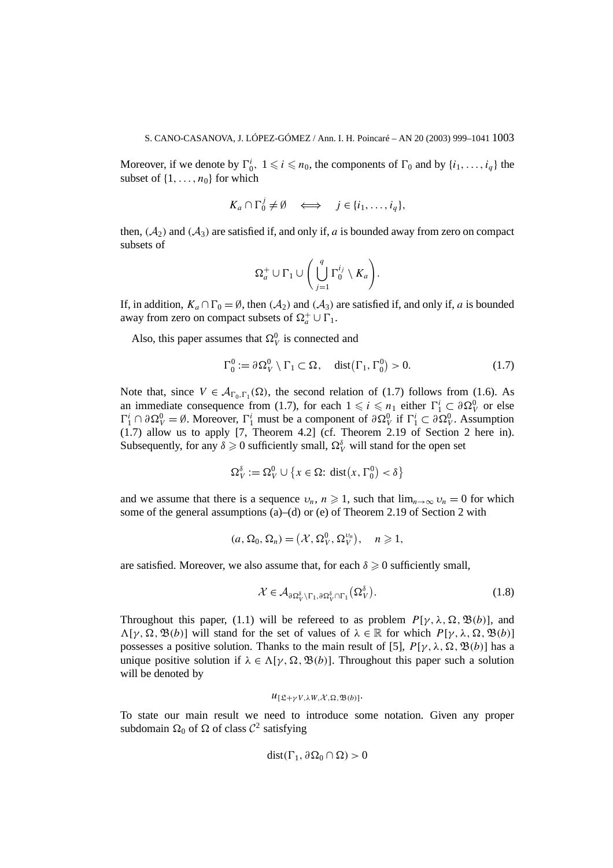Moreover, if we denote by  $\Gamma_0^i$ ,  $1 \leq i \leq n_0$ , the components of  $\Gamma_0$  and by  $\{i_1, \ldots, i_q\}$  the subset of  $\{1, \ldots, n_0\}$  for which

$$
K_a \cap \Gamma_0^j \neq \emptyset \iff j \in \{i_1, \ldots, i_q\},\
$$

then,  $(A_2)$  and  $(A_3)$  are satisfied if, and only if, *a* is bounded away from zero on compact subsets of

$$
\Omega_a^+ \cup \Gamma_1 \cup \left( \bigcup_{j=1}^q \Gamma_0^{i_j} \setminus K_a \right).
$$

If, in addition,  $K_a \cap \Gamma_0 = \emptyset$ , then  $(\mathcal{A}_2)$  and  $(\mathcal{A}_3)$  are satisfied if, and only if, *a* is bounded away from zero on compact subsets of  $\Omega_a^+ \cup \Gamma_1$ .

Also, this paper assumes that  $\Omega_V^0$  is connected and

$$
\Gamma_0^0 := \partial \Omega_V^0 \setminus \Gamma_1 \subset \Omega, \quad \text{dist}(\Gamma_1, \Gamma_0^0) > 0. \tag{1.7}
$$

Note that, since  $V \in \mathcal{A}_{\Gamma_0,\Gamma_1}(\Omega)$ , the second relation of (1.7) follows from (1.6). As an immediate consequence from (1.7), for each  $1 \leq i \leq n_1$  either  $\Gamma_1^i \subset \partial \Omega_V^0$  or else *i*<sup>1</sup> ∩ *∂* $\Omega_V^0 = \emptyset$ . Moreover,  $\Gamma_1^i$  must be a component of *∂* $\Omega_V^0$  if  $\Gamma_1^i \subset \partial \Omega_V^0$ . Assumption (1.7) allow us to apply [7, Theorem 4.2] (cf. Theorem 2.19 of Section 2 here in). Subsequently, for any  $\delta \geq 0$  sufficiently small,  $\Omega_V^{\delta}$  will stand for the open set

$$
\Omega_V^{\delta} := \Omega_V^0 \cup \left\{ x \in \Omega : \, \text{dist}(x, \Gamma_0^0) < \delta \right\}
$$

and we assume that there is a sequence  $v_n$ ,  $n \ge 1$ , such that  $\lim_{n \to \infty} v_n = 0$  for which some of the general assumptions (a)–(d) or (e) of Theorem 2.19 of Section 2 with

$$
(a,\Omega_0,\Omega_n)=(\mathcal{X},\Omega_V^0,\Omega_V^{\nu_n}),\quad n\geqslant 1,
$$

are satisfied. Moreover, we also assume that, for each  $\delta \geq 0$  sufficiently small,

$$
\mathcal{X} \in \mathcal{A}_{\partial \Omega_V^{\delta} \backslash \Gamma_1, \partial \Omega_V^{\delta} \cap \Gamma_1} (\Omega_V^{\delta}). \tag{1.8}
$$

Throughout this paper, (1.1) will be refereed to as problem  $P[\gamma, \lambda, \Omega, \mathfrak{B}(b)]$ , and  $\Lambda[\gamma,\Omega,\mathfrak{B}(b)]$  will stand for the set of values of  $\lambda \in \mathbb{R}$  for which  $P[\gamma,\lambda,\Omega,\mathfrak{B}(b)]$ possesses a positive solution. Thanks to the main result of [5],  $P[\gamma, \lambda, \Omega, \mathfrak{B}(b)]$  has a unique positive solution if  $\lambda \in \Lambda[\gamma,\Omega,\mathfrak{B}(b)]$ . Throughout this paper such a solution will be denoted by

$$
u_{[\mathfrak{L}+\gamma V,\lambda W,\mathcal{X},\Omega,\mathfrak{B}(b)]}.
$$

To state our main result we need to introduce some notation. Given any proper subdomain  $\Omega_0$  of  $\Omega$  of class  $C^2$  satisfying

$$
dist(\Gamma_1, \partial \Omega_0 \cap \Omega) > 0
$$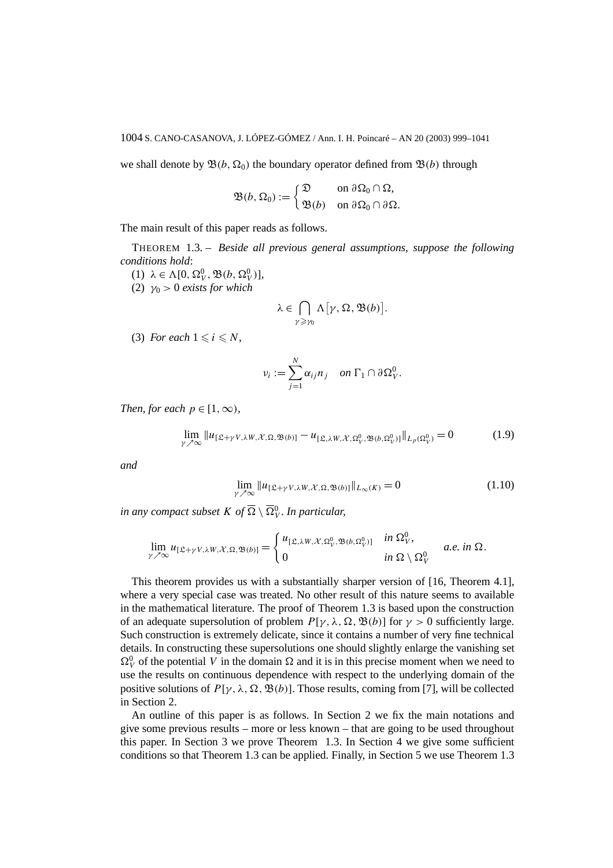we shall denote by  $\mathfrak{B}(b, \Omega_0)$  the boundary operator defined from  $\mathfrak{B}(b)$  through

$$
\mathfrak{B}(b,\Omega_0):=\left\{\begin{aligned} &\mathfrak{D} &&\text{on }\partial\Omega_0\cap\Omega,\\ &\mathfrak{B}(b) &&\text{on }\partial\Omega_0\cap\partial\Omega. \end{aligned}\right.
$$

The main result of this paper reads as follows.

THEOREM 1.3. – *Beside all previous general assumptions, suppose the following conditions hold*:

- $(1)$   $\lambda \in \Lambda[0, \Omega_V^0, \mathfrak{B}(b, \Omega_V^0)],$
- (2)  $\gamma_0 > 0$  *exists for which*

$$
\lambda \in \bigcap_{\gamma \geq \gamma_0} \Lambda[\gamma, \Omega, \mathfrak{B}(b)].
$$

(3) *For each*  $1 \leq i \leq N$ *,* 

$$
\nu_i := \sum_{j=1}^N \alpha_{ij} n_j \quad on \ \Gamma_1 \cap \partial \Omega_V^0.
$$

*Then, for each*  $p \in [1, \infty)$ *,* 

$$
\lim_{\gamma \nearrow \infty} \|u_{[\mathfrak{L} + \gamma V, \lambda W, \mathcal{X}, \Omega, \mathfrak{B}(b)]} - u_{[\mathfrak{L}, \lambda W, \mathcal{X}, \Omega_V^0, \mathfrak{B}(b, \Omega_V^0)]}\|_{L_p(\Omega_V^0)} = 0
$$
\n(1.9)

*and*

$$
\lim_{\gamma \nearrow \infty} \|u_{[\mathfrak{L}+\gamma V,\lambda W,\mathcal{X},\Omega,\mathfrak{B}(b)]}\|_{L_{\infty}(K)} = 0
$$
\n(1.10)

*in any compact subset K of*  $\overline{\Omega} \setminus \overline{\Omega}_V^0$ *. In particular,* 

$$
\lim_{\gamma \nearrow \infty} u_{[\mathfrak{L} + \gamma V, \lambda W, \mathcal{X}, \Omega, \mathfrak{B}(b)]} = \begin{cases} u_{[\mathfrak{L}, \lambda W, \mathcal{X}, \Omega_V^0, \mathfrak{B}(b, \Omega_V^0)]} & \text{in } \Omega_V^0, \\ 0 & \text{in } \Omega \setminus \Omega_V^0 \end{cases} \quad a.e. \text{ in } \Omega.
$$

This theorem provides us with a substantially sharper version of [16, Theorem 4.1], where a very special case was treated. No other result of this nature seems to available in the mathematical literature. The proof of Theorem 1.3 is based upon the construction of an adequate supersolution of problem  $P[\gamma, \lambda, \Omega, \mathfrak{B}(b)]$  for  $\gamma > 0$  sufficiently large. Such construction is extremely delicate, since it contains a number of very fine technical details. In constructing these supersolutions one should slightly enlarge the vanishing set  $\Omega_V^0$  of the potential *V* in the domain  $\Omega$  and it is in this precise moment when we need to use the results on continuous dependence with respect to the underlying domain of the positive solutions of  $P[\gamma, \lambda, \Omega, \mathfrak{B}(b)]$ . Those results, coming from [7], will be collected in Section 2.

An outline of this paper is as follows. In Section 2 we fix the main notations and give some previous results – more or less known – that are going to be used throughout this paper. In Section 3 we prove Theorem 1.3. In Section 4 we give some sufficient conditions so that Theorem 1.3 can be applied. Finally, in Section 5 we use Theorem 1.3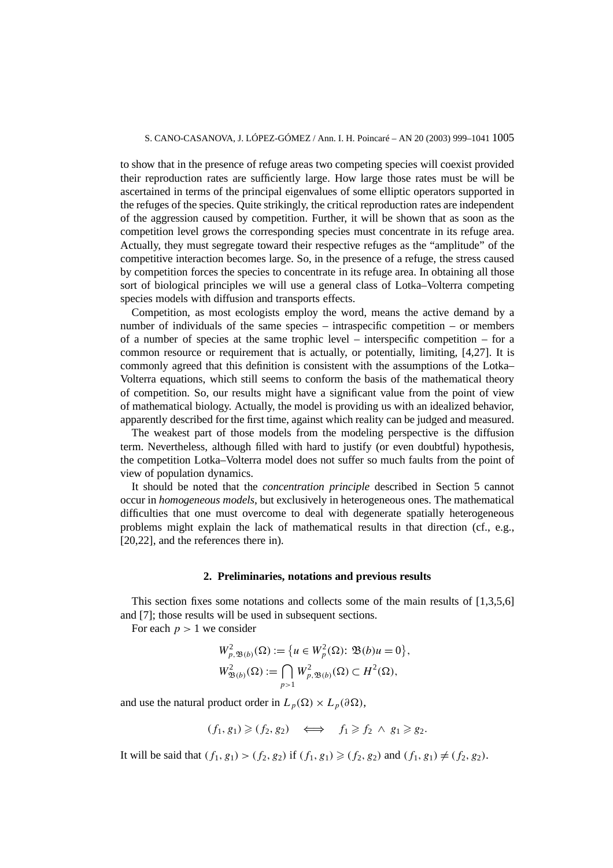S. CANO-CASANOVA, J. LÓPEZ-GÓMEZ / Ann. I. H. Poincaré – AN 20 (2003) 999–1041 1005

to show that in the presence of refuge areas two competing species will coexist provided their reproduction rates are sufficiently large. How large those rates must be will be ascertained in terms of the principal eigenvalues of some elliptic operators supported in the refuges of the species. Quite strikingly, the critical reproduction rates are independent of the aggression caused by competition. Further, it will be shown that as soon as the competition level grows the corresponding species must concentrate in its refuge area. Actually, they must segregate toward their respective refuges as the "amplitude" of the competitive interaction becomes large. So, in the presence of a refuge, the stress caused by competition forces the species to concentrate in its refuge area. In obtaining all those sort of biological principles we will use a general class of Lotka–Volterra competing species models with diffusion and transports effects.

Competition, as most ecologists employ the word, means the active demand by a number of individuals of the same species – intraspecific competition – or members of a number of species at the same trophic level – interspecific competition – for a common resource or requirement that is actually, or potentially, limiting, [4,27]. It is commonly agreed that this definition is consistent with the assumptions of the Lotka– Volterra equations, which still seems to conform the basis of the mathematical theory of competition. So, our results might have a significant value from the point of view of mathematical biology. Actually, the model is providing us with an idealized behavior, apparently described for the first time, against which reality can be judged and measured.

The weakest part of those models from the modeling perspective is the diffusion term. Nevertheless, although filled with hard to justify (or even doubtful) hypothesis, the competition Lotka–Volterra model does not suffer so much faults from the point of view of population dynamics.

It should be noted that the *concentration principle* described in Section 5 cannot occur in *homogeneous models*, but exclusively in heterogeneous ones. The mathematical difficulties that one must overcome to deal with degenerate spatially heterogeneous problems might explain the lack of mathematical results in that direction (cf., e.g., [20,22], and the references there in).

#### **2. Preliminaries, notations and previous results**

This section fixes some notations and collects some of the main results of [1,3,5,6] and [7]; those results will be used in subsequent sections.

For each  $p > 1$  we consider

$$
W_{p,\mathfrak{B}(b)}^2(\Omega) := \{ u \in W_p^2(\Omega) : \mathfrak{B}(b)u = 0 \},
$$
  

$$
W_{\mathfrak{B}(b)}^2(\Omega) := \bigcap_{p>1} W_{p,\mathfrak{B}(b)}^2(\Omega) \subset H^2(\Omega),
$$

and use the natural product order in  $L_p(\Omega) \times L_p(\partial\Omega)$ ,

$$
(f_1, g_1) \geqslant (f_2, g_2) \iff f_1 \geqslant f_2 \land g_1 \geqslant g_2.
$$

It will be said that  $(f_1, g_1) > (f_2, g_2)$  if  $(f_1, g_1) \geq (f_2, g_2)$  and  $(f_1, g_1) \neq (f_2, g_2)$ .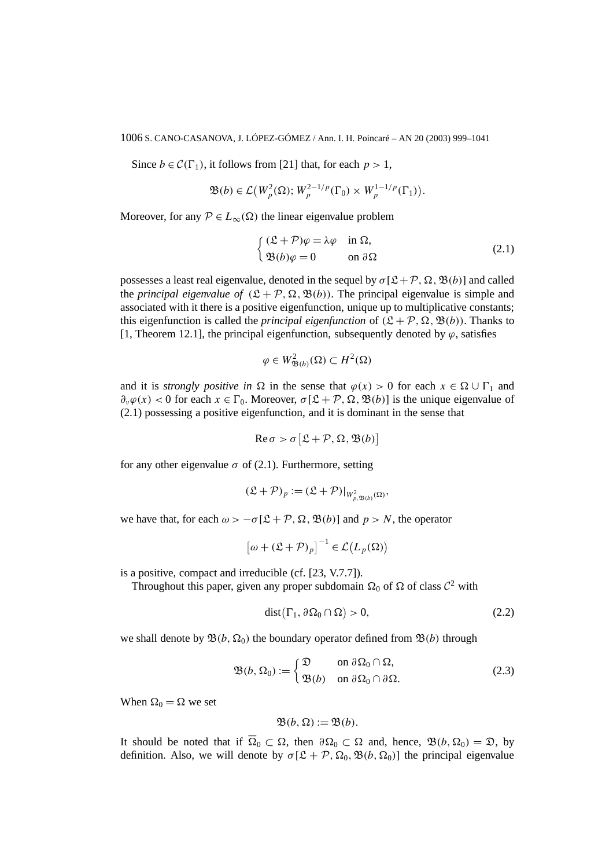Since  $b \in C(\Gamma_1)$ , it follows from [21] that, for each  $p > 1$ ,

$$
\mathfrak{B}(b) \in \mathcal{L}\big(W_p^2(\Omega); W_p^{2-1/p}(\Gamma_0) \times W_p^{1-1/p}(\Gamma_1)\big).
$$

Moreover, for any  $P \in L_{\infty}(\Omega)$  the linear eigenvalue problem

$$
\begin{cases}\n(\mathcal{L} + \mathcal{P})\varphi = \lambda \varphi & \text{in } \Omega, \\
\mathfrak{B}(b)\varphi = 0 & \text{on } \partial\Omega\n\end{cases}
$$
\n(2.1)

possesses a least real eigenvalue, denoted in the sequel by  $\sigma[\mathfrak{L}+\mathcal{P},\Omega,\mathfrak{B}(b)]$  and called the *principal eigenvalue of*  $(\mathcal{L} + \mathcal{P}, \Omega, \mathfrak{B}(b))$ . The principal eigenvalue is simple and associated with it there is a positive eigenfunction, unique up to multiplicative constants; this eigenfunction is called the *principal eigenfunction* of  $(\mathcal{L} + \mathcal{P}, \Omega, \mathfrak{B}(b))$ . Thanks to [1, Theorem 12.1], the principal eigenfunction, subsequently denoted by  $\varphi$ , satisfies

$$
\varphi \in W^2_{\mathfrak{B}(b)}(\Omega) \subset H^2(\Omega)
$$

and it is *strongly positive in*  $\Omega$  in the sense that  $\varphi(x) > 0$  for each  $x \in \Omega \cup \Gamma_1$  and  $\partial_{\nu}\varphi(x) < 0$  for each  $x \in \Gamma_0$ . Moreover,  $\sigma[\mathfrak{L} + \mathcal{P}, \Omega, \mathfrak{B}(b)]$  is the unique eigenvalue of (2.1) possessing a positive eigenfunction, and it is dominant in the sense that

$$
\text{Re}\,\sigma > \sigma\big[\mathfrak{L}+\mathcal{P},\Omega,\mathfrak{B}(b)\big]
$$

for any other eigenvalue  $\sigma$  of (2.1). Furthermore, setting

$$
(\mathfrak{L}+\mathcal{P})_p:=(\mathfrak{L}+\mathcal{P})|_{W^2_{p,\mathfrak{B}(b)}(\Omega)},
$$

we have that, for each  $\omega > -\sigma[\mathfrak{L} + \mathcal{P}, \Omega, \mathfrak{B}(b)]$  and  $p > N$ , the operator

$$
[\omega+(\mathfrak{L}+\mathcal{P})_p]^{-1}\in\mathcal{L}\big(L_p(\Omega)\big)
$$

is a positive, compact and irreducible (cf. [23, V.7.7]).

Throughout this paper, given any proper subdomain  $\Omega_0$  of  $\Omega$  of class  $C^2$  with

$$
dist(\Gamma_1, \partial \Omega_0 \cap \Omega) > 0, \tag{2.2}
$$

we shall denote by  $\mathfrak{B}(b, \Omega_0)$  the boundary operator defined from  $\mathfrak{B}(b)$  through

$$
\mathfrak{B}(b,\Omega_0) := \begin{cases} \mathfrak{D} & \text{on } \partial\Omega_0 \cap \Omega, \\ \mathfrak{B}(b) & \text{on } \partial\Omega_0 \cap \partial\Omega. \end{cases}
$$
 (2.3)

When  $\Omega_0 = \Omega$  we set

$$
\mathfrak{B}(b,\Omega):=\mathfrak{B}(b).
$$

It should be noted that if  $\overline{\Omega}_0 \subset \Omega$ , then  $\partial \Omega_0 \subset \Omega$  and, hence,  $\mathfrak{B}(b, \Omega_0) = \mathfrak{D}$ , by definition. Also, we will denote by  $\sigma$ [£ + P, Ω<sub>0</sub>, B<sub>2</sub>(b, Ω<sub>0</sub>)] the principal eigenvalue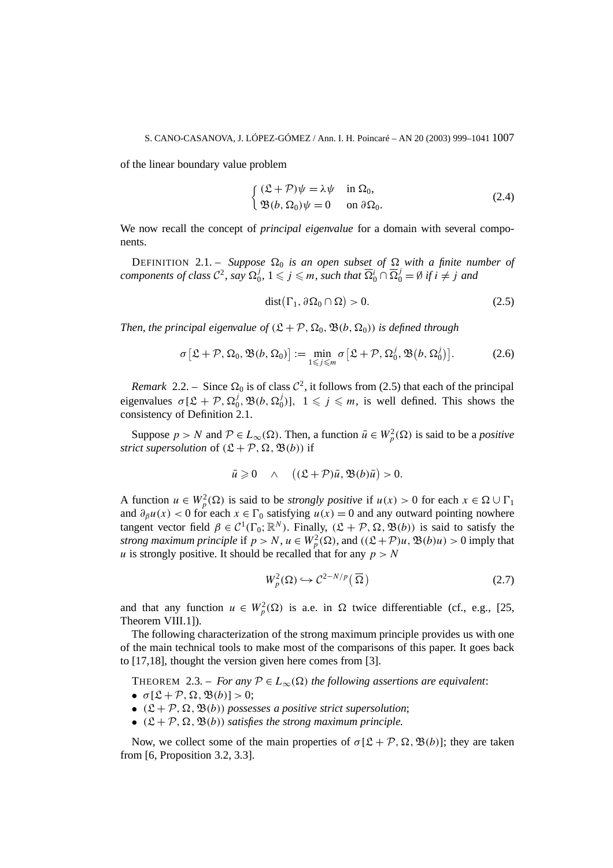of the linear boundary value problem

$$
\begin{cases} (\mathcal{L} + \mathcal{P})\psi = \lambda \psi & \text{in } \Omega_0, \\ \mathfrak{B}(b, \Omega_0)\psi = 0 & \text{on } \partial \Omega_0. \end{cases}
$$
 (2.4)

We now recall the concept of *principal eigenvalue* for a domain with several components.

**DEFINITION** 2.1. – *Suppose*  $\Omega_0$  *is an open subset of*  $\Omega$  *with a finite number of components of class*  $C^2$ *, say*  $\Omega_0^j$ ,  $1 \leqslant j \leqslant m$ *, such that*  $\overline{\Omega}_0^i \cap \overline{\Omega}_0^j = \emptyset$  *if*  $i \neq j$  *and* 

$$
dist(\Gamma_1, \partial \Omega_0 \cap \Omega) > 0. \tag{2.5}
$$

*Then, the principal eigenvalue of*  $(\mathcal{L} + \mathcal{P}, \Omega_0, \mathfrak{B}(b, \Omega_0))$  *is defined through* 

$$
\sigma\left[\mathfrak{L}+\mathcal{P},\Omega_0,\mathfrak{B}(b,\Omega_0)\right]:=\min_{1\leq j\leq m}\sigma\left[\mathfrak{L}+\mathcal{P},\Omega_0^j,\mathfrak{B}(b,\Omega_0^j)\right].\tag{2.6}
$$

*Remark* 2.2. – Since  $\Omega_0$  is of class  $C^2$ , it follows from (2.5) that each of the principal eigenvalues  $\sigma[\mathfrak{L} + \mathcal{P}, \Omega_0^j, \mathfrak{B}(b, \Omega_0^j)]$ ,  $1 \leq j \leq m$ , is well defined. This shows the consistency of Definition 2.1.

Suppose  $p > N$  and  $P \in L_\infty(\Omega)$ . Then, a function  $\bar{u} \in W_p^2(\Omega)$  is said to be a *positive strict supersolution* of  $(\mathcal{L} + \mathcal{P}, \Omega, \mathfrak{B}(b))$  if

$$
\bar{u} \geq 0 \quad \wedge \quad ((\mathfrak{L} + \mathcal{P})\bar{u}, \mathfrak{B}(b)\bar{u}) > 0.
$$

A function  $u \in W_p^2(\Omega)$  is said to be *strongly positive* if  $u(x) > 0$  for each  $x \in \Omega \cup \Gamma_1$ and  $\partial_\beta u(x) < 0$  for each  $x \in \Gamma_0$  satisfying  $u(x) = 0$  and any outward pointing nowhere tangent vector field  $\beta \in C^1(\Gamma_0; \mathbb{R}^N)$ . Finally,  $(\mathfrak{L} + \mathcal{P}, \Omega, \mathfrak{B}(b))$  is said to satisfy the *strong maximum principle* if  $p > N$ ,  $u \in W_p^2(\Omega)$ , and  $((\mathfrak{L} + \mathcal{P})u, \mathfrak{B}(b)u) > 0$  imply that *u* is strongly positive. It should be recalled that for any  $p > N$ 

$$
W_p^2(\Omega) \hookrightarrow \mathcal{C}^{2-N/p}(\overline{\Omega})
$$
\n(2.7)

and that any function  $u \in W_p^2(\Omega)$  is a.e. in  $\Omega$  twice differentiable (cf., e.g., [25, Theorem VIII.1]).

The following characterization of the strong maximum principle provides us with one of the main technical tools to make most of the comparisons of this paper. It goes back to [17,18], thought the version given here comes from [3].

THEOREM 2.3. – *For any*  $P \in L_{\infty}(\Omega)$  *the following assertions are equivalent:* 

- $\sigma$ [ $\mathcal{L} + \mathcal{P}, \Omega, \mathfrak{B}(b)$ ] > 0;
- $(\mathcal{L} + \mathcal{P}, \Omega, \mathfrak{B}(b))$  possesses a positive strict supersolution;
- $(\mathcal{L} + \mathcal{P}, \Omega, \mathfrak{B}(b))$  *satisfies the strong maximum principle.*

Now, we collect some of the main properties of  $\sigma[\mathfrak{L} + \mathcal{P}, \Omega, \mathfrak{B}(b)]$ ; they are taken from [6, Proposition 3.2, 3.3].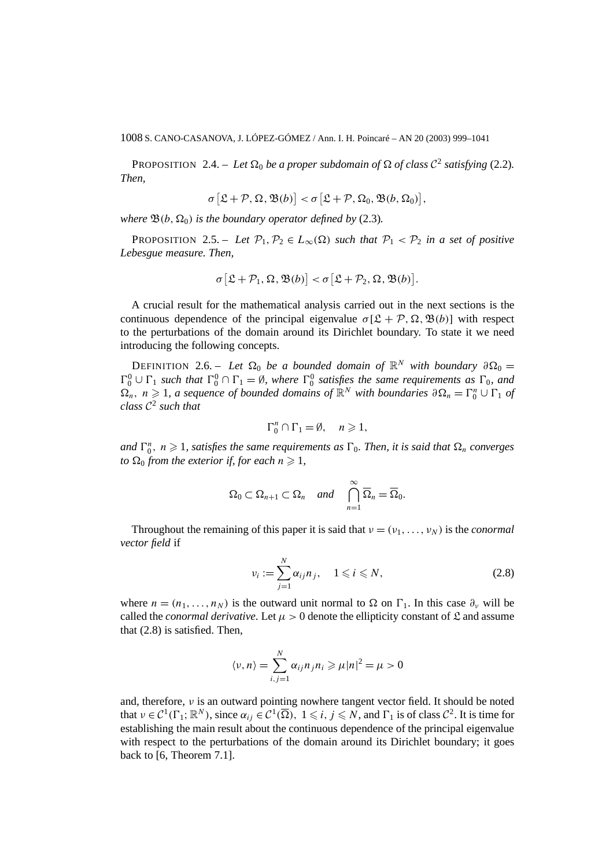1008 S. CANO-CASANOVA, J. LÓPEZ-GÓMEZ / Ann. I. H. Poincaré – AN 20 (2003) 999–1041

PROPOSITION 2.4. – Let  $\Omega_0$  be a proper subdomain of  $\Omega$  of class  $C^2$  satisfying (2.2). *Then,*

$$
\sigma\big[\mathfrak{L}+\mathcal{P},\Omega,\mathfrak{B}(b)\big]<\sigma\big[\mathfrak{L}+\mathcal{P},\Omega_0,\mathfrak{B}(b,\Omega_0)\big],
$$

*where*  $\mathfrak{B}(b, \Omega_0)$  *is the boundary operator defined by* (2.3)*.* 

PROPOSITION 2.5. – *Let*  $\mathcal{P}_1, \mathcal{P}_2 \in L_\infty(\Omega)$  *such that*  $\mathcal{P}_1 < \mathcal{P}_2$  *in a set of positive Lebesgue measure. Then,*

$$
\sigma\big[\mathfrak{L}+\mathcal{P}_1,\Omega,\mathfrak{B}(b)\big]<\sigma\big[\mathfrak{L}+\mathcal{P}_2,\Omega,\mathfrak{B}(b)\big].
$$

A crucial result for the mathematical analysis carried out in the next sections is the continuous dependence of the principal eigenvalue  $\sigma[\mathfrak{L} + \mathcal{P}, \Omega, \mathfrak{B}(b)]$  with respect to the perturbations of the domain around its Dirichlet boundary. To state it we need introducing the following concepts.

DEFINITION 2.6. – Let  $\Omega_0$  be a bounded domain of  $\mathbb{R}^N$  with boundary  $\partial \Omega_0 =$  $\Gamma_0^0 \cup \Gamma_1$  such that  $\Gamma_0^0 \cap \Gamma_1 = \emptyset$ , where  $\Gamma_0^0$  satisfies the same requirements as  $\Gamma_0$ , and  $\Omega_n$ ,  $n \geq 1$ , a sequence of bounded domains of  $\mathbb{R}^N$  with boundaries  $\partial \Omega_n = \Gamma_0^n \cup \Gamma_1$  of *class* <sup>C</sup><sup>2</sup> *such that*

$$
\Gamma_0^n \cap \Gamma_1 = \emptyset, \quad n \geq 1,
$$

*and*  $\Gamma_0^n$ ,  $n \geq 1$ , satisfies the same requirements as  $\Gamma_0$ . Then, it is said that  $\Omega_n$  converges *to*  $\Omega_0$  *from the exterior if, for each*  $n \ge 1$ *,* 

$$
\Omega_0 \subset \Omega_{n+1} \subset \Omega_n \quad and \quad \bigcap_{n=1}^{\infty} \overline{\Omega}_n = \overline{\Omega}_0.
$$

Throughout the remaining of this paper it is said that  $v = (v_1, \ldots, v_N)$  is the *conormal vector field* if

$$
\nu_i := \sum_{j=1}^N \alpha_{ij} n_j, \quad 1 \leqslant i \leqslant N,
$$
\n(2.8)

where  $n = (n_1, \ldots, n_N)$  is the outward unit normal to  $\Omega$  on  $\Gamma_1$ . In this case  $\partial_\nu$  will be called the *conormal derivative*. Let  $\mu > 0$  denote the ellipticity constant of  $\mathfrak L$  and assume that (2.8) is satisfied. Then,

$$
\langle v, n \rangle = \sum_{i,j=1}^{N} \alpha_{ij} n_j n_i \geqslant \mu |n|^2 = \mu > 0
$$

and, therefore, *ν* is an outward pointing nowhere tangent vector field. It should be noted that  $\nu \in C^1(\Gamma_1; \mathbb{R}^N)$ , since  $\alpha_{ij} \in C^1(\overline{\Omega})$ ,  $1 \le i, j \le N$ , and  $\Gamma_1$  is of class  $C^2$ . It is time for establishing the main result about the continuous dependence of the principal eigenvalue with respect to the perturbations of the domain around its Dirichlet boundary; it goes back to [6, Theorem 7.1].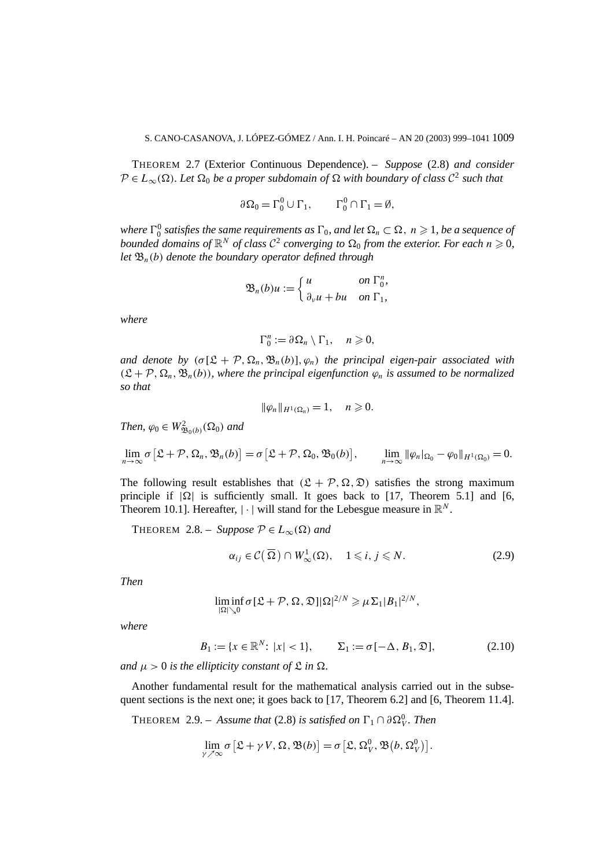THEOREM 2.7 (Exterior Continuous Dependence). – *Suppose* (2.8) *and consider*  $P \in L_{\infty}(\Omega)$ *. Let*  $\Omega_0$  *be a proper subdomain of*  $\Omega$  *with boundary of class*  $C^2$  *such that* 

$$
\partial \Omega_0 = \Gamma_0^0 \cup \Gamma_1, \qquad \Gamma_0^0 \cap \Gamma_1 = \emptyset,
$$

where  $\Gamma_0^0$  satisfies the same requirements as  $\Gamma_0$ , and let  $\Omega_n\subset\Omega$ ,  $n\geqslant 1$ , be a sequence of *bounded domains of*  $\mathbb{R}^N$  *of class*  $C^2$  *converging to*  $\Omega_0$  *from the exterior. For each*  $n \geq 0$ *, let* B*n(b) denote the boundary operator defined through*

$$
\mathfrak{B}_n(b)u := \begin{cases} u & \text{on } \Gamma_0^n, \\ \partial_\nu u + bu & \text{on } \Gamma_1, \end{cases}
$$

*where*

$$
\Gamma_0^n := \partial \Omega_n \setminus \Gamma_1, \quad n \geqslant 0,
$$

*and denote by*  $(\sigma[\mathfrak{L} + \mathcal{P}, \Omega_n, \mathfrak{B}_n(b)], \varphi_n)$  *the principal eigen-pair associated with*  $(L + P, \Omega_n, \mathfrak{B}_n(b))$ *, where the principal eigenfunction*  $\varphi_n$  *is assumed to be normalized so that*

$$
\|\varphi_n\|_{H^1(\Omega_n)}=1,\quad n\geqslant 0.
$$

*Then,*  $\varphi_0 \in W^2_{\mathfrak{B}_0(b)}(\Omega_0)$  *and* 

$$
\lim_{n\to\infty}\sigma\left[\mathfrak{L}+\mathcal{P},\Omega_n,\mathfrak{B}_n(b)\right]=\sigma\left[\mathfrak{L}+\mathcal{P},\Omega_0,\mathfrak{B}_0(b)\right],\qquad\lim_{n\to\infty}\|\varphi_n|_{\Omega_0}-\varphi_0\|_{H^1(\Omega_0)}=0.
$$

The following result establishes that  $({\mathfrak{L}} + {\mathcal{P}}, \Omega, {\mathfrak{D}})$  satisfies the strong maximum principle if  $|\Omega|$  is sufficiently small. It goes back to [17, Theorem 5.1] and [6, Theorem 10.1]. Hereafter,  $|\cdot|$  will stand for the Lebesgue measure in  $\mathbb{R}^N$ .

THEOREM 2.8. – *Suppose*  $P \in L_\infty(\Omega)$  *and* 

$$
\alpha_{ij} \in \mathcal{C}\big(\,\overline{\Omega}\big) \cap W^1_{\infty}(\Omega), \quad 1 \leqslant i, \, j \leqslant N. \tag{2.9}
$$

*Then*

$$
\liminf_{|\Omega|\searrow 0} \sigma[\mathfrak{L}+\mathcal{P},\Omega,\mathfrak{D}] |\Omega|^{2/N} \geqslant \mu\Sigma_1 |B_1|^{2/N},
$$

*where*

$$
B_1 := \{ x \in \mathbb{R}^N : \, |x| < 1 \}, \qquad \Sigma_1 := \sigma \left[ -\Delta, \, B_1, \, \mathfrak{D} \right], \tag{2.10}
$$

*and*  $\mu > 0$  *is the ellipticity constant of*  $\mathfrak L$  *in*  $\Omega$ *.* 

Another fundamental result for the mathematical analysis carried out in the subsequent sections is the next one; it goes back to [17, Theorem 6.2] and [6, Theorem 11.4].

THEOREM 2.9. – Assume that (2.8) is satisfied on  $\Gamma_1 \cap \partial \Omega_V^0$ . Then

$$
\lim_{\gamma \nearrow \infty} \sigma \left[ \mathfrak{L} + \gamma V, \Omega, \mathfrak{B}(b) \right] = \sigma \left[ \mathfrak{L}, \Omega_V^0, \mathfrak{B}(b, \Omega_V^0) \right].
$$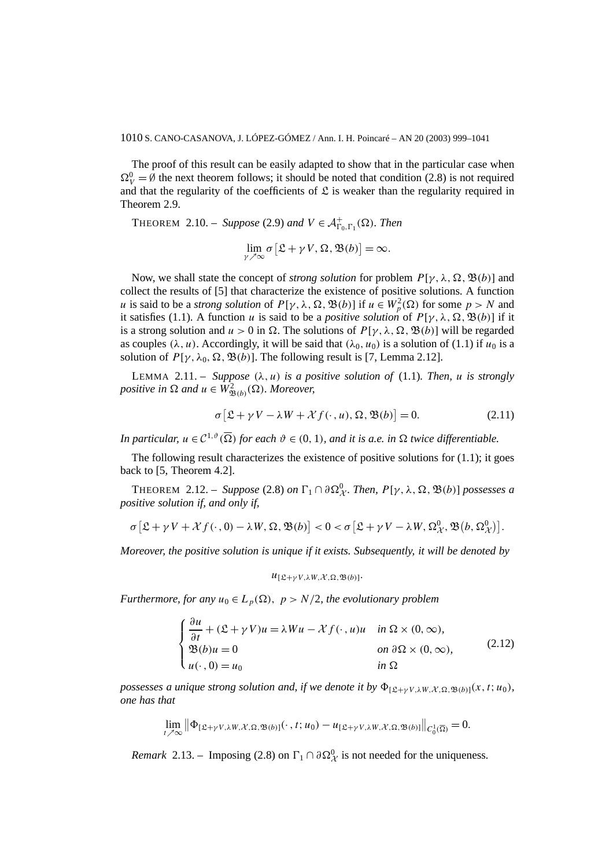1010 S. CANO-CASANOVA, J. LÓPEZ-GÓMEZ / Ann. I. H. Poincaré – AN 20 (2003) 999–1041

The proof of this result can be easily adapted to show that in the particular case when  $\Omega_V^0 = \emptyset$  the next theorem follows; it should be noted that condition (2.8) is not required and that the regularity of the coefficients of  $\mathfrak L$  is weaker than the regularity required in Theorem 2.9.

THEOREM 2.10. – *Suppose* (2.9) and  $V \in \mathcal{A}_{\Gamma_0,\Gamma_1}^+(\Omega)$ *. Then* 

$$
\lim_{\gamma \nearrow \infty} \sigma \left[ \mathfrak{L} + \gamma V, \Omega, \mathfrak{B}(b) \right] = \infty.
$$

Now, we shall state the concept of *strong solution* for problem  $P[\gamma, \lambda, \Omega, \mathfrak{B}(b)]$  and collect the results of [5] that characterize the existence of positive solutions. A function *u* is said to be a *strong solution* of  $P[\gamma, \lambda, \Omega, \mathfrak{B}(b)]$  if  $u \in W_p^2(\Omega)$  for some  $p > N$  and it satisfies (1.1). A function *u* is said to be a *positive solution* of  $P[\gamma, \lambda, \Omega, \mathfrak{B}(b)]$  if it is a strong solution and  $u > 0$  in  $\Omega$ . The solutions of  $P[\gamma, \lambda, \Omega, \mathfrak{B}(b)]$  will be regarded as couples  $(\lambda, u)$ . Accordingly, it will be said that  $(\lambda_0, u_0)$  is a solution of (1.1) if  $u_0$  is a solution of  $P[\gamma, \lambda_0, \Omega, \mathfrak{B}(b)]$ . The following result is [7, Lemma 2.12].

LEMMA 2.11. – *Suppose*  $(\lambda, u)$  *is a positive solution of* (1.1)*. Then, u is strongly positive in*  $\Omega$  *and*  $u \in W^2_{\mathfrak{B}(b)}(\Omega)$ *. Moreover,* 

$$
\sigma \left[ \mathfrak{L} + \gamma V - \lambda W + \mathcal{X} f(\cdot, u), \Omega, \mathfrak{B}(b) \right] = 0. \tag{2.11}
$$

*In particular,*  $u \in C^{1,\vartheta}(\overline{\Omega})$  for each  $\vartheta \in (0,1)$ *, and it is a.e. in*  $\Omega$  *twice differentiable.* 

The following result characterizes the existence of positive solutions for (1.1); it goes back to [5, Theorem 4.2].

THEOREM 2.12. – *Suppose* (2.8) *on*  $\Gamma_1 \cap \partial \Omega^0_{\mathcal{X}}$ *. Then,*  $P[\gamma, \lambda, \Omega, \mathfrak{B}(b)]$  possesses a *positive solution if, and only if,*

$$
\sigma\left[\mathfrak{L}+\gamma V+\mathcal{X}f(\cdot,0)-\lambda W,\Omega,\mathfrak{B}(b)\right]<0<\sigma\left[\mathfrak{L}+\gamma V-\lambda W,\Omega_{\mathcal{X}}^{0},\mathfrak{B}\left(b,\Omega_{\mathcal{X}}^{0}\right)\right].
$$

*Moreover, the positive solution is unique if it exists. Subsequently, it will be denoted by*

 $u_{[\mathfrak{L}+\gamma V,\lambda W,\mathcal{X},\Omega,\mathfrak{B}(b)]}$ .

*Furthermore, for any*  $u_0 \in L_p(\Omega)$ ,  $p > N/2$ , the evolutionary problem

$$
\begin{cases}\n\frac{\partial u}{\partial t} + (\mathfrak{L} + \gamma V)u = \lambda W u - \mathcal{X} f(\cdot, u)u & \text{in } \Omega \times (0, \infty), \\
\mathfrak{B}(b)u = 0 & \text{on } \partial \Omega \times (0, \infty), \\
u(\cdot, 0) = u_0 & \text{in } \Omega\n\end{cases}
$$
\n(2.12)

*possesses a unique strong solution and, if we denote it by*  $\Phi_{\{x+\gamma V,\lambda W,X,\Omega,\mathfrak{B}(b)\}}(x, t; u_0)$ , *one has that*

$$
\lim_{t \nearrow \infty} \left\| \Phi_{[\mathfrak{L} + \gamma V, \lambda W, \mathcal{X}, \Omega, \mathfrak{B}(b)]}(t, t; u_0) - u_{[\mathfrak{L} + \gamma V, \lambda W, \mathcal{X}, \Omega, \mathfrak{B}(b)]} \right\|_{C_0^1(\overline{\Omega})} = 0.
$$

*Remark* 2.13. – Imposing (2.8) on  $\Gamma_1 \cap \partial \Omega^0_{\mathcal{X}}$  is not needed for the uniqueness.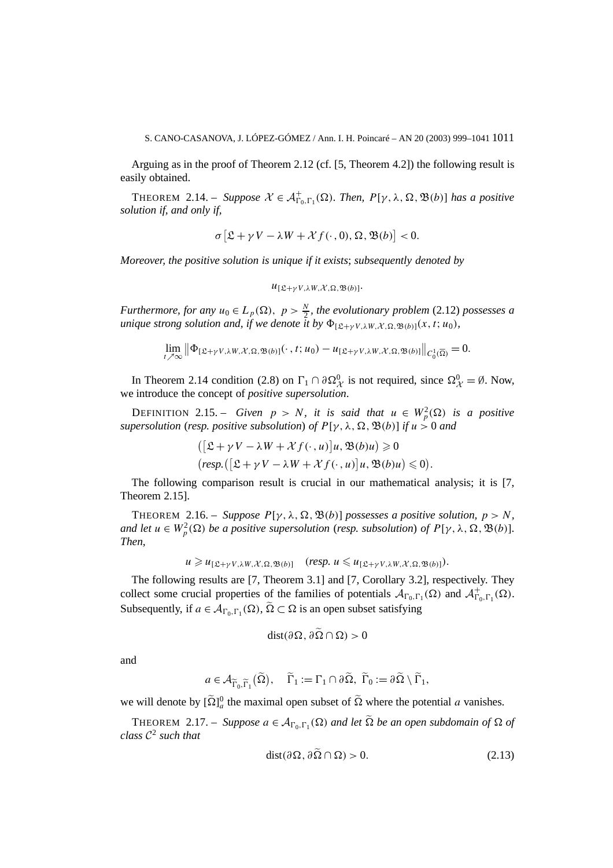Arguing as in the proof of Theorem 2.12 (cf. [5, Theorem 4.2]) the following result is easily obtained.

THEOREM 2.14. – *Suppose*  $X \in \mathcal{A}_{\Gamma_0,\Gamma_1}^+(\Omega)$ *. Then,*  $P[\gamma,\lambda,\Omega,\mathfrak{B}(b)]$  *has a positive solution if, and only if,*

$$
\sigma \left[ \mathfrak{L} + \gamma V - \lambda W + \mathcal{X} f(\cdot, 0), \Omega, \mathfrak{B}(b) \right] < 0.
$$

*Moreover, the positive solution is unique if it exists*; *subsequently denoted by*

$$
u_{[\mathfrak{L}+\gamma V,\lambda W, \mathcal{X}, \Omega, \mathfrak{B}(b)]}.
$$

*Furthermore, for any*  $u_0 \in L_p(\Omega)$ ,  $p > \frac{N}{2}$ , the evolutionary problem (2.12) possesses a *unique strong solution and, if we denote it by*  $\Phi_{[\mathfrak{L}+\gamma V,\lambda W,\mathcal{X},\Omega,\mathfrak{B}(b)]}(x,t;u_0)$ ,

$$
\lim_{t \nearrow \infty} \left\| \Phi_{[\mathfrak{L} + \gamma V, \lambda W, \mathcal{X}, \Omega, \mathfrak{B}(b)]}(\cdot, t; u_0) - u_{[\mathfrak{L} + \gamma V, \lambda W, \mathcal{X}, \Omega, \mathfrak{B}(b)]} \right\|_{C_0^1(\overline{\Omega})} = 0.
$$

In Theorem 2.14 condition (2.8) on  $\Gamma_1 \cap \partial \Omega^0_{\mathcal{X}}$  is not required, since  $\Omega^0_{\mathcal{X}} = \emptyset$ . Now, we introduce the concept of *positive supersolution*.

DEFINITION 2.15. – *Given*  $p > N$ *, it is said that*  $u \in W_p^2(\Omega)$  *is a positive supersolution* (*resp. positive subsolution*) *of*  $P[\gamma, \lambda, \Omega, \mathfrak{B}(b)]$  *if*  $u > 0$  *and* 

$$
\begin{aligned}\n\big( \big[ \mathfrak{L} + \gamma V - \lambda W + \mathcal{X} f(\cdot, u) \big] u, \mathfrak{B}(b) u \big) &\geq 0 \\
(\text{resp.} \big( \big[ \mathfrak{L} + \gamma V - \lambda W + \mathcal{X} f(\cdot, u) \big] u, \mathfrak{B}(b) u \big) \leq 0 \big).\n\end{aligned}
$$

The following comparison result is crucial in our mathematical analysis; it is [7, Theorem 2.15].

THEOREM 2.16. – *Suppose*  $P[\gamma, \lambda, \Omega, \mathfrak{B}(b)]$  *possesses a positive solution,*  $p > N$ *, and let*  $u \in W_p^2(\Omega)$  *be a positive supersolution (resp. subsolution) of*  $P[\gamma, \lambda, \Omega, \mathfrak{B}(b)]$ *. Then,*

$$
u \geq u_{[\mathfrak{L}+\gamma V,\lambda W,\mathcal{X},\Omega,\mathfrak{B}(b)]} \quad (resp. \; u \leq u_{[\mathfrak{L}+\gamma V,\lambda W,\mathcal{X},\Omega,\mathfrak{B}(b)]}).
$$

The following results are [7, Theorem 3.1] and [7, Corollary 3.2], respectively. They collect some crucial properties of the families of potentials  $\mathcal{A}_{\Gamma_0,\Gamma_1}(\Omega)$  and  $\mathcal{A}_{\Gamma_0,\Gamma_1}^+(\Omega)$ . Subsequently, if  $a \in A_{\Gamma_0, \Gamma_1}(\Omega)$ ,  $\tilde{\Omega} \subset \Omega$  is an open subset satisfying

$$
dist(\partial \Omega, \partial \tilde{\Omega} \cap \Omega) > 0
$$

and

$$
a \in \mathcal{A}_{\widetilde{\Gamma}_0, \widetilde{\Gamma}_1}(\widetilde{\Omega}), \quad \widetilde{\Gamma}_1 := \Gamma_1 \cap \partial \widetilde{\Omega}, \ \widetilde{\Gamma}_0 := \partial \widetilde{\Omega} \setminus \widetilde{\Gamma}_1,
$$

we will denote by  $[\tilde{\Omega}]_a^0$  the maximal open subset of  $\tilde{\Omega}$  where the potential *a* vanishes.

THEOREM 2.17. – *Suppose*  $a \in A_{\Gamma_0, \Gamma_1}(\Omega)$  *and let*  $\widetilde{\Omega}$  *be an open subdomain of*  $\Omega$  *of class* <sup>C</sup><sup>2</sup> *such that*

$$
dist(\partial \Omega, \partial \Omega \cap \Omega) > 0. \tag{2.13}
$$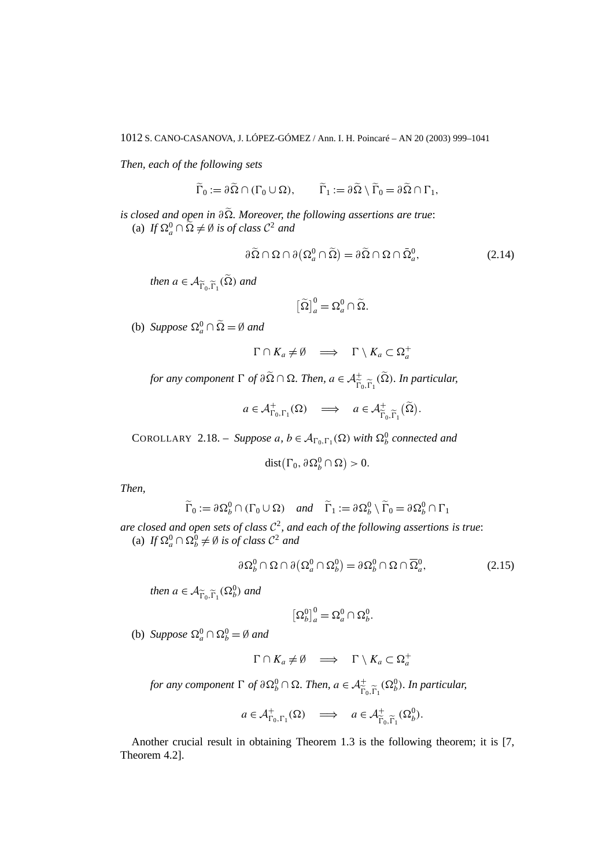*Then, each of the following sets*

$$
\widetilde{\Gamma}_0 := \partial \widetilde{\Omega} \cap (\Gamma_0 \cup \Omega), \qquad \widetilde{\Gamma}_1 := \partial \widetilde{\Omega} \setminus \widetilde{\Gamma}_0 = \partial \widetilde{\Omega} \cap \Gamma_1,
$$

*is closed and open in ∂ . Moreover, the following assertions are true*: (a) If  $\Omega_a^0 \cap \tilde{\Omega} \neq \emptyset$  is of class  $C^2$  and

$$
\partial \widetilde{\Omega} \cap \Omega \cap \partial (\Omega_a^0 \cap \widetilde{\Omega}) = \partial \widetilde{\Omega} \cap \Omega \cap \overline{\Omega}_a^0, \tag{2.14}
$$

*then*  $a \in A_{\widetilde{\Gamma}_0, \widetilde{\Gamma}_1}(\Omega)$  and

$$
\left[\widetilde{\Omega}\right]_a^0 = \Omega_a^0 \cap \widetilde{\Omega}.
$$

(b) *Suppose*  $\Omega_a^0 \cap \tilde{\Omega} = \emptyset$  *and* 

$$
\Gamma \cap K_a \neq \emptyset \quad \Longrightarrow \quad \Gamma \setminus K_a \subset \Omega_a^+
$$

*for any component*  $\Gamma$  *of*  $\partial \widetilde{\Omega} \cap \Omega$ *. Then,*  $a \in \mathcal{A}_{\widetilde{\Gamma}_0, \widetilde{\Gamma}_1}^+(\widetilde{\Omega})$ *. In particular,* 

$$
a \in \mathcal{A}^+_{\Gamma_0,\Gamma_1}(\Omega) \implies a \in \mathcal{A}^+_{\widetilde{\Gamma}_0,\widetilde{\Gamma}_1}(\widetilde{\Omega}).
$$

COROLLARY 2.18. – *Suppose a, b*  $\in$   $\mathcal{A}_{\Gamma_0,\Gamma_1}(\Omega)$  *with*  $\Omega_b^0$  *connected and* 

$$
dist(\Gamma_0, \partial \Omega_b^0 \cap \Omega) > 0.
$$

*Then,*

$$
\widetilde{\Gamma}_0 := \partial \Omega_b^0 \cap (\Gamma_0 \cup \Omega) \quad \text{and} \quad \widetilde{\Gamma}_1 := \partial \Omega_b^0 \setminus \widetilde{\Gamma}_0 = \partial \Omega_b^0 \cap \Gamma_1
$$

*are closed and open sets of class*  $C^2$ , and each of the following assertions is true: (a) If  $\Omega_a^0 \cap \Omega_b^0 \neq \emptyset$  is of class  $C^2$  and

$$
\partial \Omega_b^0 \cap \Omega \cap \partial (\Omega_a^0 \cap \Omega_b^0) = \partial \Omega_b^0 \cap \Omega \cap \overline{\Omega}_a^0, \tag{2.15}
$$

*then*  $a \in A_{\widetilde{\Gamma}_0, \widetilde{\Gamma}_1}(\Omega_b^0)$  *and* 

$$
\left[\Omega_b^0\right]_a^0 = \Omega_a^0 \cap \Omega_b^0.
$$

(b) *Suppose*  $\Omega_a^0 \cap \Omega_b^0 = \emptyset$  *and* 

$$
\Gamma \cap K_a \neq \emptyset \implies \Gamma \setminus K_a \subset \Omega_a^+
$$

*for any component*  $\Gamma$  *of*  $\partial \Omega_b^0 \cap \Omega$ *. Then,*  $a \in \mathcal{A}_{\widetilde{\Gamma}_0,\widetilde{\Gamma}_1}^+(\Omega_b^0)$ *. In particular,* 

$$
a \in \mathcal{A}^+_{\Gamma_0,\Gamma_1}(\Omega) \implies a \in \mathcal{A}^+_{\widetilde{\Gamma}_0,\widetilde{\Gamma}_1}(\Omega_b^0).
$$

Another crucial result in obtaining Theorem 1.3 is the following theorem; it is [7, Theorem 4.2].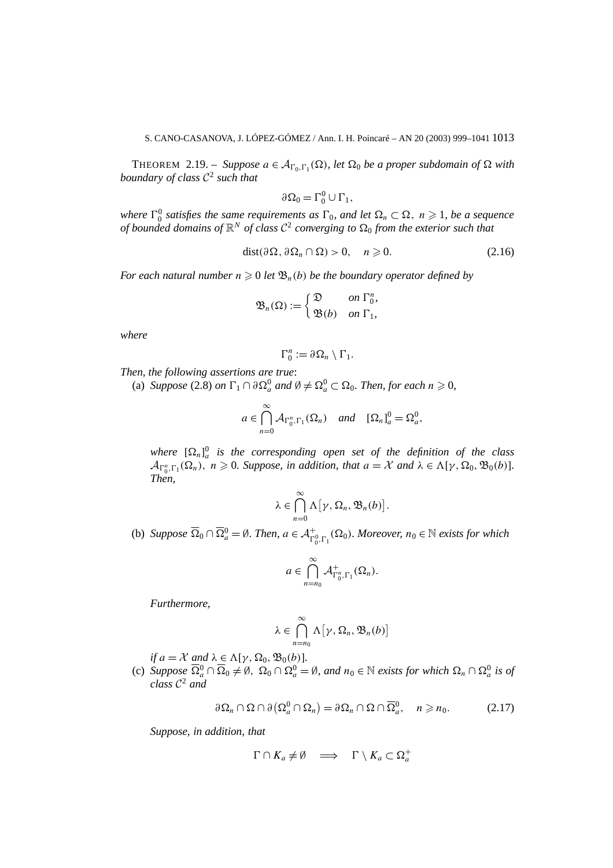THEOREM 2.19. – *Suppose*  $a \in A_{\Gamma_0, \Gamma_1}(\Omega)$ *, let*  $\Omega_0$  *be a proper subdomain of*  $\Omega$  *with boundary of class*  $C^2$  *such that* 

$$
\partial\Omega_0 = \Gamma_0^0 \cup \Gamma_1,
$$

where  $\Gamma_0^0$  *satisfies the same requirements as*  $\Gamma_0$ *, and let*  $\Omega_n \subset \Omega$ *, n*  $\geqslant$  1*, be a sequence of bounded domains of*  $\mathbb{R}^N$  *of class*  $\mathcal{C}^2$  *converging to*  $\Omega_0$  *from the exterior such that* 

$$
dist(\partial \Omega, \partial \Omega_n \cap \Omega) > 0, \quad n \geqslant 0. \tag{2.16}
$$

*For each natural number*  $n \geq 0$  *let*  $\mathfrak{B}_n(b)$  *be the boundary operator defined by* 

$$
\mathfrak{B}_n(\Omega) := \begin{cases} \mathfrak{D} & \text{on } \Gamma_0^n, \\ \mathfrak{B}(b) & \text{on } \Gamma_1, \end{cases}
$$

*where*

$$
\Gamma_0^n := \partial \Omega_n \setminus \Gamma_1.
$$

*Then, the following assertions are true*:

(a) *Suppose* (2.8) *on*  $\Gamma_1 \cap \partial \Omega_a^0$  *and*  $\emptyset \neq \Omega_a^0 \subset \Omega_0$ *. Then, for each*  $n \ge 0$ *,* 

$$
a\in \bigcap_{n=0}^{\infty} \mathcal{A}_{\Gamma_0^n,\Gamma_1}(\Omega_n) \quad and \quad [\Omega_n]_a^0=\Omega_a^0,
$$

where  $[\Omega_n]_a^0$  is the corresponding open set of the definition of the class  $\mathcal{A}_{\Gamma_0^n,\Gamma_1}(\Omega_n)$ ,  $n \geq 0$ . Suppose, in addition, that  $a = \mathcal{X}$  and  $\lambda \in \Lambda[\gamma,\Omega_0,\mathfrak{B}_0(b)]$ . *Then,*

$$
\lambda \in \bigcap_{n=0}^{\infty} \Lambda \big[ \gamma, \Omega_n, \mathfrak{B}_n(b) \big].
$$

(b) Suppose  $\overline{\Omega}_0 \cap \overline{\Omega}_a^0 = \emptyset$ . Then,  $a \in \mathcal{A}^+_{\Gamma_0^0, \Gamma_1}(\Omega_0)$ . Moreover,  $n_0 \in \mathbb{N}$  exists for which

$$
a\in \bigcap_{n=n_0}^{\infty} \mathcal{A}_{\Gamma_0^n,\Gamma_1}^+(\Omega_n).
$$

*Furthermore,*

$$
\lambda\in \bigcap_{n=n_0}^\infty \Lambda\big[\gamma,\Omega_n,\mathfrak{B}_n(b)\big]
$$

*if*  $a = \mathcal{X}$  *and*  $\lambda \in \Lambda[\gamma, \Omega_0, \mathfrak{B}_0(b)]$ *.* 

(c) *Suppose*  $\overline{\Omega}_a^0 \cap \overline{\Omega}_0 \neq \emptyset$ ,  $\Omega_0 \cap \Omega_a^0 = \emptyset$ , and  $n_0 \in \mathbb{N}$  exists for which  $\Omega_n \cap \Omega_a^0$  is of  $class C<sup>2</sup>$  *and* 

$$
\partial \Omega_n \cap \Omega \cap \partial (\Omega_a^0 \cap \Omega_n) = \partial \Omega_n \cap \Omega \cap \overline{\Omega}_a^0, \quad n \ge n_0. \tag{2.17}
$$

*Suppose, in addition, that*

$$
\Gamma \cap K_a \neq \emptyset \implies \Gamma \setminus K_a \subset \Omega_a^+
$$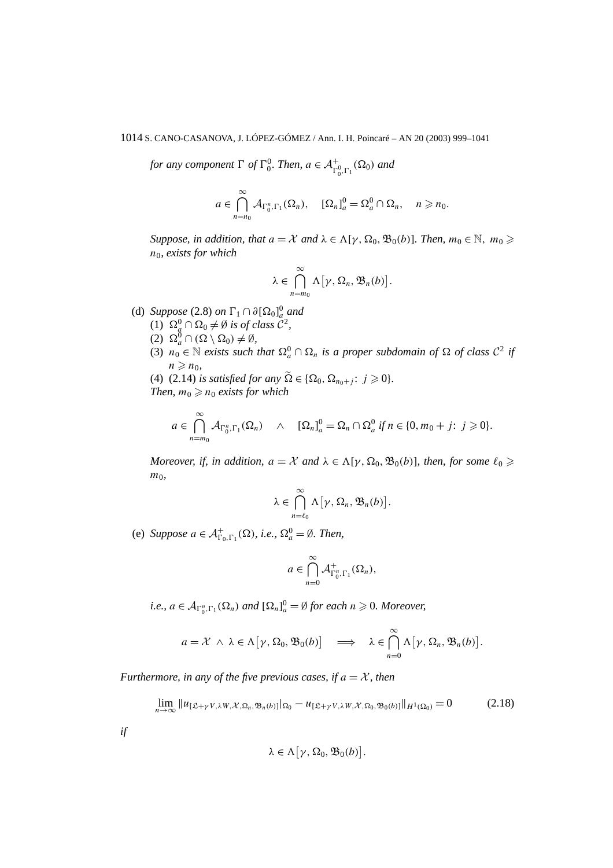*for any component*  $\Gamma$  *of*  $\Gamma_0^0$ *. Then,*  $a \in \mathcal{A}_{\Gamma_0^0,\Gamma_1}^+(\Omega_0)$  *and* 

$$
a\in \bigcap_{n=n_0}^{\infty} \mathcal{A}_{\Gamma_0^n,\Gamma_1}(\Omega_n), \quad [\Omega_n]_a^0=\Omega_a^0\cap \Omega_n, \quad n\geq n_0.
$$

*Suppose, in addition, that*  $a = \mathcal{X}$  *and*  $\lambda \in \Lambda[\gamma, \Omega_0, \mathfrak{B}_0(b)]$ *. Then,*  $m_0 \in \mathbb{N}$ *,*  $m_0 \geq$ *n*0*, exists for which*

$$
\lambda\in\bigcap_{n=m_0}^{\infty}\Lambda\big[\gamma,\Omega_n,\mathfrak{B}_n(b)\big].
$$

- (d) *Suppose* (2.8) *on*  $\Gamma_1 \cap \partial [\Omega_0]_a^0$  *and* 
	- (1)  $\Omega_{a}^{0} \cap \Omega_{0} \neq \emptyset$  *is of class*  $C^{2}$ *,*
	- $(2) \ \Omega_a^0 \cap (\Omega \setminus \Omega_0) \neq \emptyset,$
	- (3)  $n_0 \in \mathbb{N}$  *exists such that*  $\Omega_a^0 \cap \Omega_n$  *is a proper subdomain of*  $\Omega$  *of class*  $C^2$  *if*  $n \geqslant n_0$
	- (4) (2.14) *is satisfied for any*  $\widetilde{\Omega} \in \{ \Omega_0, \Omega_{n_0 + j} : j \geq 0 \}.$ *Then,*  $m_0 \ge n_0$  *exists for which*

$$
a\in \bigcap_{n=m_0}^{\infty} \mathcal{A}_{\Gamma_0^n,\Gamma_1}(\Omega_n) \quad \wedge \quad [\Omega_n]_a^0 = \Omega_n \cap \Omega_a^0 \text{ if } n \in \{0,m_0+j\colon j \geq 0\}.
$$

*Moreover, if, in addition,*  $a = \mathcal{X}$  *and*  $\lambda \in \Lambda[\gamma, \Omega_0, \mathfrak{B}_0(b)]$ *, then, for some*  $\ell_0 \geq$ *m*0*,*

$$
\lambda \in \bigcap_{n=\ell_0}^{\infty} \Lambda \big[ \gamma, \Omega_n, \mathfrak{B}_n(b) \big].
$$

(e) Suppose  $a \in \mathcal{A}_{\Gamma_0,\Gamma_1}^+(\Omega)$ , *i.e.*,  $\Omega_a^0 = \emptyset$ . Then,

$$
a\in \bigcap_{n=0}^{\infty} \mathcal{A}_{\Gamma_0^n,\Gamma_1}^+(\Omega_n),
$$

*i.e.,*  $a \in \mathcal{A}_{\Gamma_0^n,\Gamma_1}(\Omega_n)$  and  $[\Omega_n]_a^0 = \emptyset$  for each  $n \geq 0$ . Moreover,

$$
a = \mathcal{X} \wedge \lambda \in \Lambda[\gamma, \Omega_0, \mathfrak{B}_0(b)] \implies \lambda \in \bigcap_{n=0}^{\infty} \Lambda[\gamma, \Omega_n, \mathfrak{B}_n(b)].
$$

*Furthermore, in any of the five previous cases, if*  $a = X$ *, then* 

$$
\lim_{n \to \infty} ||u_{[\mathfrak{L} + \gamma V, \lambda W, \mathcal{X}, \Omega_n, \mathfrak{B}_n(b)]}|_{\Omega_0} - u_{[\mathfrak{L} + \gamma V, \lambda W, \mathcal{X}, \Omega_0, \mathfrak{B}_0(b)]}||_{H^1(\Omega_0)} = 0 \tag{2.18}
$$

*if*

$$
\lambda \in \Lambda[\gamma, \Omega_0, \mathfrak{B}_0(b)].
$$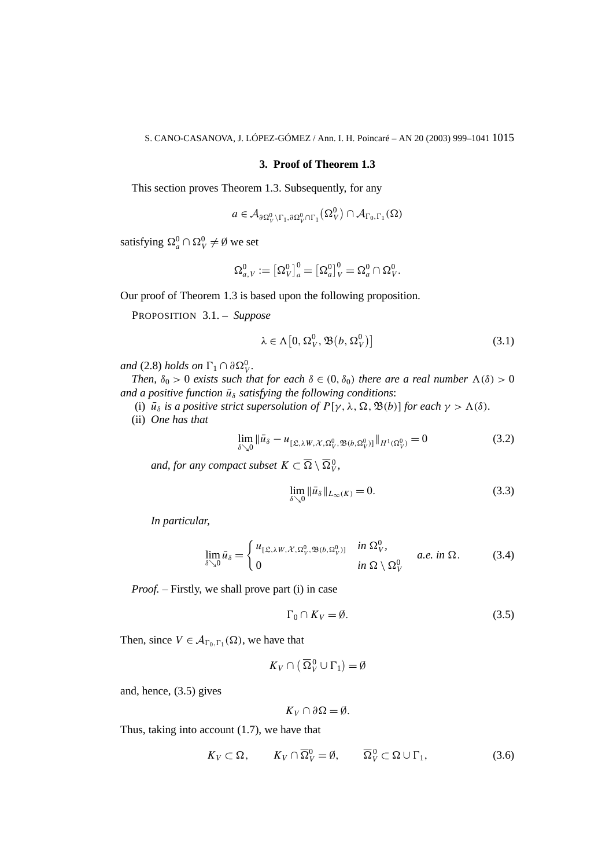S. CANO-CASANOVA, J. LÓPEZ-GÓMEZ / Ann. I. H. Poincaré – AN 20 (2003) 999–1041 1015

#### **3. Proof of Theorem 1.3**

This section proves Theorem 1.3. Subsequently, for any

$$
a\in \mathcal{A}_{\partial \Omega_V^0 \backslash \Gamma_1, \partial \Omega_V^0 \cap \Gamma_1}(\Omega_V^0) \cap \mathcal{A}_{\Gamma_0, \Gamma_1}(\Omega)
$$

satisfying  $\Omega_a^0 \cap \Omega_V^0 \neq \emptyset$  we set

$$
\Omega_{a,V}^0 := \left[\Omega_V^0\right]_a^0 = \left[\Omega_a^0\right]_V^0 = \Omega_a^0 \cap \Omega_V^0.
$$

Our proof of Theorem 1.3 is based upon the following proposition.

PROPOSITION 3.1. – *Suppose*

$$
\lambda \in \Lambda \left[0, \Omega_V^0, \mathfrak{B}(b, \Omega_V^0)\right] \tag{3.1}
$$

*and* (2.8) *holds on*  $\Gamma_1 \cap \partial \Omega_V^0$ .

*Then,*  $\delta_0 > 0$  *exists such that for each*  $\delta \in (0, \delta_0)$  *there are a real number*  $\Lambda(\delta) > 0$ *and a positive function*  $\bar{u}_δ$  *satisfying the following conditions:* 

(i)  $\bar{u}_{\delta}$  *is a positive strict supersolution of*  $P[\gamma, \lambda, \Omega, \mathfrak{B}(b)]$  *for each*  $\gamma > \Lambda(\delta)$ *.* 

(ii) *One has that*

$$
\lim_{\delta \searrow 0} \|\bar{u}_{\delta} - u_{[\mathfrak{L}, \lambda W, \mathcal{X}, \Omega_V^0, \mathfrak{B}(b, \Omega_V^0)]}\|_{H^1(\Omega_V^0)} = 0
$$
\n(3.2)

*and, for any compact subset*  $K \subset \overline{\Omega} \setminus \overline{\Omega}_V^0$ ,

$$
\lim_{\delta \searrow 0} \|\bar{u}_{\delta}\|_{L_{\infty}(K)} = 0. \tag{3.3}
$$

*In particular,*

$$
\lim_{\delta \searrow 0} \bar{u}_{\delta} = \begin{cases} u_{[\mathfrak{L},\lambda W,\mathcal{X},\Omega_V^0,\mathfrak{B}(b,\Omega_V^0)]} & \text{in } \Omega_V^0, \\ 0 & \text{in } \Omega \setminus \Omega_V^0 \end{cases} \quad a.e. \text{ in } \Omega. \tag{3.4}
$$

*Proof. –* Firstly, we shall prove part (i) in case

$$
\Gamma_0 \cap K_V = \emptyset. \tag{3.5}
$$

Then, since  $V \in \mathcal{A}_{\Gamma_0, \Gamma_1}(\Omega)$ , we have that

$$
K_V \cap (\,\overline{\Omega}_V^0 \cup \Gamma_1) = \emptyset
$$

and, hence, (3.5) gives

$$
K_V \cap \partial \Omega = \emptyset.
$$

Thus, taking into account (1.7), we have that

$$
K_V \subset \Omega, \qquad K_V \cap \overline{\Omega}_V^0 = \emptyset, \qquad \overline{\Omega}_V^0 \subset \Omega \cup \Gamma_1,\tag{3.6}
$$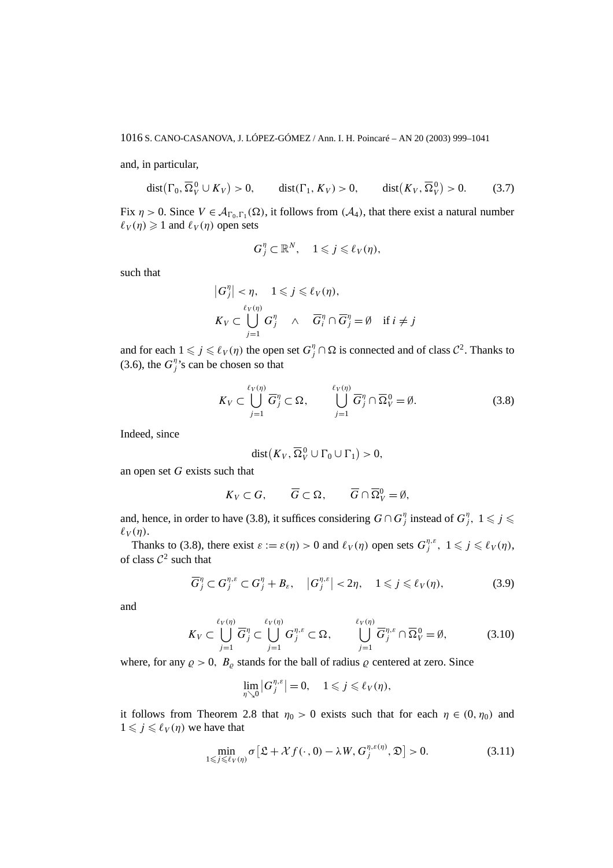and, in particular,

$$
dist(\Gamma_0, \overline{\Omega}_V^0 \cup K_V) > 0, \qquad dist(\Gamma_1, K_V) > 0, \qquad dist(K_V, \overline{\Omega}_V^0) > 0. \tag{3.7}
$$

Fix  $\eta > 0$ . Since  $V \in A_{\Gamma_0, \Gamma_1}(\Omega)$ , it follows from  $(A_4)$ , that there exist a natural number  $\ell_V(\eta) \geq 1$  and  $\ell_V(\eta)$  open sets

$$
G_j^{\eta} \subset \mathbb{R}^N, \quad 1 \leqslant j \leqslant \ell_V(\eta),
$$

such that

$$
\begin{aligned} \left| G_j^{\eta} \right| &< \eta, \quad 1 \leqslant j \leqslant \ell_V(\eta), \\ K_V &< \bigcup_{j=1}^{\ell_V(\eta)} G_j^{\eta} \quad \land \quad \overline{G}_i^{\eta} \cap \overline{G}_j^{\eta} = \emptyset \quad \text{if } i \neq j \end{aligned}
$$

and for each  $1 \leq j \leq \ell_V(\eta)$  the open set  $G_j^{\eta} \cap \Omega$  is connected and of class  $C^2$ . Thanks to (3.6), the  $G_j^{\eta}$ 's can be chosen so that

$$
K_V \subset \bigcup_{j=1}^{\ell_V(\eta)} \overline{G}_j^{\eta} \subset \Omega, \qquad \bigcup_{j=1}^{\ell_V(\eta)} \overline{G}_j^{\eta} \cap \overline{\Omega}_V^0 = \emptyset. \tag{3.8}
$$

Indeed, since

$$
dist(K_V, \overline{\Omega}_V^0 \cup \Gamma_0 \cup \Gamma_1) > 0,
$$

an open set *G* exists such that

$$
K_V \subset G, \qquad \overline{G} \subset \Omega, \qquad \overline{G} \cap \overline{\Omega}_V^0 = \emptyset,
$$

and, hence, in order to have (3.8), it suffices considering  $G \cap G_j^{\eta}$  instead of  $G_j^{\eta}$ ,  $1 \leqslant j \leqslant j$  $\ell_V(\eta)$ .

Thanks to (3.8), there exist  $\varepsilon := \varepsilon(\eta) > 0$  and  $\ell_V(\eta)$  open sets  $G_j^{\eta,\varepsilon}$ ,  $1 \leq j \leq \ell_V(\eta)$ , of class  $C^2$  such that

$$
\overline{G}_{j}^{\eta} \subset G_{j}^{\eta,\varepsilon} \subset G_{j}^{\eta} + B_{\varepsilon}, \quad |G_{j}^{\eta,\varepsilon}| < 2\eta, \quad 1 \leqslant j \leqslant \ell_{V}(\eta), \tag{3.9}
$$

and

$$
K_V \subset \bigcup_{j=1}^{\ell_V(\eta)} \overline{G}_j^{\eta} \subset \bigcup_{j=1}^{\ell_V(\eta)} G_j^{\eta,\varepsilon} \subset \Omega, \qquad \bigcup_{j=1}^{\ell_V(\eta)} \overline{G}_j^{\eta,\varepsilon} \cap \overline{\Omega}_V^0 = \emptyset, \tag{3.10}
$$

where, for any  $\rho > 0$ ,  $B_\rho$  stands for the ball of radius  $\rho$  centered at zero. Since

$$
\lim_{\eta \searrow 0} |G_j^{\eta,\varepsilon}| = 0, \quad 1 \leqslant j \leqslant \ell_V(\eta),
$$

it follows from Theorem 2.8 that  $\eta_0 > 0$  exists such that for each  $\eta \in (0, \eta_0)$  and  $1 \leq j \leq \ell_V(\eta)$  we have that

$$
\min_{1 \le j \le \ell_V(\eta)} \sigma \left[ \mathfrak{L} + \mathcal{X} f(\cdot, 0) - \lambda W, G_j^{\eta, \varepsilon(\eta)}, \mathfrak{D} \right] > 0. \tag{3.11}
$$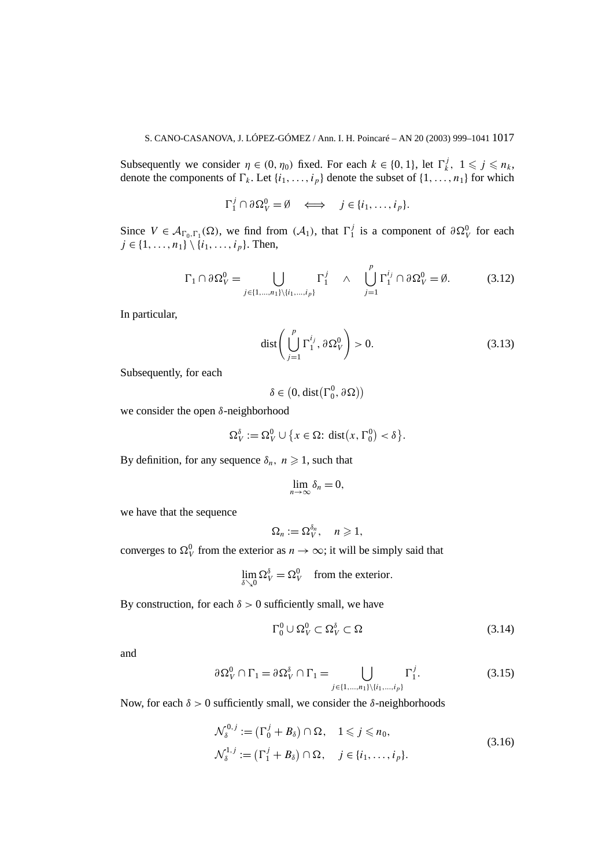Subsequently we consider  $\eta \in (0, \eta_0)$  fixed. For each  $k \in \{0, 1\}$ , let  $\Gamma_k^j$ ,  $1 \leq j \leq n_k$ , denote the components of  $\Gamma_k$ . Let  $\{i_1, \ldots, i_p\}$  denote the subset of  $\{1, \ldots, n_1\}$  for which

$$
\Gamma_1^j \cap \partial \Omega_V^0 = \emptyset \iff j \in \{i_1, \dots, i_p\}.
$$

Since  $V \in \mathcal{A}_{\Gamma_0,\Gamma_1}(\Omega)$ , we find from  $(\mathcal{A}_1)$ , that  $\Gamma_1^j$  is a component of  $\partial \Omega_V^0$  for each *j* ∈ {1, ..., *n*<sub>1</sub>} \ {*i*<sub>1</sub>, ..., *i<sub>p</sub>*}. Then,

$$
\Gamma_1 \cap \partial \Omega_V^0 = \bigcup_{j \in \{1, \dots, n_1\} \setminus \{i_1, \dots, i_p\}} \Gamma_1^j \quad \wedge \quad \bigcup_{j=1}^p \Gamma_1^{i_j} \cap \partial \Omega_V^0 = \emptyset. \tag{3.12}
$$

In particular,

$$
\text{dist}\left(\bigcup_{j=1}^{p} \Gamma_1^{i_j}, \partial \Omega_V^0\right) > 0. \tag{3.13}
$$

Subsequently, for each

$$
\delta\in\big(0,\text{dist}\big(\Gamma_0^0,\partial\Omega\big)\big)
$$

we consider the open *δ*-neighborhood

$$
\Omega_V^{\delta} := \Omega_V^0 \cup \{x \in \Omega : \text{dist}(x, \Gamma_0^0) < \delta\}.
$$

By definition, for any sequence  $\delta_n$ ,  $n \ge 1$ , such that

$$
\lim_{n\to\infty}\delta_n=0,
$$

we have that the sequence

$$
\Omega_n:=\Omega_V^{\delta_n}, \quad n\geqslant 1,
$$

converges to  $\Omega_V^0$  from the exterior as  $n \to \infty$ ; it will be simply said that

$$
\lim_{\delta \searrow 0} \Omega_V^{\delta} = \Omega_V^0 \quad \text{from the exterior.}
$$

By construction, for each  $\delta > 0$  sufficiently small, we have

$$
\Gamma_0^0 \cup \Omega_V^0 \subset \Omega_V^\delta \subset \Omega \tag{3.14}
$$

and

$$
\partial \Omega_V^0 \cap \Gamma_1 = \partial \Omega_V^{\delta} \cap \Gamma_1 = \bigcup_{j \in \{1, \dots, n_1\} \setminus \{i_1, \dots, i_p\}} \Gamma_1^j. \tag{3.15}
$$

Now, for each  $δ > 0$  sufficiently small, we consider the  $δ$ -neighborhoods

$$
\mathcal{N}_{\delta}^{0,j} := (\Gamma_0^j + B_\delta) \cap \Omega, \quad 1 \leq j \leq n_0,
$$
  

$$
\mathcal{N}_{\delta}^{1,j} := (\Gamma_1^j + B_\delta) \cap \Omega, \quad j \in \{i_1, \dots, i_p\}.
$$
 (3.16)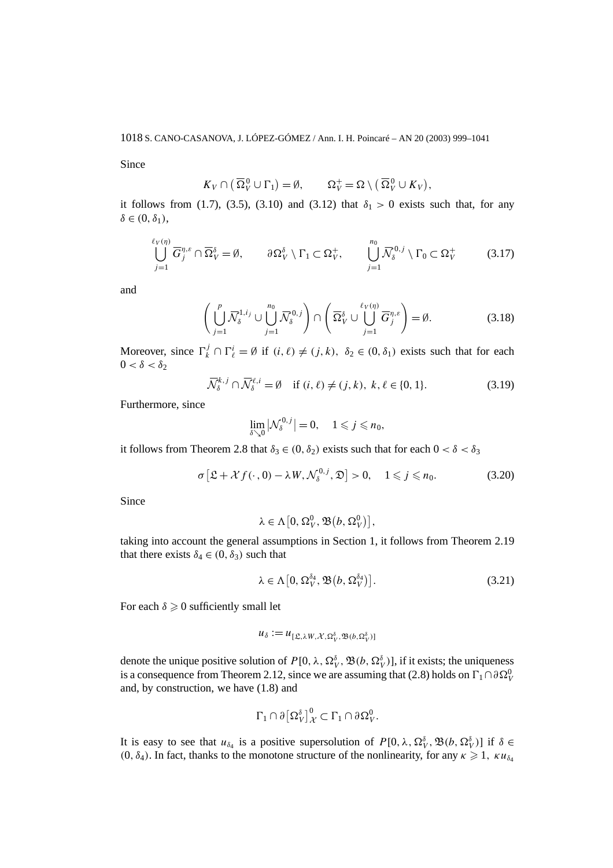Since

$$
K_V \cap (\overline{\Omega}_V^0 \cup \Gamma_1) = \emptyset, \qquad \Omega_V^+ = \Omega \setminus (\overline{\Omega}_V^0 \cup K_V),
$$

it follows from (1.7), (3.5), (3.10) and (3.12) that  $\delta_1 > 0$  exists such that, for any  $\delta \in (0, \delta_1)$ ,

$$
\bigcup_{j=1}^{\ell_V(\eta)} \overline{G}_j^{\eta,\varepsilon} \cap \overline{\Omega}_V^{\delta} = \emptyset, \qquad \partial \Omega_V^{\delta} \setminus \Gamma_1 \subset \Omega_V^+, \qquad \bigcup_{j=1}^{n_0} \overline{\mathcal{N}}_{\delta}^{0,j} \setminus \Gamma_0 \subset \Omega_V^+ \tag{3.17}
$$

and

$$
\left(\bigcup_{j=1}^p \overline{\mathcal{N}}_{\delta}^{1,i_j} \cup \bigcup_{j=1}^{n_0} \overline{\mathcal{N}}_{\delta}^{0,j}\right) \cap \left(\overline{\Omega}_{V}^{\delta} \cup \bigcup_{j=1}^{\ell_V(\eta)} \overline{G}_{j}^{\eta,\varepsilon}\right) = \emptyset.
$$
\n(3.18)

Moreover, since  $\Gamma_k^j \cap \Gamma_\ell^i = \emptyset$  if  $(i, \ell) \neq (j, k)$ ,  $\delta_2 \in (0, \delta_1)$  exists such that for each  $0 < \delta < \delta_2$ 

$$
\overline{\mathcal{N}}_{\delta}^{k,j} \cap \overline{\mathcal{N}}_{\delta}^{\ell,i} = \emptyset \quad \text{if } (i,\ell) \neq (j,k), \ k,\ell \in \{0,1\}. \tag{3.19}
$$

Furthermore, since

$$
\lim_{\delta \searrow 0} |\mathcal{N}_{\delta}^{0,j}| = 0, \quad 1 \leqslant j \leqslant n_0,
$$

it follows from Theorem 2.8 that  $\delta_3 \in (0, \delta_2)$  exists such that for each  $0 < \delta < \delta_3$ 

$$
\sigma\left[\mathfrak{L}+\mathcal{X}f(\cdot,0)-\lambda W,\mathcal{N}_{\delta}^{0,j},\mathfrak{D}\right]>0,\quad 1\leqslant j\leqslant n_{0}.\tag{3.20}
$$

Since

$$
\lambda \in \Lambda \big[ 0, \Omega_V^0, \mathfrak{B}\big(b, \Omega_V^0\big) \big],
$$

taking into account the general assumptions in Section 1, it follows from Theorem 2.19 that there exists  $\delta_4 \in (0, \delta_3)$  such that

$$
\lambda \in \Lambda \left[0, \Omega_V^{\delta_4}, \mathfrak{B}\left(b, \Omega_V^{\delta_4}\right)\right]. \tag{3.21}
$$

For each  $\delta \geq 0$  sufficiently small let

$$
u_{\delta} := u_{[\mathfrak{L},\lambda W,\mathcal{X},\Omega^{\delta}_{V},\mathfrak{B}(b,\Omega^{\delta}_{V})]}
$$

denote the unique positive solution of  $P[0, \lambda, \Omega_V^{\delta}, \mathfrak{B}(b, \Omega_V^{\delta})]$ , if it exists; the uniqueness is a consequence from Theorem 2.12, since we are assuming that (2.8) holds on  $\Gamma_1 \cap \partial \Omega_V^0$ and, by construction, we have (1.8) and

$$
\Gamma_1 \cap \partial \left[ \Omega_V^{\delta} \right]_{\mathcal{X}}^0 \subset \Gamma_1 \cap \partial \Omega_V^0.
$$

It is easy to see that  $u_{\delta_4}$  is a positive supersolution of  $P[0, \lambda, \Omega_V^{\delta}, \mathfrak{B}(b, \Omega_V^{\delta})]$  if  $\delta \in$ *(*0*, δ*<sub>4</sub>). In fact, thanks to the monotone structure of the nonlinearity, for any *κ*  $\geq 1$ *, κu*<sub>δ<sub>4</sub></sub>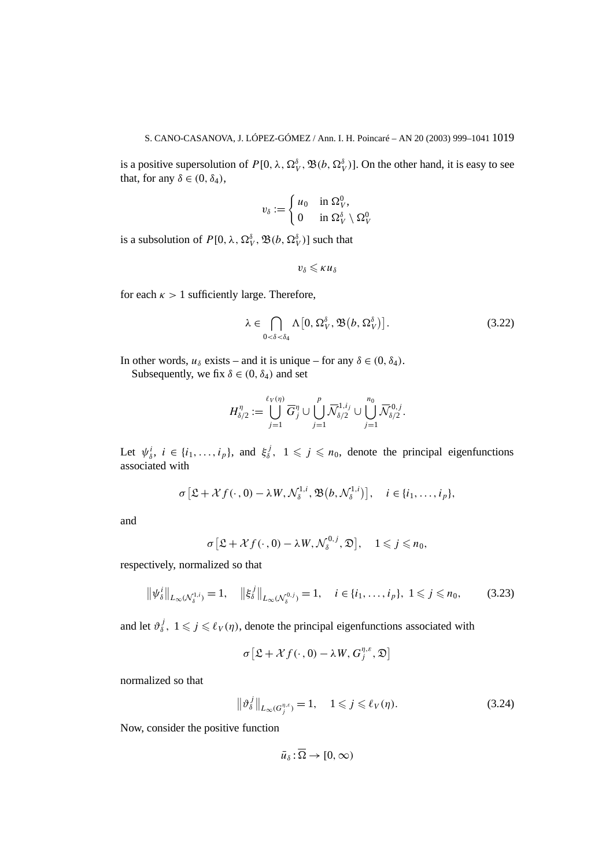is a positive supersolution of  $P[0, \lambda, \Omega^{\delta}_V, \mathfrak{B}(b, \Omega^{\delta}_V)]$ . On the other hand, it is easy to see that, for any  $\delta \in (0, \delta_4)$ ,

$$
v_{\delta} := \begin{cases} u_0 & \text{in } \Omega_V^0, \\ 0 & \text{in } \Omega_V^{\delta} \setminus \Omega_V^0 \end{cases}
$$

is a subsolution of  $P[0, \lambda, \Omega^{\delta}_V, \mathfrak{B}(b, \Omega^{\delta}_V)]$  such that

$$
v_\delta \leqslant \kappa \, u_\delta
$$

for each  $\kappa > 1$  sufficiently large. Therefore,

$$
\lambda \in \bigcap_{0 < \delta < \delta_4} \Lambda \left[ 0, \Omega_V^\delta, \mathfrak{B}(b, \Omega_V^\delta) \right]. \tag{3.22}
$$

In other words,  $u_{\delta}$  exists – and it is unique – for any  $\delta \in (0, \delta_4)$ .

Subsequently, we fix  $\delta \in (0, \delta_4)$  and set

$$
H_{\delta/2}^{\eta} := \bigcup_{j=1}^{\ell_V(\eta)} \overline{G}_j^{\eta} \cup \bigcup_{j=1}^p \overline{\mathcal{N}}_{\delta/2}^{1,i_j} \cup \bigcup_{j=1}^{n_0} \overline{\mathcal{N}}_{\delta/2}^{0,j}.
$$

Let  $\psi^i_\delta$ ,  $i \in \{i_1, \ldots, i_p\}$ , and  $\xi^j_\delta$ ,  $1 \leq j \leq n_0$ , denote the principal eigenfunctions associated with

$$
\sigma\big[\mathfrak{L}+\mathcal{X}f(\cdot,0)-\lambda W,\mathcal{N}_{\delta}^{1,i},\mathfrak{B}(b,\mathcal{N}_{\delta}^{1,i})\big],\quad i\in\{i_1,\ldots,i_p\},\
$$

and

$$
\sigma\big[\mathfrak{L}+\mathcal{X}f(\cdot,0)-\lambda W,\mathcal{N}_{\delta}^{0,j},\mathfrak{D}\big],\quad 1\leqslant j\leqslant n_0,
$$

respectively, normalized so that

$$
\left\| \psi_{\delta}^{i} \right\|_{L_{\infty}(\mathcal{N}_{\delta}^{1,i})} = 1, \quad \left\| \xi_{\delta}^{j} \right\|_{L_{\infty}(\mathcal{N}_{\delta}^{0,j})} = 1, \quad i \in \{i_1, \dots, i_p\}, \ 1 \leq j \leq n_0, \tag{3.23}
$$

and let  $\vartheta_{\delta}^{j}$ ,  $1 \leq j \leq \ell_{V}(\eta)$ , denote the principal eigenfunctions associated with

$$
\sigma\left[\mathfrak{L}+\mathcal{X}f(\cdot\,,0)-\lambda W,G_j^{\eta,\varepsilon},\mathfrak{D}\right]
$$

normalized so that

$$
\left\|\vartheta_{\delta}^{j}\right\|_{L_{\infty}(G_{j}^{n,\varepsilon})}=1, \quad 1 \leqslant j \leqslant \ell_{V}(\eta). \tag{3.24}
$$

Now, consider the positive function

 $\overline{u}_{\delta}$  :  $\overline{\Omega} \rightarrow [0, \infty)$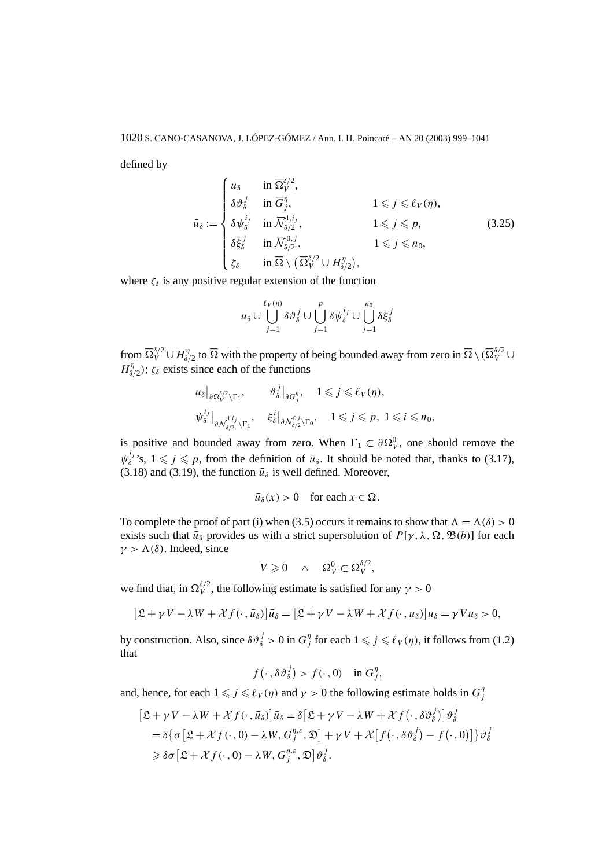defined by

$$
\bar{u}_{\delta} := \begin{cases}\n u_{\delta} & \text{in } \overline{\Omega}_{V}^{\delta/2}, \\
 \delta v_{\delta}^{j} & \text{in } \overline{G}_{j}^{\eta}, \\
 \delta \psi_{\delta}^{i_{j}} & \text{in } \overline{\mathcal{N}}_{\delta/2}^{1, i_{j}}, \\
 \delta \xi_{\delta}^{j} & \text{in } \overline{\mathcal{N}}_{\delta/2}^{0, j}, \\
 \xi_{\delta} & \text{in } \overline{\Omega} \setminus (\overline{\Omega}_{V}^{\delta/2} \cup H_{\delta/2}^{\eta}),\n\end{cases}\n\quad (3.25)
$$

where  $\zeta_{\delta}$  is any positive regular extension of the function

$$
u_{\delta} \cup \bigcup_{j=1}^{\ell_V(\eta)} \delta \vartheta_{\delta}^j \cup \bigcup_{j=1}^p \delta \psi_{\delta}^{i_j} \cup \bigcup_{j=1}^{n_0} \delta \xi_{\delta}^j
$$

from  $\overline{\Omega}_V^{\delta/2} \cup H_{\delta/2}^\eta$  to  $\overline{\Omega}$  with the property of being bounded away from zero in  $\overline{\Omega} \setminus (\overline{\Omega}_V^{\delta/2} \cup$ *H*<sup>η</sup><sub>δ/2</sub>); *ζ*<sub>δ</sub> exists since each of the functions

$$
\begin{aligned}\n u_{\delta}\big|_{\partial\Omega_{V}^{\delta/2}\backslash\Gamma_{1}}, & \vartheta_{\delta}^{j}\big|_{\partial G_{j}^{\eta}}, & 1\leqslant j\leqslant \ell_{V}(\eta), \\
 \psi_{\delta}^{i_{j}}\big|_{\partial\mathcal{N}_{\delta/2}^{1,i_{j}}\backslash\Gamma_{1}}, & \xi_{\delta}^{i}\big|_{\partial\mathcal{N}_{\delta/2}^{0,i}\backslash\Gamma_{0}}, & 1\leqslant j\leqslant p, & 1\leqslant i\leqslant n_{0},\n\end{aligned}
$$

is positive and bounded away from zero. When  $\Gamma_1 \subset \partial \Omega_V^0$ , one should remove the  $\psi_{\delta}^{i_j}$ 's,  $1 \leq j \leq p$ , from the definition of  $\bar{u}_{\delta}$ . It should be noted that, thanks to (3.17), (3.18) and (3.19), the function  $\bar{u}_{\delta}$  is well defined. Moreover,

$$
\bar{u}_{\delta}(x) > 0 \quad \text{for each } x \in \Omega.
$$

To complete the proof of part (i) when (3.5) occurs it remains to show that  $\Lambda = \Lambda(\delta) > 0$ exists such that  $\bar{u}_{\delta}$  provides us with a strict supersolution of  $P[\gamma,\lambda,\Omega,\mathfrak{B}(b)]$  for each  $\gamma > \Lambda(\delta)$ . Indeed, since

$$
V \geq 0 \quad \wedge \quad \Omega^0_V \subset \Omega^{\delta/2}_V,
$$

we find that, in  $\Omega_V^{\delta/2}$ , the following estimate is satisfied for any  $\gamma > 0$ 

$$
[\mathfrak{L} + \gamma V - \lambda W + \mathcal{X} f(\cdot, \bar{u}_{\delta})] \bar{u}_{\delta} = [\mathfrak{L} + \gamma V - \lambda W + \mathcal{X} f(\cdot, u_{\delta})] u_{\delta} = \gamma V u_{\delta} > 0,
$$

by construction. Also, since  $\delta \vartheta_{\delta}^{j} > 0$  in  $G_j^{\eta}$  for each  $1 \leqslant j \leqslant \ell_V(\eta)$ , it follows from (1.2) that

$$
f(\cdot,\delta\vartheta_{\delta}^j) > f(\cdot,0) \quad \text{in } G_j^{\eta},
$$

and, hence, for each  $1 \leq j \leq \ell_V(\eta)$  and  $\gamma > 0$  the following estimate holds in  $G_j^{\eta}$ 

$$
\begin{aligned} \left[\mathfrak{L} + \gamma V - \lambda W + \mathcal{X} f(\cdot, \bar{u}_{\delta})\right] &\bar{u}_{\delta} = \delta \left[\mathfrak{L} + \gamma V - \lambda W + \mathcal{X} f(\cdot, \delta \vartheta_{\delta}^{j})\right] \vartheta_{\delta}^{j} \\ &= \delta \left\{\sigma \left[\mathfrak{L} + \mathcal{X} f(\cdot, 0) - \lambda W, G_{j}^{\eta, \varepsilon}, \mathfrak{D}\right] + \gamma V + \mathcal{X} \left[f(\cdot, \delta \vartheta_{\delta}^{j}) - f(\cdot, 0)\right]\right\} \vartheta_{\delta}^{j} \\ &\geqslant \delta \sigma \left[\mathfrak{L} + \mathcal{X} f(\cdot, 0) - \lambda W, G_{j}^{\eta, \varepsilon}, \mathfrak{D}\right] \vartheta_{\delta}^{j} .\end{aligned}
$$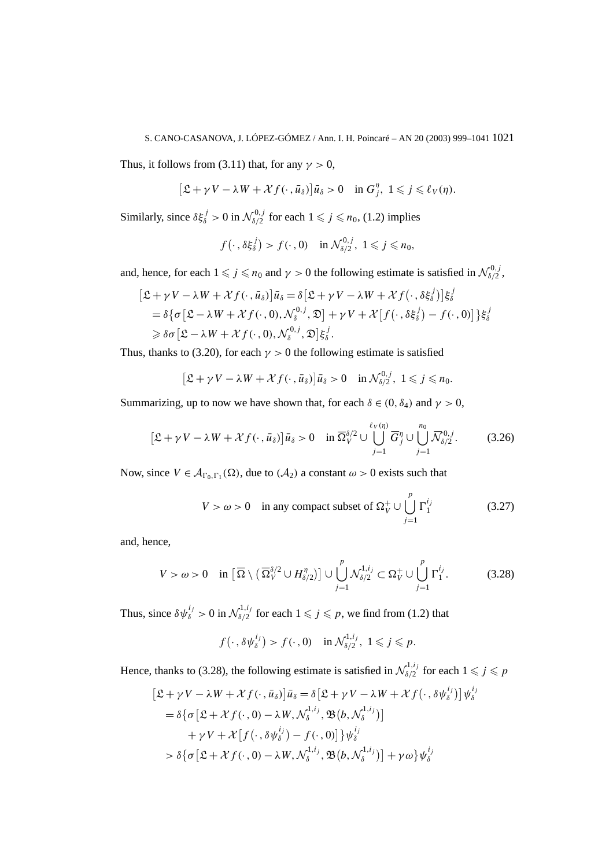Thus, it follows from (3.11) that, for any  $\gamma > 0$ ,

$$
[\mathfrak{L} + \gamma V - \lambda W + \mathcal{X} f(\cdot, \bar{u}_{\delta})] \bar{u}_{\delta} > 0 \quad \text{in } G_j^{\eta}, \ 1 \leqslant j \leqslant \ell_V(\eta).
$$

Similarly, since  $\delta \xi_{\delta}^{j} > 0$  in  $\mathcal{N}_{\delta/2}^{0,j}$  for each  $1 \leq j \leq n_0$ , (1.2) implies

$$
f(\cdot, \delta \xi_{\delta}^{j}) > f(\cdot, 0)
$$
 in  $\mathcal{N}_{\delta/2}^{0,j}$ ,  $1 \leq j \leq n_0$ ,

and, hence, for each  $1 \leq j \leq n_0$  and  $\gamma > 0$  the following estimate is satisfied in  $\mathcal{N}_{\delta/2}^{0,j}$ ,

$$
\begin{aligned} \left[\mathfrak{L} + \gamma V - \lambda W + \mathcal{X}f(\cdot, \bar{u}_{\delta})\right] \bar{u}_{\delta} &= \delta \left[\mathfrak{L} + \gamma V - \lambda W + \mathcal{X}f(\cdot, \delta \xi_{\delta}^{j})\right] \xi_{\delta}^{j} \\ &= \delta \left\{\sigma \left[\mathfrak{L} - \lambda W + \mathcal{X}f(\cdot, 0), \mathcal{N}_{\delta}^{0, j}, \mathfrak{D}\right] + \gamma V + \mathcal{X}\left[f(\cdot, \delta \xi_{\delta}^{j}) - f(\cdot, 0)\right]\right\} \xi_{\delta}^{j} \\ &\geqslant \delta \sigma \left[\mathfrak{L} - \lambda W + \mathcal{X}f(\cdot, 0), \mathcal{N}_{\delta}^{0, j}, \mathfrak{D}\right] \xi_{\delta}^{j} .\end{aligned}
$$

Thus, thanks to (3.20), for each  $\gamma > 0$  the following estimate is satisfied

$$
[\mathfrak{L} + \gamma V - \lambda W + \mathcal{X} f(\cdot, \bar{u}_{\delta})] \bar{u}_{\delta} > 0 \quad \text{in } \mathcal{N}_{\delta/2}^{0,j}, \ 1 \leq j \leq n_0.
$$

Summarizing, up to now we have shown that, for each  $\delta \in (0, \delta_4)$  and  $\gamma > 0$ ,

$$
\left[\mathfrak{L} + \gamma V - \lambda W + \mathcal{X}f(\cdot, \bar{u}_{\delta})\right]\bar{u}_{\delta} > 0 \quad \text{in } \overline{\Omega}_{V}^{\delta/2} \cup \bigcup_{j=1}^{\ell_{V}(\eta)} \overline{G}_{j}^{\eta} \cup \bigcup_{j=1}^{n_{0}} \overline{\mathcal{N}}_{\delta/2}^{0,j}.
$$
 (3.26)

Now, since  $V \in A_{\Gamma_0, \Gamma_1}(\Omega)$ , due to  $(A_2)$  a constant  $\omega > 0$  exists such that

$$
V > \omega > 0 \quad \text{in any compact subset of } \Omega_V^+ \cup \bigcup_{j=1}^p \Gamma_1^{i_j} \tag{3.27}
$$

and, hence,

$$
V > \omega > 0 \quad \text{in } \left[\,\overline{\Omega}\setminus\left(\,\overline{\Omega}_{V}^{\delta/2}\cup H_{\delta/2}^{\eta}\right)\right] \cup \bigcup_{j=1}^{p} \mathcal{N}_{\delta/2}^{1,i_j} \subset \Omega_{V}^{+} \cup \bigcup_{j=1}^{p} \Gamma_{1}^{i_j}.\tag{3.28}
$$

Thus, since  $\delta \psi_{\delta}^{i_j} > 0$  in  $\mathcal{N}_{\delta/2}^{1,i_j}$  for each  $1 \leq j \leq p$ , we find from (1.2) that

$$
f(\cdot,\delta\psi_{\delta}^{i_j}) > f(\cdot,0) \quad \text{in } \mathcal{N}_{\delta/2}^{1,i_j}, \ 1 \leq j \leq p.
$$

Hence, thanks to (3.28), the following estimate is satisfied in  $\mathcal{N}_{\delta/2}^{1,i_j}$  for each  $1 \leq j \leq p$ 

$$
\begin{aligned} \left[\mathfrak{L} + \gamma V - \lambda W + \mathcal{X}f(\cdot, \bar{u}_{\delta})\right] \bar{u}_{\delta} &= \delta \left[\mathfrak{L} + \gamma V - \lambda W + \mathcal{X}f(\cdot, \delta \psi_{\delta}^{i_j})\right] \psi_{\delta}^{i_j} \\ &= \delta \left\{\sigma \left[\mathfrak{L} + \mathcal{X}f(\cdot, 0) - \lambda W, \mathcal{N}_{\delta}^{1, i_j}, \mathfrak{B}(b, \mathcal{N}_{\delta}^{1, i_j})\right] \\ &+ \gamma V + \mathcal{X} \left[f(\cdot, \delta \psi_{\delta}^{i_j}) - f(\cdot, 0)\right] \right\} \psi_{\delta}^{i_j} \\ &> \delta \left\{\sigma \left[\mathfrak{L} + \mathcal{X}f(\cdot, 0) - \lambda W, \mathcal{N}_{\delta}^{1, i_j}, \mathfrak{B}(b, \mathcal{N}_{\delta}^{1, i_j})\right] + \gamma \omega\right\} \psi_{\delta}^{i_j} \end{aligned}
$$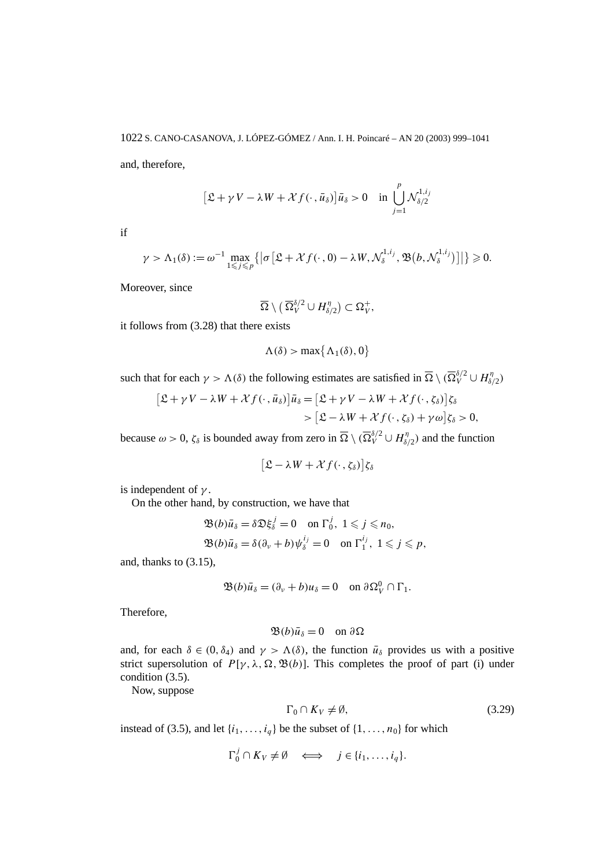1022 S. CANO-CASANOVA, J. LÓPEZ-GÓMEZ / Ann. I. H. Poincaré – AN 20 (2003) 999–1041 and, therefore,

$$
[\mathfrak{L} + \gamma V - \lambda W + \mathcal{X}f(\cdot, \bar{u}_{\delta})] \bar{u}_{\delta} > 0 \quad \text{in } \bigcup_{j=1}^{p} \mathcal{N}_{\delta/2}^{1, i_j}
$$

if

$$
\gamma > \Lambda_1(\delta) := \omega^{-1} \max_{1 \leq j \leq p} \{ \left| \sigma \left[ \mathfrak{L} + \mathcal{X} f(\cdot, 0) - \lambda W, \mathcal{N}_{\delta}^{1, i_j}, \mathfrak{B}(b, \mathcal{N}_{\delta}^{1, i_j}) \right] \right| \} \geq 0.
$$

Moreover, since

$$
\overline{\Omega}\setminus\big(\,\overline{\Omega}_{V}^{\delta/2}\cup H_{\delta/2}^{\eta}\big)\subset\Omega_{V}^{+},
$$

it follows from (3.28) that there exists

$$
\Lambda(\delta) > max\big\{\Lambda_1(\delta), 0\big\}
$$

such that for each  $\gamma > \Lambda(\delta)$  the following estimates are satisfied in  $\overline{\Omega} \setminus (\overline{\Omega}^{\delta/2}_V \cup H^{\eta}_{\delta/2})$ 

$$
[\mathfrak{L} + \gamma V - \lambda W + \mathcal{X}f(\cdot, \bar{u}_{\delta})]\bar{u}_{\delta} = [\mathfrak{L} + \gamma V - \lambda W + \mathcal{X}f(\cdot, \zeta_{\delta})]\zeta_{\delta}
$$
  
> 
$$
[\mathfrak{L} - \lambda W + \mathcal{X}f(\cdot, \zeta_{\delta}) + \gamma \omega]\zeta_{\delta} > 0,
$$

because  $\omega > 0$ ,  $\zeta_{\delta}$  is bounded away from zero in  $\overline{\Omega} \setminus (\overline{\Omega}_{V}^{\delta/2} \cup H_{\delta/2}^{\eta})$  and the function

$$
[\mathfrak{L} - \lambda W + \mathcal{X} f(\cdot, \zeta_{\delta})] \zeta_{\delta}
$$

is independent of  $\gamma$ .

On the other hand, by construction, we have that

$$
\mathfrak{B}(b)\bar{u}_{\delta} = \delta \mathfrak{D}\xi_{\delta}^{j} = 0 \quad \text{on } \Gamma_{0}^{j}, \ 1 \leq j \leq n_{0},
$$
  

$$
\mathfrak{B}(b)\bar{u}_{\delta} = \delta(\partial_{\nu} + b)\psi_{\delta}^{i_{j}} = 0 \quad \text{on } \Gamma_{1}^{i_{j}}, \ 1 \leq j \leq p,
$$

and, thanks to (3.15),

$$
\mathfrak{B}(b)\bar{u}_{\delta} = (\partial_{\nu} + b)u_{\delta} = 0 \quad \text{on } \partial \Omega_V^0 \cap \Gamma_1.
$$

Therefore,

 $\mathfrak{B}(b)\overline{u}_{\delta} = 0$  on  $\partial\Omega$ 

and, for each  $\delta \in (0, \delta_4)$  and  $\gamma > \Lambda(\delta)$ , the function  $\bar{u}_{\delta}$  provides us with a positive strict supersolution of  $P[\gamma, \lambda, \Omega, \mathfrak{B}(b)]$ . This completes the proof of part (i) under condition (3.5).

Now, suppose

$$
\Gamma_0 \cap K_V \neq \emptyset, \tag{3.29}
$$

instead of (3.5), and let  $\{i_1, \ldots, i_q\}$  be the subset of  $\{1, \ldots, n_0\}$  for which

$$
\Gamma_0^j \cap K_V \neq \emptyset \quad \Longleftrightarrow \quad j \in \{i_1, \ldots, i_q\}.
$$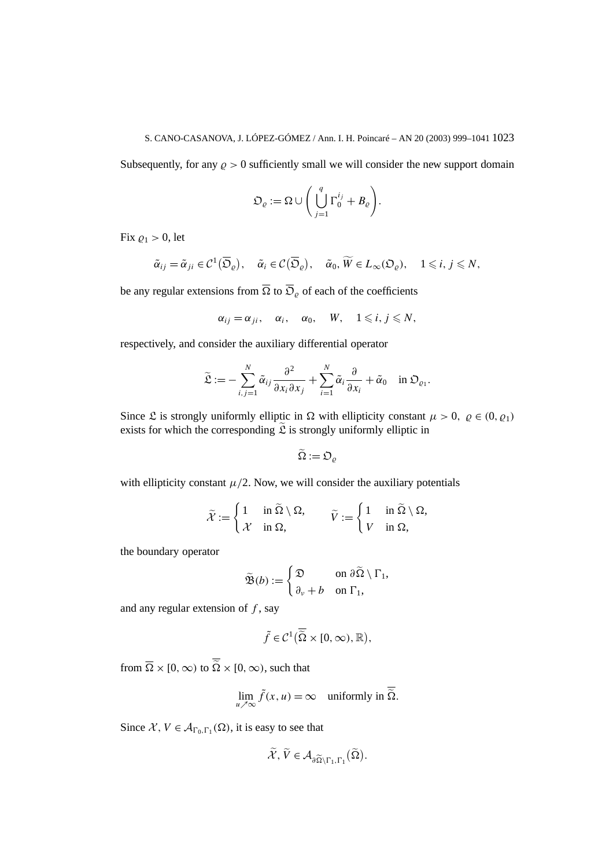Subsequently, for any  $\rho > 0$  sufficiently small we will consider the new support domain

$$
\mathfrak{O}_{\varrho} := \Omega \cup \left( \bigcup_{j=1}^{q} \Gamma_0^{i_j} + B_{\varrho} \right).
$$

Fix  $\varrho_1 > 0$ , let

$$
\tilde{\alpha}_{ij} = \tilde{\alpha}_{ji} \in \mathcal{C}^1(\overline{\mathfrak{O}}_{\varrho}), \quad \tilde{\alpha}_i \in \mathcal{C}(\overline{\mathfrak{O}}_{\varrho}), \quad \tilde{\alpha}_0, \widetilde{W} \in L_{\infty}(\mathfrak{O}_{\varrho}), \quad 1 \leq i, j \leq N,
$$

be any regular extensions from  $\overline{\Omega}$  to  $\overline{\mathfrak{O}}_{\rho}$  of each of the coefficients

$$
\alpha_{ij} = \alpha_{ji}, \quad \alpha_i, \quad \alpha_0, \quad W, \quad 1 \leq i, j \leq N,
$$

respectively, and consider the auxiliary differential operator

$$
\widetilde{\mathfrak{L}} := -\sum_{i,j=1}^N \widetilde{\alpha}_{ij} \frac{\partial^2}{\partial x_i \partial x_j} + \sum_{i=1}^N \widetilde{\alpha}_i \frac{\partial}{\partial x_i} + \widetilde{\alpha}_0 \quad \text{in } \mathfrak{O}_{\varrho_1}.
$$

Since  $\mathfrak L$  is strongly uniformly elliptic in  $\Omega$  with ellipticity constant  $\mu > 0$ ,  $\varrho \in (0, \varrho_1)$ exists for which the corresponding  $\tilde{\mathfrak{L}}$  is strongly uniformly elliptic in

$$
\widetilde{\Omega}:=\mathfrak{O}_{\varrho}
$$

with ellipticity constant  $\mu/2$ . Now, we will consider the auxiliary potentials

$$
\widetilde{\mathcal{X}} := \begin{cases} 1 & \text{in } \widetilde{\Omega} \setminus \Omega, \\ \mathcal{X} & \text{in } \Omega, \end{cases} \qquad \widetilde{V} := \begin{cases} 1 & \text{in } \widetilde{\Omega} \setminus \Omega, \\ V & \text{in } \Omega, \end{cases}
$$

the boundary operator

$$
\widetilde{\mathfrak{B}}(b) := \begin{cases} \mathfrak{D} & \text{on } \partial \widetilde{\Omega} \setminus \Gamma_1, \\ \partial_{\nu} + b & \text{on } \Gamma_1, \end{cases}
$$

and any regular extension of *f* , say

$$
\tilde{f} \in \mathcal{C}^1(\overline{\tilde{\Omega}} \times [0, \infty), \mathbb{R}),
$$

from  $\overline{\Omega} \times [0, \infty)$  to  $\overline{\widetilde{\Omega}} \times [0, \infty)$ , such that

$$
\lim_{u \nearrow \infty} \tilde{f}(x, u) = \infty \quad \text{uniformly in } \overline{\tilde{\Omega}}.
$$

Since  $X, V \in A_{\Gamma_0, \Gamma_1}(\Omega)$ , it is easy to see that

$$
\widetilde{\mathcal{X}}, \widetilde{V} \in \mathcal{A}_{\partial \widetilde{\Omega} \setminus \Gamma_1, \Gamma_1}(\widetilde{\Omega}).
$$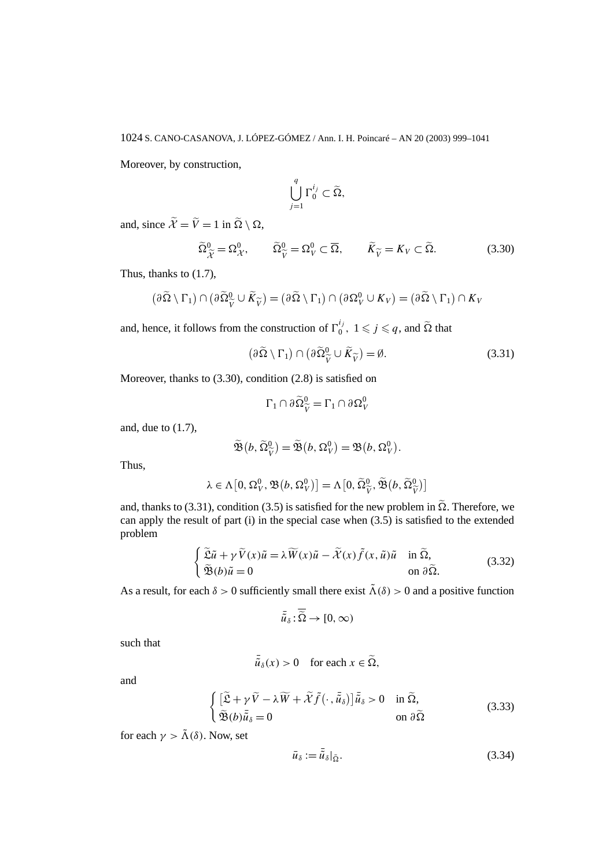Moreover, by construction,

$$
\bigcup_{j=1}^q \Gamma_0^{i_j} \subset \widetilde{\Omega},
$$

and, since  $\widetilde{\mathcal{X}} = \widetilde{V} = 1$  in  $\widetilde{\Omega} \setminus \Omega$ ,

$$
\widetilde{\Omega}_{\widetilde{\mathcal{X}}}^{0} = \Omega_{\mathcal{X}}^{0}, \qquad \widetilde{\Omega}_{\widetilde{V}}^{0} = \Omega_{V}^{0} \subset \overline{\Omega}, \qquad \widetilde{K}_{\widetilde{V}} = K_{V} \subset \widetilde{\Omega}. \tag{3.30}
$$

Thus, thanks to (1.7),

$$
(\partial \widetilde{\Omega} \setminus \Gamma_1) \cap (\partial \widetilde{\Omega}_{\widetilde{V}}^0 \cup \widetilde{K}_{\widetilde{V}}) = (\partial \widetilde{\Omega} \setminus \Gamma_1) \cap (\partial \Omega_V^0 \cup K_V) = (\partial \widetilde{\Omega} \setminus \Gamma_1) \cap K_V
$$

and, hence, it follows from the construction of  $\Gamma_0^{i_j}$ ,  $1 \leq j \leq q$ , and  $\tilde{\Omega}$  that

$$
\left(\partial\widetilde{\Omega}\setminus\Gamma_{1}\right)\cap\left(\partial\widetilde{\Omega}_{\widetilde{V}}^{0}\cup\widetilde{K}_{\widetilde{V}}\right)=\emptyset.\tag{3.31}
$$

Moreover, thanks to (3.30), condition (2.8) is satisfied on

$$
\Gamma_1 \cap \partial \widetilde{\Omega}_{\widetilde{V}}^0 = \Gamma_1 \cap \partial \Omega_V^0
$$

and, due to (1.7),

$$
\widetilde{\mathfrak{B}}(b,\widetilde{\Omega}_{\widetilde{V}}^{0})=\widetilde{\mathfrak{B}}(b,\Omega_{V}^{0})=\mathfrak{B}(b,\Omega_{V}^{0}).
$$

Thus,

$$
\lambda \in \Lambda \left[0, \Omega_V^0, \mathfrak{B}(b, \Omega_V^0)\right] = \Lambda \left[0, \widetilde{\Omega}_{\widetilde{V}}^0, \widetilde{\mathfrak{B}}(b, \widetilde{\Omega}_{\widetilde{V}}^0)\right]
$$

and, thanks to (3.31), condition (3.5) is satisfied for the new problem in  $\Omega$ . Therefore, we can apply the result of part (i) in the special case when (3.5) is satisfied to the extended problem

$$
\begin{cases} \widetilde{\mathfrak{L}}\widetilde{u} + \gamma \widetilde{V}(x)\widetilde{u} = \lambda \widetilde{W}(x)\widetilde{u} - \widetilde{\mathcal{X}}(x)\widetilde{f}(x,\widetilde{u})\widetilde{u} & \text{in } \widetilde{\Omega}, \\ \widetilde{\mathfrak{B}}(b)\widetilde{u} = 0 & \text{on } \partial \widetilde{\Omega}. \end{cases}
$$
(3.32)

As a result, for each  $\delta > 0$  sufficiently small there exist  $\tilde{\Lambda}(\delta) > 0$  and a positive function

$$
\bar{\tilde{u}}_\delta\!:\!\overline{\widetilde{\Omega}}\to[0,\infty)
$$

such that

$$
\bar{u}_{\delta}(x) > 0 \quad \text{for each } x \in \tilde{\Omega},
$$

and

$$
\begin{cases}\n\left[\tilde{\mathfrak{L}} + \gamma \tilde{V} - \lambda \widetilde{W} + \tilde{\mathcal{X}} \tilde{f}(\cdot, \bar{\tilde{u}}_{\delta})\right] \tilde{\tilde{u}}_{\delta} > 0 \quad \text{in } \tilde{\Omega}, \\
\tilde{\mathfrak{B}}(b)\bar{\tilde{u}}_{\delta} = 0 \qquad \text{on } \partial \tilde{\Omega}\n\end{cases} \tag{3.33}
$$

for each  $\gamma > \tilde{\Lambda}(\delta)$ . Now, set

$$
\bar{u}_{\delta} := \bar{\tilde{u}}_{\delta} |_{\bar{\Omega}}.
$$
\n(3.34)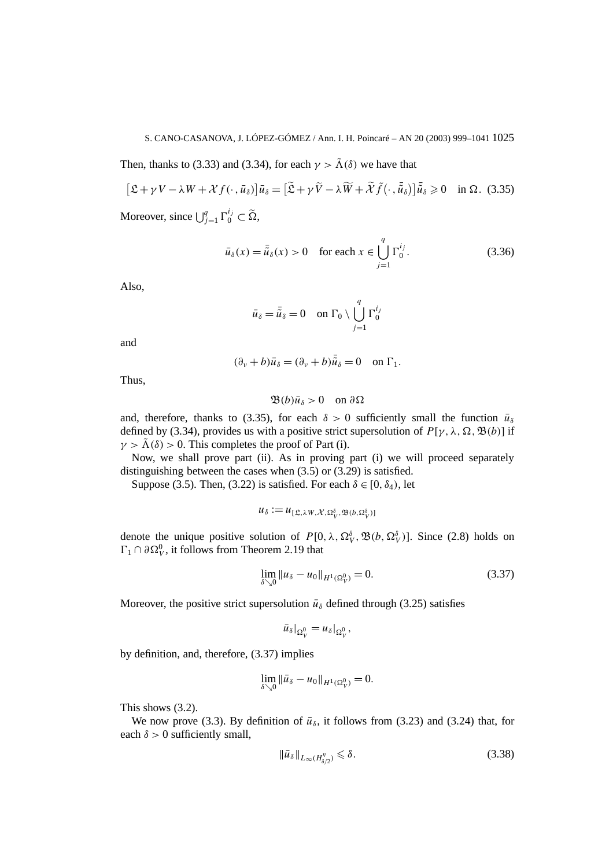Then, thanks to (3.33) and (3.34), for each  $\gamma > \tilde{\Lambda}(\delta)$  we have that

$$
[\mathfrak{L} + \gamma V - \lambda W + \mathcal{X}f(\cdot, \bar{u}_{\delta})]\bar{u}_{\delta} = [\tilde{\mathfrak{L}} + \gamma \tilde{V} - \lambda \widetilde{W} + \tilde{\mathcal{X}}\tilde{f}(\cdot, \bar{\tilde{u}}_{\delta})]\bar{\tilde{u}}_{\delta} \ge 0 \text{ in } \Omega. (3.35)
$$

Moreover, since  $\bigcup_{j=1}^{q} \Gamma_0^{i_j} \subset \tilde{\Omega}$ ,

$$
\bar{u}_{\delta}(x) = \bar{\tilde{u}}_{\delta}(x) > 0 \quad \text{for each } x \in \bigcup_{j=1}^{q} \Gamma_0^{i_j}.
$$
 (3.36)

Also,

$$
\bar{u}_{\delta} = \bar{\tilde{u}}_{\delta} = 0 \quad \text{on } \Gamma_0 \setminus \bigcup_{j=1}^q \Gamma_0^{i_j}
$$

and

$$
(\partial_{\nu} + b)\overline{u}_{\delta} = (\partial_{\nu} + b)\overline{\tilde{u}}_{\delta} = 0 \quad \text{on } \Gamma_1.
$$

Thus,

$$
\mathfrak{B}(b)\bar{u}_{\delta} > 0 \quad \text{on } \partial\Omega
$$

and, therefore, thanks to (3.35), for each  $\delta > 0$  sufficiently small the function  $\bar{u}_{\delta}$ defined by (3.34), provides us with a positive strict supersolution of  $P[\gamma, \lambda, \Omega, \mathfrak{B}(b)]$  if  $\gamma > \tilde{\Lambda}(\delta) > 0$ . This completes the proof of Part (i).

Now, we shall prove part (ii). As in proving part (i) we will proceed separately distinguishing between the cases when (3.5) or (3.29) is satisfied.

Suppose (3.5). Then, (3.22) is satisfied. For each  $\delta \in [0, \delta_4)$ , let

$$
u_{\delta} := u_{[\mathfrak{L},\lambda W,\mathcal{X},\Omega^{\delta}_{V},\mathfrak{B}(b,\Omega^{\delta}_{V})]}
$$

denote the unique positive solution of  $P[0, \lambda, \Omega_V^{\delta}, \mathfrak{B}(b, \Omega_V^{\delta})]$ . Since (2.8) holds on  $\Gamma_1 \cap \partial \Omega_V^0$ , it follows from Theorem 2.19 that

$$
\lim_{\delta \searrow 0} \|u_{\delta} - u_0\|_{H^1(\Omega_V^0)} = 0. \tag{3.37}
$$

Moreover, the positive strict supersolution  $\bar{u}_{\delta}$  defined through (3.25) satisfies

$$
\bar{u}_{\delta}|_{\Omega^0_V}=u_{\delta}|_{\Omega^0_V},
$$

by definition, and, therefore, (3.37) implies

$$
\lim_{\delta \searrow 0} \|\bar{u}_{\delta} - u_0\|_{H^1(\Omega_V^0)} = 0.
$$

This shows (3.2).

We now prove (3.3). By definition of  $\bar{u}_{\delta}$ , it follows from (3.23) and (3.24) that, for each  $\delta > 0$  sufficiently small,

$$
\|\bar{u}_{\delta}\|_{L_{\infty}(H_{\delta/2}^{\eta})} \leq \delta.
$$
\n(3.38)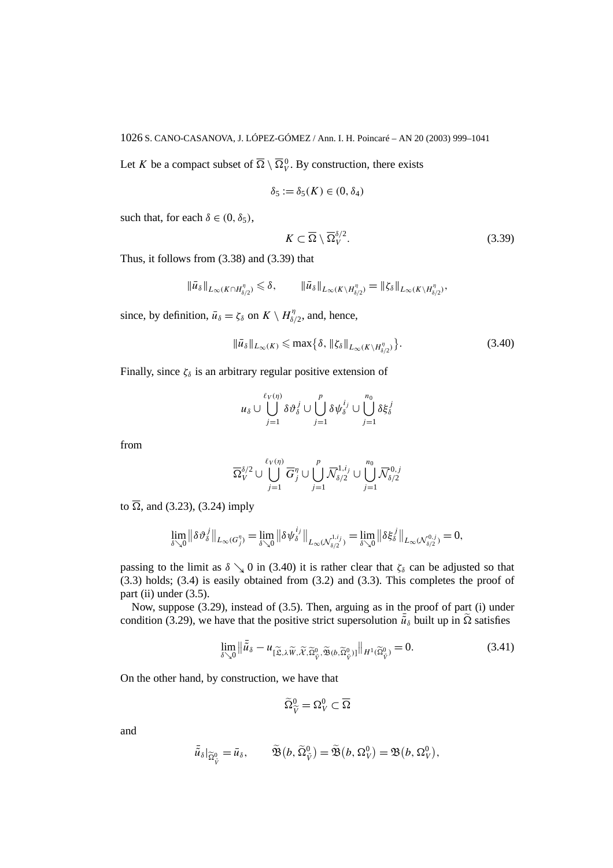Let *K* be a compact subset of  $\overline{\Omega} \setminus \overline{\Omega}_V^0$ . By construction, there exists

$$
\delta_5 := \delta_5(K) \in (0, \delta_4)
$$

such that, for each  $\delta \in (0, \delta_5)$ ,

$$
K \subset \overline{\Omega} \setminus \overline{\Omega}_V^{\delta/2}.\tag{3.39}
$$

Thus, it follows from (3.38) and (3.39) that

$$
\|\bar{u}_{\delta}\|_{L_{\infty}(K\cap H^{\eta}_{\delta/2})}\leqslant \delta, \qquad \|\bar{u}_{\delta}\|_{L_{\infty}(K\setminus H^{\eta}_{\delta/2})}=\|\zeta_{\delta}\|_{L_{\infty}(K\setminus H^{\eta}_{\delta/2})},
$$

since, by definition,  $\bar{u}_{\delta} = \zeta_{\delta}$  on  $K \setminus H_{\delta/2}^{\eta}$ , and, hence,

$$
\|\bar{u}_{\delta}\|_{L_{\infty}(K)} \leq \max\big\{\delta, \|\zeta_{\delta}\|_{L_{\infty}(K\setminus H_{\delta/2}^{\eta})}\big\}.
$$
\n(3.40)

Finally, since *ζδ* is an arbitrary regular positive extension of

$$
u_\delta \cup \bigcup_{j=1}^{\ell_V(\eta)} \delta \vartheta^j_\delta \cup \bigcup_{j=1}^p \delta \psi^{i_j}_\delta \cup \bigcup_{j=1}^{n_0} \delta \xi^j_\delta
$$

from

$$
\overline{\Omega}_{V}^{\delta/2} \cup \bigcup_{j=1}^{\ell_{V}(\eta)} \overline{G}_{j}^{\eta} \cup \bigcup_{j=1}^{p} \overline{\mathcal{N}}_{\delta/2}^{1,i_j} \cup \bigcup_{j=1}^{n_0} \overline{\mathcal{N}}_{\delta/2}^{0,j}
$$

to  $\overline{\Omega}$ , and (3.23), (3.24) imply

$$
\lim_{\delta\searrow 0}\|\delta\vartheta_\delta^{j}\|_{L_\infty(G_j^\eta)}=\lim_{\delta\searrow 0}\|\delta\psi_\delta^{i_j}\|_{L_\infty({\mathcal N}_{\delta/2}^{1,i_j})}=\lim_{\delta\searrow 0}\|\delta\xi_\delta^{j}\|_{L_\infty({\mathcal N}_{\delta/2}^{0,j})}=0,
$$

passing to the limit as  $\delta \searrow 0$  in (3.40) it is rather clear that  $\zeta_{\delta}$  can be adjusted so that (3.3) holds; (3.4) is easily obtained from (3.2) and (3.3). This completes the proof of part (ii) under (3.5).

Now, suppose (3.29), instead of (3.5). Then, arguing as in the proof of part (i) under condition (3.29), we have that the positive strict supersolution  $\tilde{u}_{\delta}$  built up in  $\tilde{\Omega}$  satisfies

$$
\lim_{\delta \searrow 0} \|\tilde{u}_{\delta} - u_{[\tilde{\Sigma}, \lambda \tilde{W}, \tilde{\mathcal{X}}, \tilde{\Omega}_{\tilde{V}}^0, \tilde{\mathfrak{B}}(b, \tilde{\Omega}_{\tilde{V}}^0)]}\|_{H^1(\tilde{\Omega}_{\tilde{V}}^0)} = 0. \tag{3.41}
$$

On the other hand, by construction, we have that

$$
\widetilde{\Omega}_{\widetilde{V}}^0 = \Omega_V^0 \subset \overline{\Omega}
$$

and

$$
\bar{\tilde{u}}_{\delta}|_{\widetilde{\Omega}_{\tilde{V}}^0} = \bar{u}_{\delta}, \qquad \widetilde{\mathfrak{B}}(b, \widetilde{\Omega}_{\tilde{V}}^0) = \widetilde{\mathfrak{B}}(b, \Omega_V^0) = \mathfrak{B}(b, \Omega_V^0),
$$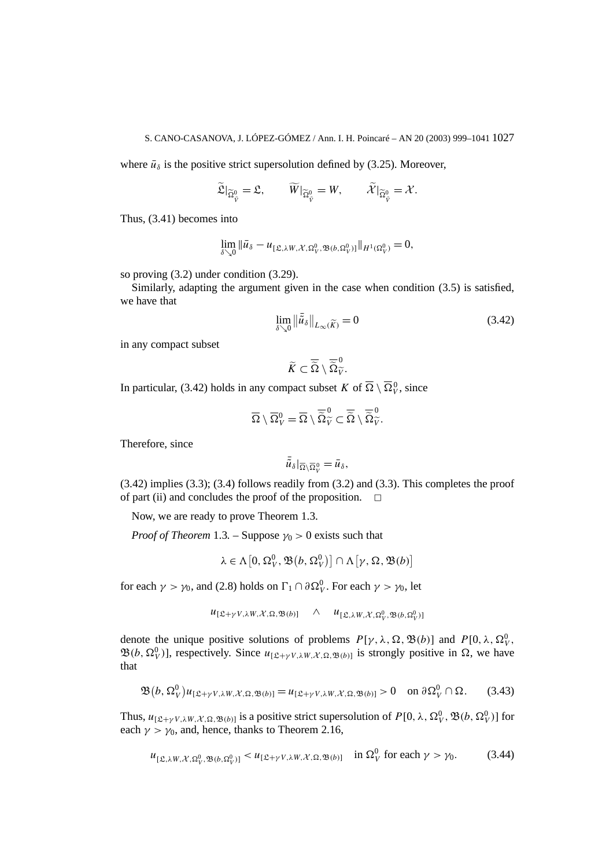where  $\bar{u}_{\delta}$  is the positive strict supersolution defined by (3.25). Moreover,

$$
\widetilde{\mathfrak{L}}|_{\widetilde{\Omega}_{\widetilde{V}}^0} = \mathfrak{L}, \qquad \widetilde{W}|_{\widetilde{\Omega}_{\widetilde{V}}^0} = W, \qquad \widetilde{\mathcal{X}}|_{\widetilde{\Omega}_{\widetilde{V}}^0} = \mathcal{X}.
$$

Thus, (3.41) becomes into

$$
\lim_{\delta\searrow 0} \|\bar{u}_{\delta}-u_{[\mathfrak{L},\lambda W,\mathcal{X},\Omega_V^0,\mathfrak{B}(b,\Omega_V^0)]}\|_{H^1(\Omega_V^0)}=0,
$$

so proving (3.2) under condition (3.29).

Similarly, adapting the argument given in the case when condition (3.5) is satisfied, we have that

$$
\lim_{\delta \searrow 0} \left\| \tilde{\bar{u}}_{\delta} \right\|_{L_{\infty}(\widetilde{K})} = 0 \tag{3.42}
$$

in any compact subset

$$
\widetilde{K}\subset \overline{\widetilde{\Omega}}\setminus \overline{\widetilde{\Omega}}_{\widetilde{V}}^0.
$$

In particular, (3.42) holds in any compact subset *K* of  $\overline{\Omega} \setminus \overline{\Omega}_V^0$ , since

$$
\overline{\Omega}\setminus\overline{\Omega}_V^0=\overline{\Omega}\setminus\overline{\widetilde{\Omega}}_V^0\subset\overline{\widetilde{\Omega}}\setminus\overline{\widetilde{\Omega}}_V^0.
$$

Therefore, since

$$
\bar{\tilde{u}}_{\delta}|_{\overline{\Omega}\setminus\overline{\Omega}{}_{V}^{0}}=\bar{u}_{\delta},
$$

 $(3.42)$  implies  $(3.3)$ ;  $(3.4)$  follows readily from  $(3.2)$  and  $(3.3)$ . This completes the proof of part (ii) and concludes the proof of the proposition.  $\Box$ 

Now, we are ready to prove Theorem 1.3.

*Proof of Theorem* 1.3. – Suppose  $\gamma_0 > 0$  exists such that

$$
\lambda \in \Lambda\big[0, \Omega_V^0, \mathfrak{B}\big(b, \Omega_V^0\big)\big] \cap \Lambda\big[\gamma, \Omega, \mathfrak{B}(b)\big]
$$

for each  $\gamma > \gamma_0$ , and (2.8) holds on  $\Gamma_1 \cap \partial \Omega_V^0$ . For each  $\gamma > \gamma_0$ , let

 $u_{[\mathfrak{L}+\gamma V,\lambda W,\mathcal{X},\Omega,\mathfrak{B}(b)]} \quad \wedge \quad u_{[\mathfrak{L},\lambda W,\mathcal{X},\Omega_V^0,\mathfrak{B}(b,\Omega_V^0)]}$ 

denote the unique positive solutions of problems  $P[\gamma, \lambda, \Omega, \mathfrak{B}(b)]$  and  $P[0, \lambda, \Omega_v^0]$ ,  $\mathfrak{B}(b, \Omega_V^0)$ ], respectively. Since  $u_{[\mathfrak{L}+\gamma V,\lambda W,\mathcal{X},\Omega,\mathfrak{B}(b)]}$  is strongly positive in  $\Omega$ , we have that

$$
\mathfrak{B}(b,\Omega_V^0)u_{[\mathfrak{L}+\gamma V,\lambda W,\mathcal{X},\Omega,\mathfrak{B}(b)]}=u_{[\mathfrak{L}+\gamma V,\lambda W,\mathcal{X},\Omega,\mathfrak{B}(b)]}>0 \quad \text{on } \partial\Omega_V^0\cap\Omega. \tag{3.43}
$$

Thus,  $u_{[\mathfrak{L}+\gamma V,\lambda W,\mathcal{X},\Omega,\mathfrak{B}(b)]}$  is a positive strict supersolution of  $P[0,\lambda,\Omega_V^0,\mathfrak{B}(b,\Omega_V^0)]$  for each  $\gamma > \gamma_0$ , and, hence, thanks to Theorem 2.16,

$$
u_{[\mathfrak{L},\lambda W,\mathcal{X},\Omega_V^0,\mathfrak{B}(b,\Omega_V^0)]} < u_{[\mathfrak{L}+\gamma V,\lambda W,\mathcal{X},\Omega,\mathfrak{B}(b)]} \quad \text{in } \Omega_V^0 \text{ for each } \gamma > \gamma_0. \tag{3.44}
$$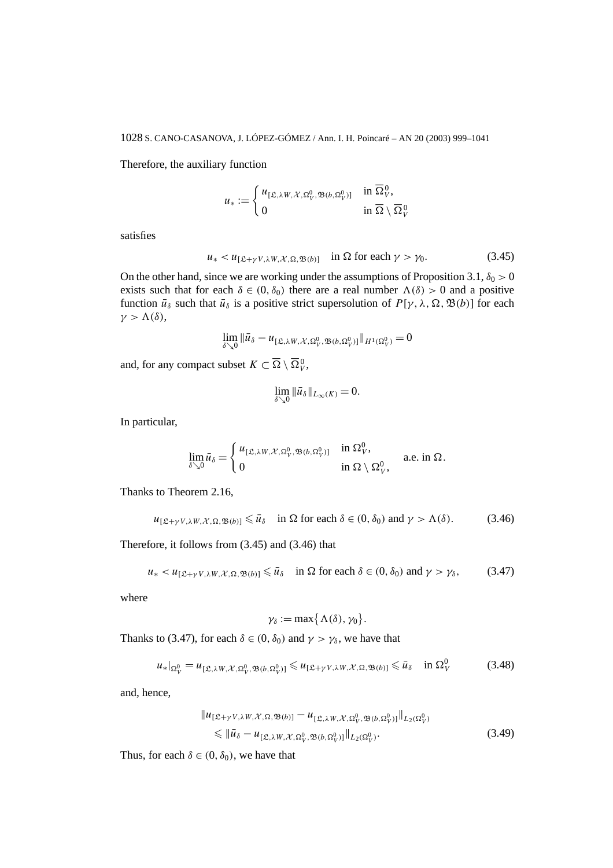Therefore, the auxiliary function

$$
u_* := \begin{cases} u_{[\mathfrak{L},\lambda W,\mathcal{X},\Omega_V^0,\mathfrak{B}(b,\Omega_V^0)]} & \text{in } \overline{\Omega}_V^0, \\ 0 & \text{in } \overline{\Omega} \setminus \overline{\Omega}_V^0 \end{cases}
$$

satisfies

$$
u_* < u_{\lfloor \mathfrak{L} + \gamma V, \lambda W, \mathcal{X}, \Omega, \mathfrak{B}(b)]} \quad \text{in } \Omega \text{ for each } \gamma > \gamma_0. \tag{3.45}
$$

On the other hand, since we are working under the assumptions of Proposition 3.1,  $\delta_0 > 0$ exists such that for each  $\delta \in (0, \delta_0)$  there are a real number  $\Lambda(\delta) > 0$  and a positive function  $\bar{u}_{\delta}$  such that  $\bar{u}_{\delta}$  is a positive strict supersolution of  $P[\gamma, \lambda, \Omega, \mathfrak{B}(b)]$  for each  $\gamma > \Lambda(\delta)$ ,

$$
\lim_{\delta \searrow 0} \|\bar{u}_{\delta} - u_{[\mathfrak{L},\lambda W,\mathcal{X},\Omega_V^0,\mathfrak{B}(b,\Omega_V^0)]}\|_{H^1(\Omega_V^0)} = 0
$$

and, for any compact subset  $K \subset \overline{\Omega} \setminus \overline{\Omega}_V^0$ ,

$$
\lim_{\delta \searrow 0} \|\bar{u}_{\delta}\|_{L_{\infty}(K)} = 0.
$$

In particular,

$$
\lim_{\delta \searrow 0} \bar{u}_{\delta} = \begin{cases} u_{[\mathfrak{L},\lambda W,\mathcal{X},\Omega_V^0,\mathfrak{B}(b,\Omega_V^0)]} & \text{in } \Omega_V^0, \\ 0 & \text{in } \Omega \setminus \Omega_V^0, \end{cases}
$$
 a.e. in  $\Omega$ .

Thanks to Theorem 2.16,

$$
u_{[\mathfrak{L}+\gamma V,\lambda W,\mathcal{X},\Omega,\mathfrak{B}(b)]}\leq \bar{u}_{\delta} \quad \text{in } \Omega \text{ for each } \delta \in (0,\delta_0) \text{ and } \gamma > \Lambda(\delta). \tag{3.46}
$$

Therefore, it follows from (3.45) and (3.46) that

$$
u_* < u_{[\mathfrak{L}+\gamma V,\lambda W,\mathcal{X},\Omega,\mathfrak{B}(b)]} \leq \bar{u}_{\delta} \quad \text{in } \Omega \text{ for each } \delta \in (0,\delta_0) \text{ and } \gamma > \gamma_{\delta}, \tag{3.47}
$$

where

$$
\gamma_{\delta} := \max\{\Lambda(\delta), \gamma_0\}.
$$

Thanks to (3.47), for each  $\delta \in (0, \delta_0)$  and  $\gamma > \gamma_{\delta}$ , we have that

$$
u_*|_{\Omega_V^0} = u_{[\mathfrak{L},\lambda W,\mathcal{X},\Omega_V^0,\mathfrak{B}(b,\Omega_V^0)]} \leq u_{[\mathfrak{L}+\gamma V,\lambda W,\mathcal{X},\Omega,\mathfrak{B}(b)]} \leq \bar{u}_\delta \quad \text{in } \Omega_V^0 \tag{3.48}
$$

and, hence,

$$
\|u_{[\mathfrak{L}+\gamma V,\lambda W,\mathcal{X},\Omega,\mathfrak{B}(b)]}-u_{[\mathfrak{L},\lambda W,\mathcal{X},\Omega_V^0,\mathfrak{B}(b,\Omega_V^0)]}\|_{L_2(\Omega_V^0)}\leq \|\bar{u}_{\delta}-u_{[\mathfrak{L},\lambda W,\mathcal{X},\Omega_V^0,\mathfrak{B}(b,\Omega_V^0)]}\|_{L_2(\Omega_V^0)}.
$$
\n(3.49)

Thus, for each  $\delta \in (0, \delta_0)$ , we have that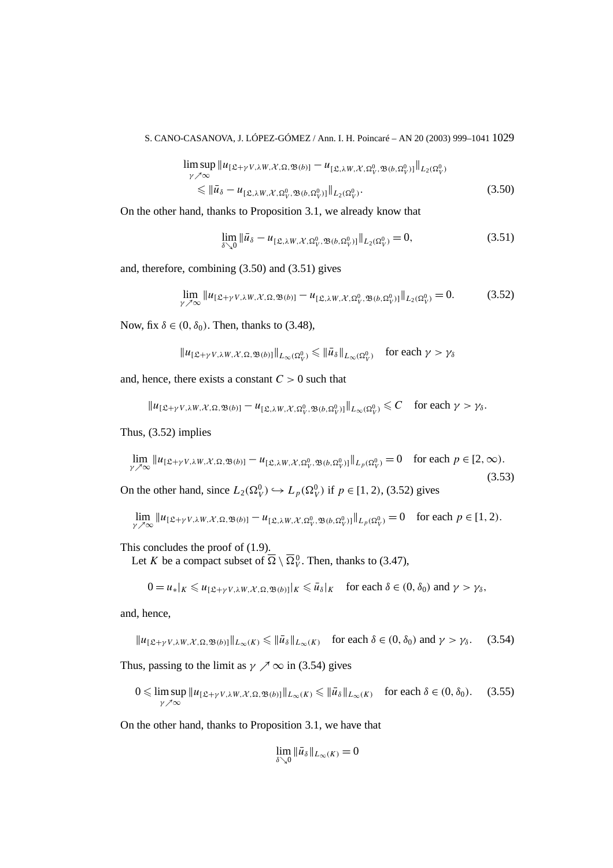S. CANO-CASANOVA, J. LÓPEZ-GÓMEZ / Ann. I. H. Poincaré – AN 20 (2003) 999–1041 1029

$$
\limsup_{\gamma \nearrow \infty} \|u_{[\mathfrak{L}+\gamma V,\lambda W,\mathcal{X},\Omega,\mathfrak{B}(b)]} - u_{[\mathfrak{L},\lambda W,\mathcal{X},\Omega_{V}^{0},\mathfrak{B}(b,\Omega_{V}^{0})]} \|_{L_{2}(\Omega_{V}^{0})}
$$
\n
$$
\leq \| \bar{u}_{\delta} - u_{[\mathfrak{L},\lambda W,\mathcal{X},\Omega_{V}^{0},\mathfrak{B}(b,\Omega_{V}^{0})]} \|_{L_{2}(\Omega_{V}^{0})}.
$$
\n(3.50)

On the other hand, thanks to Proposition 3.1, we already know that

$$
\lim_{\delta \searrow 0} \|\bar{u}_{\delta} - u_{[\mathfrak{L}, \lambda W, \mathcal{X}, \Omega_V^0, \mathfrak{B}(b, \Omega_V^0)]}\|_{L_2(\Omega_V^0)} = 0, \tag{3.51}
$$

and, therefore, combining (3.50) and (3.51) gives

$$
\lim_{\gamma \nearrow \infty} ||u_{[\mathfrak{L}+\gamma V,\lambda W,\mathcal{X},\Omega,\mathfrak{B}(b)]}-u_{[\mathfrak{L},\lambda W,\mathcal{X},\Omega_V^0,\mathfrak{B}(b,\Omega_V^0)]}||_{L_2(\Omega_V^0)} = 0. \tag{3.52}
$$

Now, fix  $\delta \in (0, \delta_0)$ . Then, thanks to (3.48),

$$
\|u_{[\mathfrak{L}+\gamma V,\lambda W,\mathcal{X},\Omega,\mathfrak{B}(b)]}\|_{L_{\infty}(\Omega_V^0)} \leq \|\bar{u}_{\delta}\|_{L_{\infty}(\Omega_V^0)} \quad \text{for each } \gamma > \gamma_{\delta}
$$

and, hence, there exists a constant  $C > 0$  such that

$$
||u_{[\mathfrak{L}+\gamma V,\lambda W,\mathcal{X},\Omega,\mathfrak{B}(b)]}-u_{[\mathfrak{L},\lambda W,\mathcal{X},\Omega_V^0,\mathfrak{B}(b,\Omega_V^0)]}||_{L_{\infty}(\Omega_V^0)} \leq C \quad \text{for each } \gamma > \gamma_{\delta}.
$$

Thus, (3.52) implies

$$
\lim_{\gamma \nearrow \infty} \|u_{[\mathfrak{L}+\gamma V,\lambda W,\mathcal{X},\Omega,\mathfrak{B}(b)]} - u_{[\mathfrak{L},\lambda W,\mathcal{X},\Omega_V^0,\mathfrak{B}(b,\Omega_V^0)]}\|_{L_p(\Omega_V^0)} = 0 \quad \text{for each } p \in [2,\infty).
$$
\n(3.53)

On the other hand, since  $L_2(\Omega_V^0) \hookrightarrow L_p(\Omega_V^0)$  if  $p \in [1, 2)$ , (3.52) gives

$$
\lim_{\gamma \nearrow \infty} ||u_{[\mathfrak{L}+\gamma V,\lambda W,\mathcal{X},\Omega,\mathfrak{B}(b)]}-u_{[\mathfrak{L},\lambda W,\mathcal{X},\Omega_V^0,\mathfrak{B}(b,\Omega_V^0)]}||_{L_p(\Omega_V^0)}=0 \text{ for each } p \in [1,2).
$$

This concludes the proof of (1.9).

Let *K* be a compact subset of  $\overline{\Omega} \setminus \overline{\Omega}_V^0$ . Then, thanks to (3.47),

$$
0 = u_*|_K \leq u_{[\mathfrak{L} + \gamma V, \lambda W, \mathcal{X}, \Omega, \mathfrak{B}(b)]}|_K \leq u_\delta|_K \quad \text{for each } \delta \in (0, \delta_0) \text{ and } \gamma > \gamma_\delta,
$$

and, hence,

$$
||u_{[\mathfrak{L}+\gamma V,\lambda W,\mathcal{X},\Omega,\mathfrak{B}(b)]}||_{L_{\infty}(K)} \le ||\bar{u}_{\delta}||_{L_{\infty}(K)} \quad \text{for each } \delta \in (0,\delta_0) \text{ and } \gamma > \gamma_{\delta}. \tag{3.54}
$$

Thus, passing to the limit as  $\gamma \nearrow \infty$  in (3.54) gives

$$
0 \leq \limsup_{\gamma \nearrow \infty} \|u_{[\mathfrak{L} + \gamma V, \lambda W, \mathcal{X}, \Omega, \mathfrak{B}(b)]}\|_{L_{\infty}(K)} \leq \|\bar{u}_{\delta}\|_{L_{\infty}(K)} \quad \text{for each } \delta \in (0, \delta_0). \tag{3.55}
$$

On the other hand, thanks to Proposition 3.1, we have that

$$
\lim_{\delta\searrow 0}\|\bar u_\delta\|_{L_\infty(K)}=0
$$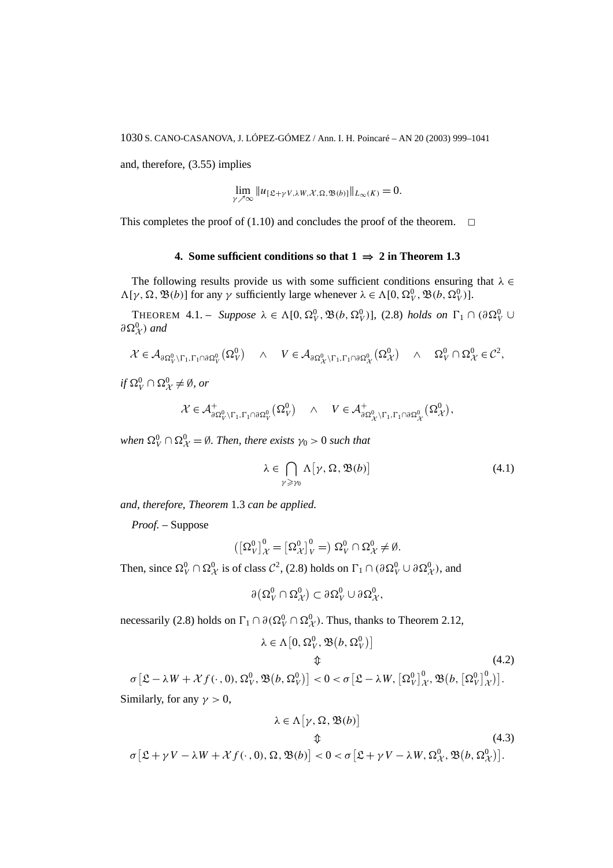and, therefore, (3.55) implies

$$
\lim_{\gamma \nearrow \infty} \|u_{[\mathfrak{L} + \gamma V, \lambda W, \mathcal{X}, \Omega, \mathfrak{B}(b)]}\|_{L_{\infty}(K)} = 0.
$$

This completes the proof of (1.10) and concludes the proof of the theorem.  $\Box$ 

#### **4.** Some sufficient conditions so that  $1 \Rightarrow 2$  in Theorem 1.3

The following results provide us with some sufficient conditions ensuring that *λ* ∈ *A*[*γ*, Ω, **B**(*b*)] for any *γ* sufficiently large whenever  $λ ∈ Λ[0, Ω_V^0, \mathfrak{B}(b, Ω_V^0)]$ .

THEOREM  $4.1.$  – *Suppose*  $\lambda \in \Lambda[0, \Omega_V^0, \mathfrak{B}(b, \Omega_V^0)]$ , (2.8) *holds on*  $\Gamma_1 \cap (\partial \Omega_V^0 \cup$  $\partial \Omega^0_{\mathcal{X}}$ *)* and

$$
\mathcal{X} \in \mathcal{A}_{\partial \Omega_V^0 \setminus \Gamma_1, \Gamma_1 \cap \partial \Omega_V^0} (\Omega_V^0) \quad \wedge \quad V \in \mathcal{A}_{\partial \Omega_X^0 \setminus \Gamma_1, \Gamma_1 \cap \partial \Omega_X^0} (\Omega_\mathcal{X}^0) \quad \wedge \quad \Omega_V^0 \cap \Omega_\mathcal{X}^0 \in \mathcal{C}^2,
$$

 $if \Omega_V^0 \cap \Omega_\mathcal{X}^0 \neq \emptyset$ , or

$$
\mathcal{X} \in \mathcal{A}_{\partial \Omega_V^0 \backslash \Gamma_1, \Gamma_1 \cap \partial \Omega_V^0}^+(\Omega_V^0) \quad \wedge \quad V \in \mathcal{A}_{\partial \Omega_\mathcal{X}^0 \backslash \Gamma_1, \Gamma_1 \cap \partial \Omega_\mathcal{X}^0}^+(\Omega_\mathcal{X}^0),
$$

*when*  $\Omega_V^0 \cap \Omega_\mathcal{X}^0 = \emptyset$ . Then, there exists  $\gamma_0 > 0$  such that

$$
\lambda \in \bigcap_{\gamma \geq \gamma_0} \Lambda[\gamma, \Omega, \mathfrak{B}(b)] \tag{4.1}
$$

*and, therefore, Theorem* 1.3 *can be applied.*

*Proof. –* Suppose

$$
\left(\left[\Omega_V^0\right]_{\mathcal{X}}^0 = \left[\Omega_\mathcal{X}^0\right]_{V}^0 = \right) \Omega_V^0 \cap \Omega_\mathcal{X}^0 \neq \emptyset.
$$

Then, since  $\Omega_V^0 \cap \Omega_\mathcal{X}^0$  is of class  $\mathcal{C}^2$ , (2.8) holds on  $\Gamma_1 \cap (\partial \Omega_V^0 \cup \partial \Omega_\mathcal{X}^0)$ , and

$$
\partial (\Omega_V^0 \cap \Omega_\mathcal{X}^0) \subset \partial \Omega_V^0 \cup \partial \Omega_\mathcal{X}^0,
$$

necessarily (2.8) holds on  $\Gamma_1 \cap \partial(\Omega_V^0 \cap \Omega_\mathcal{X}^0)$ . Thus, thanks to Theorem 2.12,

$$
\lambda \in \Lambda[0, \Omega_V^0, \mathfrak{B}(b, \Omega_V^0)]
$$
  
\n
$$
\updownarrow
$$
  
\n
$$
\sigma[\mathfrak{L} - \lambda W + \mathcal{X}f(\cdot, 0), \Omega_V^0, \mathfrak{B}(b, \Omega_V^0)] < 0 < \sigma[\mathfrak{L} - \lambda W, [\Omega_V^0]_{\mathcal{X}}^0, \mathfrak{B}(b, [\Omega_V^0]_{\mathcal{X}}^0)].
$$
  
\nSimilarly, for any  $\gamma > 0$ , (4.2)

$$
\lambda \in \Lambda[\gamma, \Omega, \mathfrak{B}(b)]
$$
  
\n
$$
\Phi
$$
\n(4.3)  
\n
$$
\sigma[\mathfrak{L} + \gamma V - \lambda W + \mathcal{X}f(\cdot, 0), \Omega, \mathfrak{B}(b)] < 0 < \sigma[\mathfrak{L} + \gamma V - \lambda W, \Omega^0_{\mathcal{X}}, \mathfrak{B}(b, \Omega^0_{\mathcal{X}})].
$$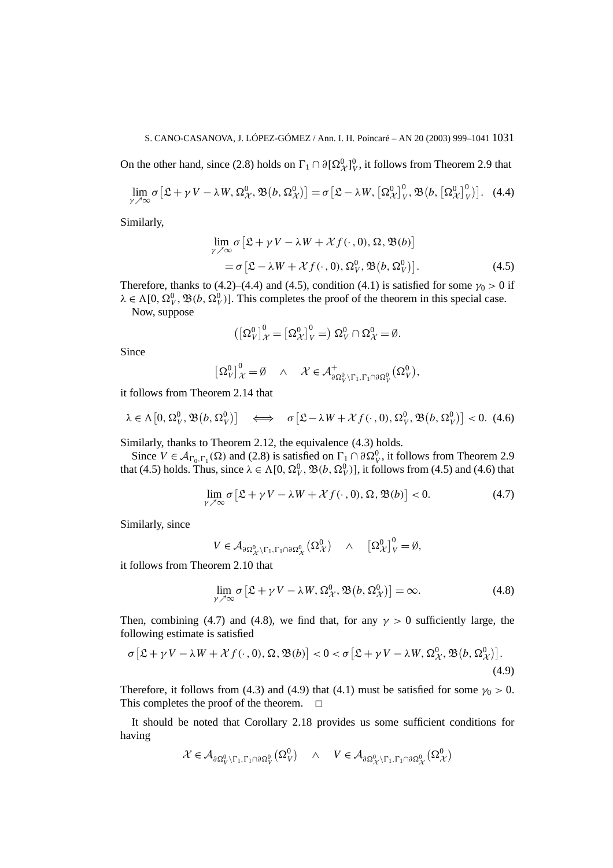On the other hand, since (2.8) holds on  $\Gamma_1 \cap \partial [\Omega^0_{\mathcal{X}}]_V^0$ , it follows from Theorem 2.9 that

$$
\lim_{\gamma \nearrow \infty} \sigma \left[ \mathfrak{L} + \gamma V - \lambda W, \Omega_{\mathcal{X}}^0, \mathfrak{B}(b, \Omega_{\mathcal{X}}^0) \right] = \sigma \left[ \mathfrak{L} - \lambda W, \left[ \Omega_{\mathcal{X}}^0 \right]_V^0, \mathfrak{B}(b, \left[ \Omega_{\mathcal{X}}^0 \right]_V^0) \right]. \tag{4.4}
$$

Similarly,

$$
\lim_{\gamma \nearrow \infty} \sigma \left[ \mathfrak{L} + \gamma V - \lambda W + \mathcal{X} f(\cdot, 0), \Omega, \mathfrak{B}(b) \right]
$$
  
=  $\sigma \left[ \mathfrak{L} - \lambda W + \mathcal{X} f(\cdot, 0), \Omega_V^0, \mathfrak{B}(b, \Omega_V^0) \right].$  (4.5)

Therefore, thanks to (4.2)–(4.4) and (4.5), condition (4.1) is satisfied for some  $\gamma_0 > 0$  if  $\lambda \in \Lambda[0, \Omega_V^0, \mathfrak{B}(b, \Omega_V^0)]$ . This completes the proof of the theorem in this special case.

Now, suppose

$$
\left(\left[\Omega_V^0\right]_{\mathcal{X}}^0=\left[\Omega_{\mathcal{X}}^0\right]_{V}^0=\right)\,\Omega_V^0\cap\Omega_{\mathcal{X}}^0=\emptyset.
$$

Since

$$
\left[\Omega_V^0\right]_{\mathcal{X}}^0 = \emptyset \quad \wedge \quad \mathcal{X} \in \mathcal{A}_{\partial \Omega_V^0 \backslash \Gamma_1, \Gamma_1 \cap \partial \Omega_V^0}^+ (\Omega_V^0),
$$

it follows from Theorem 2.14 that

$$
\lambda \in \Lambda\left[0, \Omega_V^0, \mathfrak{B}\left(b, \Omega_V^0\right)\right] \quad \Longleftrightarrow \quad \sigma\left[\mathfrak{L} - \lambda W + \mathcal{X}f(\cdot, 0), \Omega_V^0, \mathfrak{B}\left(b, \Omega_V^0\right)\right] < 0. \tag{4.6}
$$

Similarly, thanks to Theorem 2.12, the equivalence (4.3) holds.

Since  $V \in A_{\Gamma_0, \Gamma_1}(\Omega)$  and (2.8) is satisfied on  $\Gamma_1 \cap \partial \Omega_V^0$ , it follows from Theorem 2.9 that (4.5) holds. Thus, since  $\lambda \in \Lambda[0, \Omega_V^0, \mathfrak{B}(b, \Omega_V^0)]$ , it follows from (4.5) and (4.6) that

$$
\lim_{\gamma \nearrow \infty} \sigma \left[ \mathfrak{L} + \gamma V - \lambda W + \mathcal{X} f(\cdot, 0), \Omega, \mathfrak{B}(b) \right] < 0. \tag{4.7}
$$

Similarly, since

$$
V \in \mathcal{A}_{\partial \Omega^0_{\mathcal{X}} \backslash \Gamma_1, \Gamma_1 \cap \partial \Omega^0_{\mathcal{X}}}(\Omega^0_{\mathcal{X}}) \quad \wedge \quad [\Omega^0_{\mathcal{X}}]_V^0 = \emptyset,
$$

it follows from Theorem 2.10 that

$$
\lim_{\gamma \nearrow \infty} \sigma \left[ \mathfrak{L} + \gamma V - \lambda W, \Omega_{\mathcal{X}}^0, \mathfrak{B}(b, \Omega_{\mathcal{X}}^0) \right] = \infty.
$$
 (4.8)

Then, combining (4.7) and (4.8), we find that, for any  $\gamma > 0$  sufficiently large, the following estimate is satisfied

$$
\sigma\left[\mathfrak{L}+\gamma V-\lambda W+\mathcal{X}f(\cdot,0),\Omega,\mathfrak{B}(b)\right]<0<\sigma\left[\mathfrak{L}+\gamma V-\lambda W,\Omega_{\mathcal{X}}^{0},\mathfrak{B}(b,\Omega_{\mathcal{X}}^{0})\right].
$$
\n(4.9)

Therefore, it follows from (4.3) and (4.9) that (4.1) must be satisfied for some  $\gamma_0 > 0$ . This completes the proof of the theorem.  $\Box$ 

It should be noted that Corollary 2.18 provides us some sufficient conditions for having

$$
\mathcal{X} \in \mathcal{A}_{\partial \Omega_V^0 \setminus \Gamma_1, \Gamma_1 \cap \partial \Omega_V^0}(\Omega_V^0) \quad \wedge \quad V \in \mathcal{A}_{\partial \Omega_X^0 \setminus \Gamma_1, \Gamma_1 \cap \partial \Omega_\mathcal{X}^0}(\Omega_\mathcal{X}^0)
$$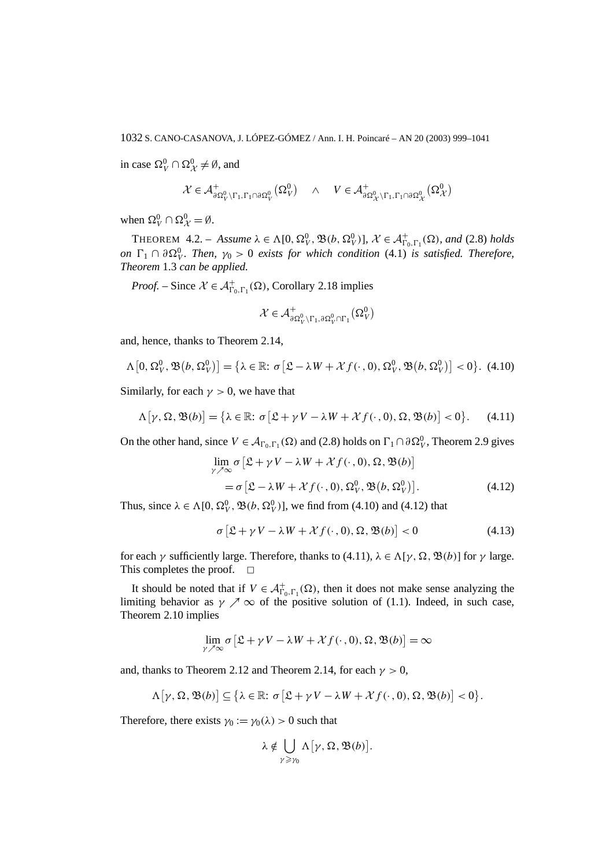in case  $\Omega_V^0 \cap \Omega_\mathcal{X}^0 \neq \emptyset$ , and

$$
\mathcal{X} \in \mathcal{A}^+_{\partial \Omega^0_V \backslash \Gamma_1, \Gamma_1 \cap \partial \Omega^0_V} (\Omega^0_V) \quad \wedge \quad V \in \mathcal{A}^+_{\partial \Omega^0_\mathcal{X} \backslash \Gamma_1, \Gamma_1 \cap \partial \Omega^0_\mathcal{X}} (\Omega^0_\mathcal{X})
$$

when  $\Omega_V^0 \cap \Omega_\mathcal{X}^0 = \emptyset$ .

THEOREM  $4.2. - Assume \lambda \in \Lambda[0, \Omega_V^0, \mathfrak{B}(b, \Omega_V^0)]$ ,  $\mathcal{X} \in \mathcal{A}_{\Gamma_0, \Gamma_1}^+(\Omega)$ , and (2.8) holds *on*  $\Gamma_1 \cap \partial \Omega_V^0$ . Then,  $\gamma_0 > 0$  exists for which condition (4.1) is satisfied. Therefore, *Theorem* 1.3 *can be applied.*

*Proof.* – Since  $X \in \mathcal{A}_{\Gamma_0,\Gamma_1}^+(\Omega)$ , Corollary 2.18 implies

$$
\mathcal{X} \in \mathcal{A}_{\partial \Omega_V^0 \backslash \Gamma_1, \partial \Omega_V^0 \cap \Gamma_1}^+(\Omega_V^0)
$$

and, hence, thanks to Theorem 2.14,

$$
\Lambda\left[0,\Omega_V^0,\mathfrak{B}(b,\Omega_V^0)\right] = \left\{\lambda \in \mathbb{R}; \,\sigma\left[\mathfrak{L} - \lambda W + \mathcal{X}f(\cdot,0),\Omega_V^0,\mathfrak{B}(b,\Omega_V^0)\right] < 0\right\}. \tag{4.10}
$$

Similarly, for each  $\gamma > 0$ , we have that

$$
\Lambda[\gamma, \Omega, \mathfrak{B}(b)] = \{ \lambda \in \mathbb{R} : \sigma[\mathfrak{L} + \gamma V - \lambda W + \mathcal{X}f(\cdot, 0), \Omega, \mathfrak{B}(b)] < 0 \}. \tag{4.11}
$$

On the other hand, since  $V \in A_{\Gamma_0, \Gamma_1}(\Omega)$  and (2.8) holds on  $\Gamma_1 \cap \partial \Omega_V^0$ , Theorem 2.9 gives

$$
\lim_{\gamma \nearrow \infty} \sigma \left[ \mathfrak{L} + \gamma V - \lambda W + \mathcal{X} f(\cdot, 0), \Omega, \mathfrak{B}(b) \right]
$$
  
=  $\sigma \left[ \mathfrak{L} - \lambda W + \mathcal{X} f(\cdot, 0), \Omega_V^0, \mathfrak{B}(b, \Omega_V^0) \right].$  (4.12)

Thus, since  $\lambda \in \Lambda[0, \Omega_V^0, \mathfrak{B}(b, \Omega_V^0)]$ , we find from (4.10) and (4.12) that

$$
\sigma \left[ \mathfrak{L} + \gamma V - \lambda W + \mathcal{X} f(\cdot, 0), \Omega, \mathfrak{B}(b) \right] < 0 \tag{4.13}
$$

for each *γ* sufficiently large. Therefore, thanks to (4.11),  $\lambda \in \Lambda[\gamma, \Omega, \mathfrak{B}(b)]$  for  $\gamma$  large. This completes the proof.  $\Box$ 

It should be noted that if  $V \in \mathcal{A}_{\Gamma_0,\Gamma_1}^+(\Omega)$ , then it does not make sense analyzing the limiting behavior as  $\gamma \nearrow \infty$  of the positive solution of (1.1). Indeed, in such case, Theorem 2.10 implies

$$
\lim_{\gamma \nearrow \infty} \sigma \left[ \mathfrak{L} + \gamma V - \lambda W + \mathcal{X} f(\cdot, 0), \Omega, \mathfrak{B}(b) \right] = \infty
$$

and, thanks to Theorem 2.12 and Theorem 2.14, for each  $\gamma > 0$ ,

$$
\Lambda\big[\gamma,\Omega,\mathfrak{B}(b)\big]\subseteq\big\{\lambda\in\mathbb{R}\colon\sigma\big[\mathfrak{L}+\gamma\,V-\lambda\,W+\mathcal{X}\,f(\cdot\,,0),\Omega,\mathfrak{B}(b)\big]<0\big\}.
$$

Therefore, there exists  $\gamma_0 := \gamma_0(\lambda) > 0$  such that

$$
\lambda \notin \bigcup_{\gamma \geq \gamma_0} \Lambda[\gamma, \Omega, \mathfrak{B}(b)].
$$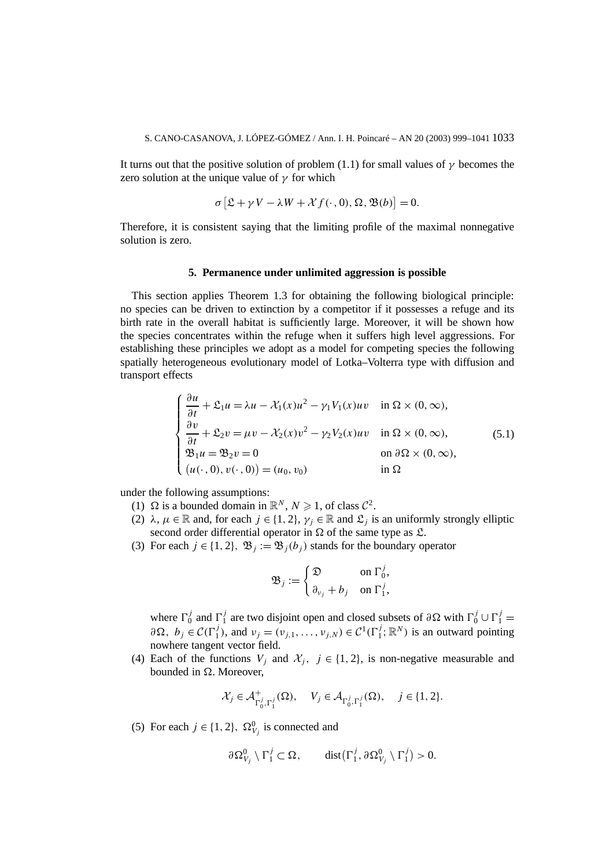It turns out that the positive solution of problem (1.1) for small values of  $\gamma$  becomes the zero solution at the unique value of *γ* for which

$$
\sigma \left[ \mathfrak{L} + \gamma V - \lambda W + \mathcal{X} f(\cdot, 0), \Omega, \mathfrak{B}(b) \right] = 0.
$$

Therefore, it is consistent saying that the limiting profile of the maximal nonnegative solution is zero.

#### **5. Permanence under unlimited aggression is possible**

This section applies Theorem 1.3 for obtaining the following biological principle: no species can be driven to extinction by a competitor if it possesses a refuge and its birth rate in the overall habitat is sufficiently large. Moreover, it will be shown how the species concentrates within the refuge when it suffers high level aggressions. For establishing these principles we adopt as a model for competing species the following spatially heterogeneous evolutionary model of Lotka–Volterra type with diffusion and transport effects

$$
\begin{cases}\n\frac{\partial u}{\partial t} + \mathfrak{L}_1 u = \lambda u - \mathcal{X}_1(x) u^2 - \gamma_1 V_1(x) u v & \text{in } \Omega \times (0, \infty), \\
\frac{\partial v}{\partial t} + \mathfrak{L}_2 v = \mu v - \mathcal{X}_2(x) v^2 - \gamma_2 V_2(x) u v & \text{in } \Omega \times (0, \infty), \\
\mathfrak{B}_1 u = \mathfrak{B}_2 v = 0 & \text{on } \partial \Omega \times (0, \infty), \\
(u(\cdot, 0), v(\cdot, 0)) = (u_0, v_0) & \text{in } \Omega\n\end{cases}
$$
\n(5.1)

under the following assumptions:

- (1)  $\Omega$  is a bounded domain in  $\mathbb{R}^N$ ,  $N \ge 1$ , of class  $\mathcal{C}^2$ .
- (2)  $\lambda, \mu \in \mathbb{R}$  and, for each  $j \in \{1, 2\}, \gamma_i \in \mathbb{R}$  and  $\mathcal{L}_i$  is an uniformly strongly elliptic second order differential operator in  $\Omega$  of the same type as  $\mathfrak{L}$ .
- (3) For each  $j \in \{1, 2\}$ ,  $\mathfrak{B}_j := \mathfrak{B}_j(b_j)$  stands for the boundary operator

$$
\mathfrak{B}_j := \begin{cases} \mathfrak{D} & \text{on } \Gamma_0^j, \\ \partial_{\nu_j} + b_j & \text{on } \Gamma_1^j, \end{cases}
$$

where  $\Gamma_0^j$  and  $\Gamma_1^j$  are two disjoint open and closed subsets of  $\partial \Omega$  with  $\Gamma_0^j \cup \Gamma_1^j =$  $\partial \Omega, b_j \in C(\Gamma_1^j)$ , and  $v_j = (v_{j,1}, \ldots, v_{j,N}) \in C^1(\Gamma_1^j; \mathbb{R}^N)$  is an outward pointing nowhere tangent vector field.

(4) Each of the functions  $V_j$  and  $\mathcal{X}_j$ ,  $j \in \{1, 2\}$ , is non-negative measurable and bounded in  $\Omega$ . Moreover,

$$
\mathcal{X}_j\in \mathcal{A}^+_{\Gamma_0^j,\Gamma_1^j}(\Omega),\quad V_j\in \mathcal{A}_{\Gamma_0^j,\Gamma_1^j}(\Omega),\quad j\in\{1,2\}.
$$

(5) For each  $j \in \{1, 2\}$ ,  $\Omega_{V_j}^0$  is connected and

$$
\partial \Omega_{V_j}^0 \setminus \Gamma_1^j \subset \Omega, \quad \text{dist}(\Gamma_1^j, \partial \Omega_{V_j}^0 \setminus \Gamma_1^j) > 0.
$$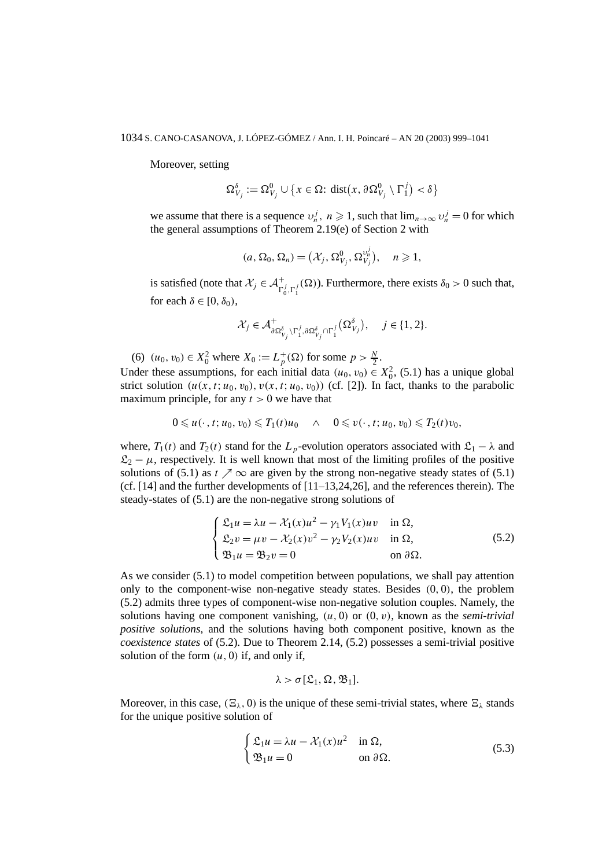Moreover, setting

$$
\Omega_{V_j}^{\delta} := \Omega_{V_j}^0 \cup \{x \in \Omega : \text{ dist}(x, \partial \Omega_{V_j}^0 \setminus \Gamma_1^j) < \delta\}
$$

we assume that there is a sequence  $v_n^j$ ,  $n \ge 1$ , such that  $\lim_{n \to \infty} v_n^j = 0$  for which the general assumptions of Theorem 2.19(e) of Section 2 with

$$
(a,\Omega_0,\Omega_n)=(\mathcal{X}_j,\Omega_{V_j}^0,\Omega_{V_j}^{v_n^j}),\quad n\geqslant 1,
$$

is satisfied (note that  $\mathcal{X}_j \in \mathcal{A}_{\Gamma_0^j,\Gamma_1^j}^+(\Omega)$ ). Furthermore, there exists  $\delta_0 > 0$  such that, for each  $\delta \in [0, \delta_0)$ ,

$$
\mathcal{X}_j \in \mathcal{A}_{\partial \Omega_{V_j}^\delta \backslash \Gamma_1^j, \partial \Omega_{V_j}^\delta \cap \Gamma_1^j}^{\dagger}(\Omega_{V_j}^\delta), \quad j \in \{1, 2\}.
$$

(6)  $(u_0, v_0) \in X_0^2$  where  $X_0 := L_p^+(\Omega)$  for some  $p > \frac{N}{2}$ .

Under these assumptions, for each initial data  $(u_0, v_0) \in X_0^2$ , (5.1) has a unique global strict solution  $(u(x, t; u_0, v_0), v(x, t; u_0, v_0))$  (cf. [2]). In fact, thanks to the parabolic maximum principle, for any  $t > 0$  we have that

$$
0\leqslant u(\cdot\,,t;u_0,v_0)\leqslant T_1(t)u_0\quad\wedge\quad 0\leqslant v(\cdot\,,t;u_0,v_0)\leqslant T_2(t)v_0,
$$

where,  $T_1(t)$  and  $T_2(t)$  stand for the  $L_p$ -evolution operators associated with  $\mathfrak{L}_1 - \lambda$  and  $\mathfrak{L}_2 - \mu$ , respectively. It is well known that most of the limiting profiles of the positive solutions of (5.1) as  $t \nearrow \infty$  are given by the strong non-negative steady states of (5.1) (cf.  $[14]$  and the further developments of  $[11–13,24,26]$ , and the references therein). The steady-states of (5.1) are the non-negative strong solutions of

$$
\begin{cases}\n\mathfrak{L}_1 u = \lambda u - \mathcal{X}_1(x) u^2 - \gamma_1 V_1(x) u v & \text{in } \Omega, \\
\mathfrak{L}_2 v = \mu v - \mathcal{X}_2(x) v^2 - \gamma_2 V_2(x) u v & \text{in } \Omega, \\
\mathfrak{B}_1 u = \mathfrak{B}_2 v = 0 & \text{on } \partial \Omega.\n\end{cases}
$$
\n(5.2)

As we consider (5.1) to model competition between populations, we shall pay attention only to the component-wise non-negative steady states. Besides *(*0*,* 0*)*, the problem (5.2) admits three types of component-wise non-negative solution couples. Namely, the solutions having one component vanishing,  $(u, 0)$  or  $(0, v)$ , known as the *semi-trivial positive solutions*, and the solutions having both component positive, known as the *coexistence states* of (5.2). Due to Theorem 2.14, (5.2) possesses a semi-trivial positive solution of the form  $(u, 0)$  if, and only if,

$$
\lambda > \sigma[\mathfrak{L}_1,\Omega,\mathfrak{B}_1].
$$

Moreover, in this case,  $(E_{\lambda}, 0)$  is the unique of these semi-trivial states, where  $E_{\lambda}$  stands for the unique positive solution of

$$
\begin{cases} \mathfrak{L}_1 u = \lambda u - \mathcal{X}_1(x) u^2 & \text{in } \Omega, \\ \mathfrak{B}_1 u = 0 & \text{on } \partial \Omega. \end{cases}
$$
 (5.3)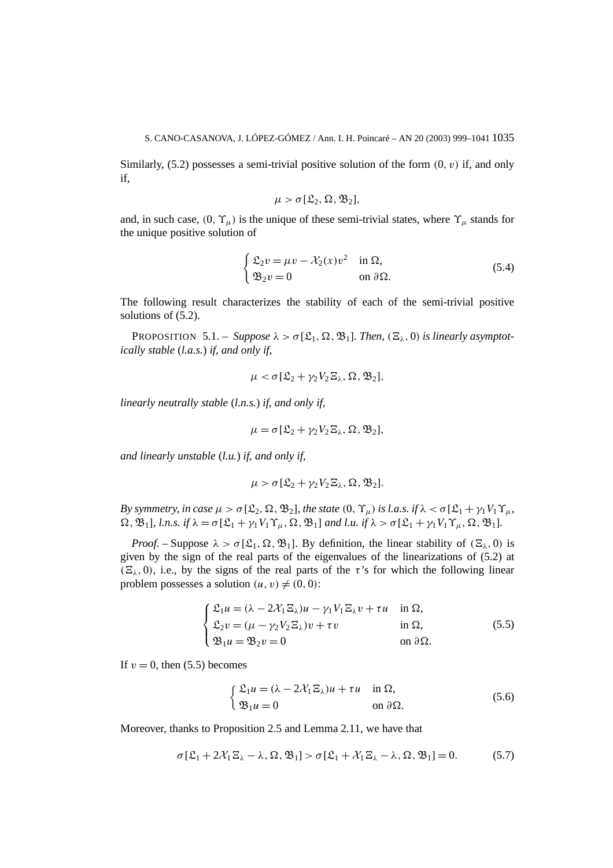Similarly, (5.2) possesses a semi-trivial positive solution of the form *(*0*,v)* if, and only if,

$$
\mu > \sigma[\mathfrak{L}_2, \Omega, \mathfrak{B}_2],
$$

and, in such case,  $(0, \Upsilon_\mu)$  is the unique of these semi-trivial states, where  $\Upsilon_\mu$  stands for the unique positive solution of

$$
\begin{cases} \mathfrak{L}_2 v = \mu v - \mathfrak{X}_2(x) v^2 & \text{in } \Omega, \\ \mathfrak{B}_2 v = 0 & \text{on } \partial \Omega. \end{cases}
$$
 (5.4)

The following result characterizes the stability of each of the semi-trivial positive solutions of (5.2).

PROPOSITION 5.1. – *Suppose*  $\lambda > \sigma[\mathfrak{L}_1, \Omega, \mathfrak{B}_1]$ *. Then,*  $(\Xi_\lambda, 0)$  *is linearly asymptotically stable* (*l.a.s.*) *if, and only if,*

$$
\mu < \sigma[\mathfrak{L}_2 + \gamma_2 V_2 \Xi_\lambda, \Omega, \mathfrak{B}_2],
$$

*linearly neutrally stable* (*l.n.s.*) *if, and only if,*

$$
\mu = \sigma [\mathfrak{L}_2 + \gamma_2 V_2 \Xi_\lambda, \Omega, \mathfrak{B}_2],
$$

*and linearly unstable* (*l.u.*) *if, and only if,*

$$
\mu > \sigma[\mathfrak{L}_2 + \gamma_2 V_2 \Xi_\lambda, \Omega, \mathfrak{B}_2].
$$

*By symmetry, in case*  $\mu > \sigma[\mathfrak{L}_2, \Omega, \mathfrak{B}_2]$ *, the state*  $(0, \Upsilon_\mu)$  *is l.a.s. if*  $\lambda < \sigma[\mathfrak{L}_1 + \gamma_1 V_1 \Upsilon_\mu]$ *,*  $\Omega$ ,  $\mathfrak{B}_1$ ]*, l.n.s. if*  $\lambda = \sigma[\mathfrak{L}_1 + \gamma_1 V_1 \Upsilon_\mu, \Omega, \mathfrak{B}_1]$  *and l.u. if*  $\lambda > \sigma[\mathfrak{L}_1 + \gamma_1 V_1 \Upsilon_\mu, \Omega, \mathfrak{B}_1]$ *.* 

*Proof.* – Suppose  $\lambda > \sigma[\mathfrak{L}_1, \Omega, \mathfrak{B}_1]$ . By definition, the linear stability of  $(\mathfrak{E}_{\lambda}, 0)$  is given by the sign of the real parts of the eigenvalues of the linearizations of (5.2) at  $(E_{\lambda}, 0)$ , i.e., by the signs of the real parts of the *τ*'s for which the following linear problem possesses a solution  $(u, v) \neq (0, 0)$ :

$$
\begin{cases}\n\mathfrak{L}_1 u = (\lambda - 2\mathcal{X}_1 \mathfrak{L}_\lambda) u - \gamma_1 V_1 \mathfrak{L}_\lambda v + \tau u & \text{in } \Omega, \\
\mathfrak{L}_2 v = (\mu - \gamma_2 V_2 \mathfrak{L}_\lambda) v + \tau v & \text{in } \Omega, \\
\mathfrak{B}_1 u = \mathfrak{B}_2 v = 0 & \text{on } \partial \Omega.\n\end{cases}
$$
\n(5.5)

If  $v = 0$ , then (5.5) becomes

$$
\begin{cases} \mathfrak{L}_1 u = (\lambda - 2\mathcal{X}_1 \Xi_\lambda) u + \tau u & \text{in } \Omega, \\ \mathfrak{B}_1 u = 0 & \text{on } \partial \Omega. \end{cases}
$$
 (5.6)

Moreover, thanks to Proposition 2.5 and Lemma 2.11, we have that

$$
\sigma[\mathfrak{L}_1 + 2\mathfrak{X}_1 \mathfrak{L}_\lambda - \lambda, \Omega, \mathfrak{B}_1] > \sigma[\mathfrak{L}_1 + \mathfrak{X}_1 \mathfrak{L}_\lambda - \lambda, \Omega, \mathfrak{B}_1] = 0. \tag{5.7}
$$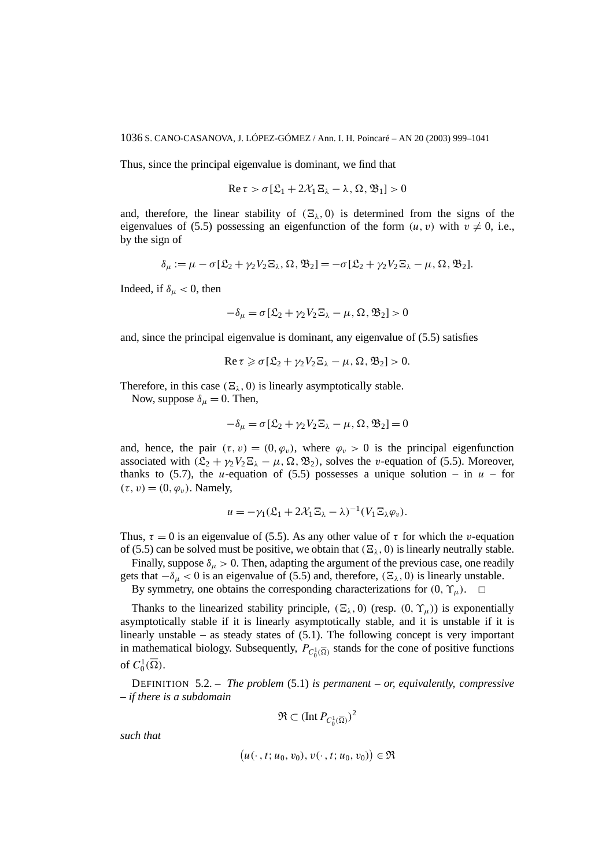Thus, since the principal eigenvalue is dominant, we find that

$$
\operatorname{Re} \tau > \sigma [\mathfrak{L}_1 + 2\mathcal{X}_1 \Xi_\lambda - \lambda, \Omega, \mathfrak{B}_1] > 0
$$

and, therefore, the linear stability of  $(\Xi_{\lambda}, 0)$  is determined from the signs of the eigenvalues of (5.5) possessing an eigenfunction of the form  $(u, v)$  with  $v \neq 0$ , i.e., by the sign of

$$
\delta_{\mu} := \mu - \sigma [\mathfrak{L}_2 + \gamma_2 V_2 \mathfrak{L}_{\lambda}, \Omega, \mathfrak{B}_2] = -\sigma [\mathfrak{L}_2 + \gamma_2 V_2 \mathfrak{L}_{\lambda} - \mu, \Omega, \mathfrak{B}_2].
$$

Indeed, if  $\delta_{\mu} < 0$ , then

$$
-\delta_{\mu} = \sigma [\mathfrak{L}_2 + \gamma_2 V_2 \mathfrak{L}_{\lambda} - \mu, \Omega, \mathfrak{B}_2] > 0
$$

and, since the principal eigenvalue is dominant, any eigenvalue of (5.5) satisfies

$$
\operatorname{Re} \tau \geq \sigma [\mathfrak{L}_2 + \gamma_2 V_2 \Xi_\lambda - \mu, \Omega, \mathfrak{B}_2] > 0.
$$

Therefore, in this case  $(\Xi_{\lambda}, 0)$  is linearly asymptotically stable.

Now, suppose  $\delta_{\mu} = 0$ . Then,

$$
-\delta_{\mu} = \sigma [\mathfrak{L}_2 + \gamma_2 V_2 \mathfrak{L}_{\lambda} - \mu, \Omega, \mathfrak{B}_2] = 0
$$

and, hence, the pair  $(\tau, v) = (0, \varphi_v)$ , where  $\varphi_v > 0$  is the principal eigenfunction associated with  $(\mathfrak{L}_2 + \gamma_2 V_2 \mathfrak{L}_\lambda - \mu, \Omega, \mathfrak{B}_2)$ , solves the *v*-equation of (5.5). Moreover, thanks to (5.7), the *u*-equation of (5.5) possesses a unique solution – in  $u$  – for  $(\tau, v) = (0, \varphi_v)$ . Namely,

$$
u = -\gamma_1(\mathfrak{L}_1 + 2\mathcal{X}_1 \mathfrak{L}_\lambda - \lambda)^{-1} (V_1 \mathfrak{L}_\lambda \varphi_v).
$$

Thus,  $\tau = 0$  is an eigenvalue of (5.5). As any other value of  $\tau$  for which the *v*-equation of (5.5) can be solved must be positive, we obtain that  $(E_{\lambda}, 0)$  is linearly neutrally stable.

Finally, suppose  $\delta_{\mu} > 0$ . Then, adapting the argument of the previous case, one readily gets that  $-\delta_{\mu} < 0$  is an eigenvalue of (5.5) and, therefore,  $(\Xi_{\lambda}, 0)$  is linearly unstable.

By symmetry, one obtains the corresponding characterizations for  $(0, \Upsilon_\mu)$ .  $\Box$ 

Thanks to the linearized stability principle,  $(\Xi_{\lambda}, 0)$  (resp.  $(0, \Upsilon_{\mu})$ ) is exponentially asymptotically stable if it is linearly asymptotically stable, and it is unstable if it is linearly unstable – as steady states of (5.1). The following concept is very important in mathematical biology. Subsequently,  $P_{C_0^1(\overline{\Omega})}$  stands for the cone of positive functions of  $C_0^1(\overline{\Omega})$ .

DEFINITION 5.2. – *The problem* (5.1) *is permanent – or, equivalently, compressive – if there is a subdomain*

$$
\mathfrak{R} \subset (\operatorname{Int} P_{C_0^1(\overline{\Omega})})^2
$$

*such that*

$$
(u(\cdot,t;u_0,v_0),v(\cdot,t;u_0,v_0))\in\mathfrak{R}
$$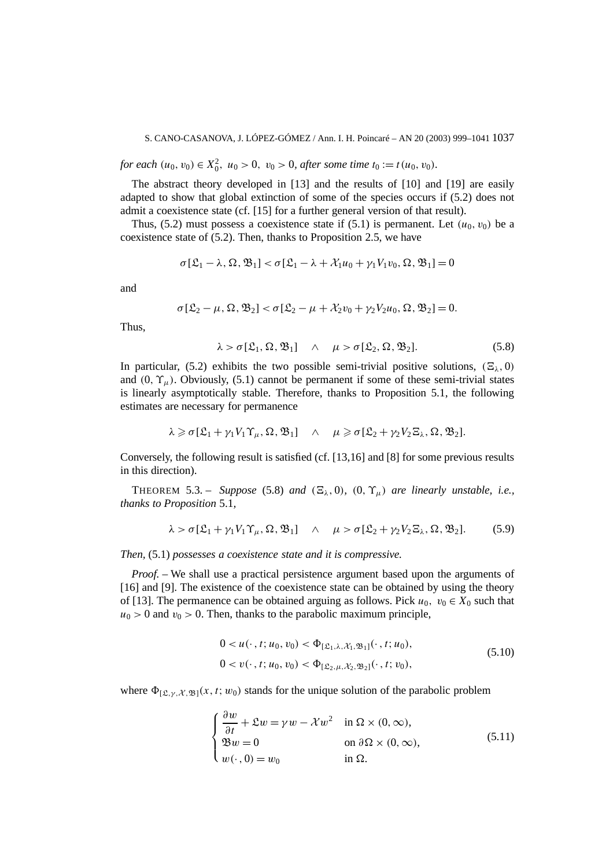*for each*  $(u_0, v_0) \in X_0^2$ ,  $u_0 > 0$ ,  $v_0 > 0$ , after some time  $t_0 := t(u_0, v_0)$ .

The abstract theory developed in [13] and the results of [10] and [19] are easily adapted to show that global extinction of some of the species occurs if (5.2) does not admit a coexistence state (cf. [15] for a further general version of that result).

Thus, (5.2) must possess a coexistence state if (5.1) is permanent. Let  $(u_0, v_0)$  be a coexistence state of (5.2). Then, thanks to Proposition 2.5, we have

$$
\sigma[\mathfrak{L}_1-\lambda,\Omega,\mathfrak{B}_1]<\sigma[\mathfrak{L}_1-\lambda+\mathcal{X}_1u_0+\gamma_1V_1v_0,\Omega,\mathfrak{B}_1]=0
$$

and

$$
\sigma[\mathfrak{L}_2-\mu,\Omega,\mathfrak{B}_2]<\sigma[\mathfrak{L}_2-\mu+\mathfrak{X}_2v_0+\gamma_2V_2u_0,\Omega,\mathfrak{B}_2]=0.
$$

Thus,

$$
\lambda > \sigma[\mathfrak{L}_1, \Omega, \mathfrak{B}_1] \quad \wedge \quad \mu > \sigma[\mathfrak{L}_2, \Omega, \mathfrak{B}_2]. \tag{5.8}
$$

In particular, (5.2) exhibits the two possible semi-trivial positive solutions,  $(E_{\lambda}, 0)$ and  $(0, \Upsilon_u)$ . Obviously, (5.1) cannot be permanent if some of these semi-trivial states is linearly asymptotically stable. Therefore, thanks to Proposition 5.1, the following estimates are necessary for permanence

$$
\lambda \geq \sigma[\mathfrak{L}_1 + \gamma_1 V_1 \Upsilon_\mu, \Omega, \mathfrak{B}_1] \quad \wedge \quad \mu \geq \sigma[\mathfrak{L}_2 + \gamma_2 V_2 \Xi_\lambda, \Omega, \mathfrak{B}_2].
$$

Conversely, the following result is satisfied (cf. [13,16] and [8] for some previous results in this direction).

THEOREM 5.3. – *Suppose* (5.8) *and*  $(E_{\lambda}, 0)$ ,  $(0, \Upsilon_{\mu})$  *are linearly unstable, i.e., thanks to Proposition* 5.1*,*

$$
\lambda > \sigma[\mathfrak{L}_1 + \gamma_1 V_1 \Upsilon_\mu, \Omega, \mathfrak{B}_1] \quad \wedge \quad \mu > \sigma[\mathfrak{L}_2 + \gamma_2 V_2 \Xi_\lambda, \Omega, \mathfrak{B}_2]. \tag{5.9}
$$

*Then,* (5.1) *possesses a coexistence state and it is compressive.*

*Proof. –* We shall use a practical persistence argument based upon the arguments of [16] and [9]. The existence of the coexistence state can be obtained by using the theory of [13]. The permanence can be obtained arguing as follows. Pick  $u_0$ ,  $v_0 \in X_0$  such that  $u_0 > 0$  and  $v_0 > 0$ . Then, thanks to the parabolic maximum principle,

$$
0 < u(\cdot, t; u_0, v_0) < \Phi_{[\mathfrak{L}_1, \lambda, \mathcal{X}_1, \mathfrak{B}_1]}(\cdot, t; u_0),
$$
  
0 < v(\cdot, t; u\_0, v\_0) < \Phi\_{[\mathfrak{L}\_2, \mu, \mathcal{X}\_2, \mathfrak{B}\_2]}(\cdot, t; v\_0), (5.10)

where  $\Phi_{[\mathfrak{L},\gamma,\mathcal{X},\mathfrak{B}]}(x, t; w_0)$  stands for the unique solution of the parabolic problem

$$
\begin{cases}\n\frac{\partial w}{\partial t} + \mathfrak{L}w = \gamma w - \mathcal{X}w^2 & \text{in } \Omega \times (0, \infty), \\
\mathfrak{B}w = 0 & \text{on } \partial\Omega \times (0, \infty), \\
w(\cdot, 0) = w_0 & \text{in } \Omega.\n\end{cases}
$$
\n(5.11)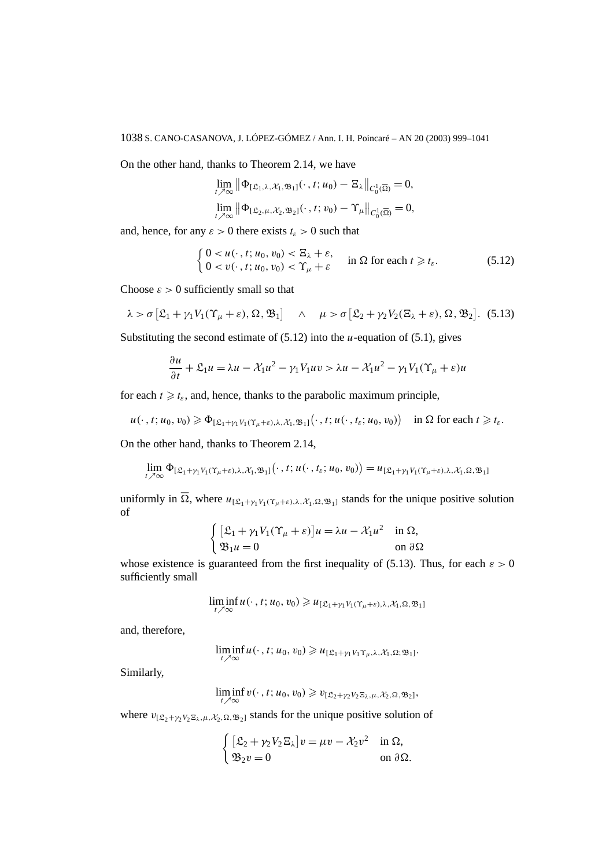On the other hand, thanks to Theorem 2.14, we have

$$
\lim_{t \nearrow \infty} \|\Phi_{[\mathfrak{L}_1, \lambda, \mathcal{X}_1, \mathfrak{B}_1]}(\cdot, t; u_0) - \mathbb{E}_{\lambda} \|_{C_0^1(\overline{\Omega})} = 0,
$$
  

$$
\lim_{t \nearrow \infty} \|\Phi_{[\mathfrak{L}_2, \mu, \mathcal{X}_2, \mathfrak{B}_2]}(\cdot, t; v_0) - \Upsilon_{\mu} \|_{C_0^1(\overline{\Omega})} = 0,
$$

and, hence, for any  $\varepsilon > 0$  there exists  $t_{\varepsilon} > 0$  such that

$$
\begin{cases} 0 < u(\cdot, t; u_0, v_0) < \Xi_{\lambda} + \varepsilon, \\ 0 < v(\cdot, t; u_0, v_0) < \Upsilon_{\mu} + \varepsilon \end{cases}
$$
 in  $\Omega$  for each  $t \geq t_{\varepsilon}$ . (5.12)

Choose  $\varepsilon > 0$  sufficiently small so that

$$
\lambda > \sigma \left[ \mathfrak{L}_1 + \gamma_1 V_1 (\Upsilon_\mu + \varepsilon), \Omega, \mathfrak{B}_1 \right] \quad \wedge \quad \mu > \sigma \left[ \mathfrak{L}_2 + \gamma_2 V_2 (\Xi_\lambda + \varepsilon), \Omega, \mathfrak{B}_2 \right]. \tag{5.13}
$$

Substituting the second estimate of (5.12) into the *u*-equation of (5.1), gives

$$
\frac{\partial u}{\partial t} + \mathfrak{L}_1 u = \lambda u - \mathcal{X}_1 u^2 - \gamma_1 V_1 u v > \lambda u - \mathcal{X}_1 u^2 - \gamma_1 V_1 (\Upsilon_\mu + \varepsilon) u
$$

for each  $t \geq t_{\varepsilon}$ , and, hence, thanks to the parabolic maximum principle,

$$
u(\cdot,t;u_0,v_0)\geq \Phi_{[\mathfrak{L}_1+\gamma_1 V_1(\gamma_\mu+\varepsilon),\lambda,\mathcal{X}_1,\mathfrak{B}_1]}(\cdot,t;u(\cdot,t_\varepsilon;u_0,v_0)) \quad \text{in } \Omega \text{ for each } t\geq t_\varepsilon.
$$

On the other hand, thanks to Theorem 2.14,

$$
\lim_{t \nearrow \infty} \Phi_{[\mathfrak{L}_1 + \gamma_1 V_1(\Upsilon_\mu + \varepsilon), \lambda, \Upsilon_1, \mathfrak{B}_1]}(\cdot, t; u(\cdot, t_\varepsilon; u_0, v_0)) = u_{[\mathfrak{L}_1 + \gamma_1 V_1(\Upsilon_\mu + \varepsilon), \lambda, \Upsilon_1, \Omega, \mathfrak{B}_1]}
$$

uniformly in  $\overline{\Omega}$ , where  $u_{[\mathfrak{L}_1 + \gamma_1 V_1(\gamma_\mu + \varepsilon), \lambda, \mathcal{X}_1, \Omega, \mathfrak{B}_1]}$  stands for the unique positive solution of

$$
\begin{cases} [\mathfrak{L}_1 + \gamma_1 V_1 (\Upsilon_\mu + \varepsilon)] u = \lambda u - \mathcal{X}_1 u^2 & \text{in } \Omega, \\ \mathfrak{B}_1 u = 0 & \text{on } \partial \Omega \end{cases}
$$

whose existence is guaranteed from the first inequality of (5.13). Thus, for each  $\varepsilon > 0$ sufficiently small

$$
\liminf_{t \nearrow \infty} u(\cdot, t; u_0, v_0) \geq u_{[\mathfrak{L}_1 + \gamma_1 V_1(\Upsilon_\mu + \varepsilon), \lambda, \chi_1, \Omega, \mathfrak{B}_1]}
$$

and, therefore,

$$
\liminf_{t \nearrow \infty} u(\cdot, t; u_0, v_0) \geq u_{[\mathfrak{L}_1 + \gamma_1 V_1 \gamma_\mu, \lambda, \mathcal{X}_1, \Omega; \mathfrak{B}_1]}.
$$

Similarly,

$$
\liminf_{t \nearrow \infty} v(\cdot, t; u_0, v_0) \geq v_{[\mathfrak{L}_2 + \gamma_2 V_2 \Xi_\lambda, \mu, \mathcal{X}_2, \Omega, \mathfrak{B}_2]},
$$

where  $v_{[\mathfrak{L}_2 + \gamma_2 V_2 \mathfrak{L}_1, \mu, \mathcal{X}_2, \Omega, \mathfrak{B}_2]}$  stands for the unique positive solution of

$$
\begin{cases} [\mathfrak{L}_2 + \gamma_2 V_2 \mathfrak{L}_\lambda] v = \mu v - \mathcal{X}_2 v^2 & \text{in } \Omega, \\ \mathfrak{B}_2 v = 0 & \text{on } \partial \Omega. \end{cases}
$$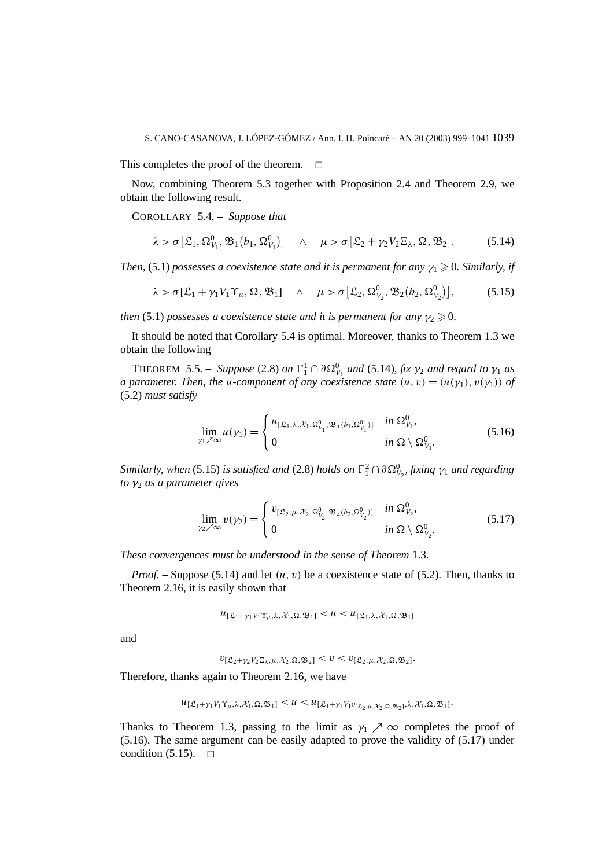This completes the proof of the theorem.  $\Box$ 

Now, combining Theorem 5.3 together with Proposition 2.4 and Theorem 2.9, we obtain the following result.

COROLLARY 5.4. – *Suppose that*

$$
\lambda > \sigma \left[ \mathfrak{L}_1, \Omega_{V_1}^0, \mathfrak{B}_1(b_1, \Omega_{V_1}^0) \right] \quad \wedge \quad \mu > \sigma \left[ \mathfrak{L}_2 + \gamma_2 V_2 \Xi_\lambda, \Omega, \mathfrak{B}_2 \right]. \tag{5.14}
$$

*Then,* (5.1) *possesses a coexistence state and it is permanent for any*  $\gamma_1 \geq 0$ *. Similarly, if* 

$$
\lambda > \sigma \left[ \mathfrak{L}_1 + \gamma_1 V_1 \Upsilon_\mu, \Omega, \mathfrak{B}_1 \right] \quad \wedge \quad \mu > \sigma \left[ \mathfrak{L}_2, \Omega_{V_2}^0, \mathfrak{B}_2(b_2, \Omega_{V_2}^0) \right], \tag{5.15}
$$

*then* (5.1) *possesses a coexistence state and it is permanent for any*  $\gamma_2 \geq 0$ *.* 

It should be noted that Corollary 5.4 is optimal. Moreover, thanks to Theorem 1.3 we obtain the following

THEOREM 5.5. – *Suppose* (2.8) *on*  $\Gamma_1^1 \cap \partial \Omega_{V_1}^0$  *and* (5.14)*, fix*  $\gamma_2$  *and regard to*  $\gamma_1$  *as a parameter. Then, the u-component of any coexistence state*  $(u, v) = (u(\gamma_1), v(\gamma_1))$  *of* (5.2) *must satisfy*

$$
\lim_{\gamma_1 \nearrow \infty} u(\gamma_1) = \begin{cases} u_{[\mathfrak{L}_1, \lambda, \mathcal{X}_1, \Omega_{V_1}^0, \mathfrak{B}_1(b_1, \Omega_{V_1}^0)]} & \text{in } \Omega_{V_1}^0, \\ 0 & \text{in } \Omega \setminus \Omega_{V_1}^0. \end{cases}
$$
(5.16)

*Similarly, when* (5.15) *is satisfied and* (2.8) *holds on*  $\Gamma_1^2 \cap \partial \Omega_{V_2}^0$ , *fixing*  $\gamma_1$  *and regarding to γ*<sup>2</sup> *as a parameter gives*

$$
\lim_{\gamma_2 \nearrow \infty} v(\gamma_2) = \begin{cases} v_{[\mathfrak{L}_2,\mu,\mathcal{X}_2,\Omega_{V_2}^0,\mathfrak{B}_2(b_2,\Omega_{V_2}^0)]} & \text{in } \Omega_{V_2}^0, \\ 0 & \text{in } \Omega \setminus \Omega_{V_2}^0. \end{cases}
$$
(5.17)

*These convergences must be understood in the sense of Theorem* 1.3*.*

*Proof. –* Suppose (5.14) and let *(u, v)* be a coexistence state of (5.2). Then, thanks to Theorem 2.16, it is easily shown that

$$
u_{[\mathfrak{L}_1+\gamma_1V_1\Upsilon_\mu,\lambda,\mathcal{X}_1,\Omega,\mathfrak{B}_1]} < u < u_{[\mathfrak{L}_1,\lambda,\mathcal{X}_1,\Omega,\mathfrak{B}_1]}
$$

and

 $v_{[\mathfrak{L}_2 + \gamma_2 V_2 \mathfrak{L}_\lambda, \mu, \mathcal{X}_2, \Omega, \mathfrak{B}_2]} < v < v_{[\mathfrak{L}_2, \mu, \mathcal{X}_2, \Omega, \mathfrak{B}_2]}$ 

Therefore, thanks again to Theorem 2.16, we have

$$
u_{[\mathfrak{L}_1+\gamma_1V_1\Upsilon_\mu,\lambda,\mathcal{X}_1,\Omega,\mathfrak{B}_1]}
$$

Thanks to Theorem 1.3, passing to the limit as  $\gamma_1 \nearrow \infty$  completes the proof of (5.16). The same argument can be easily adapted to prove the validity of (5.17) under condition (5.15).  $\Box$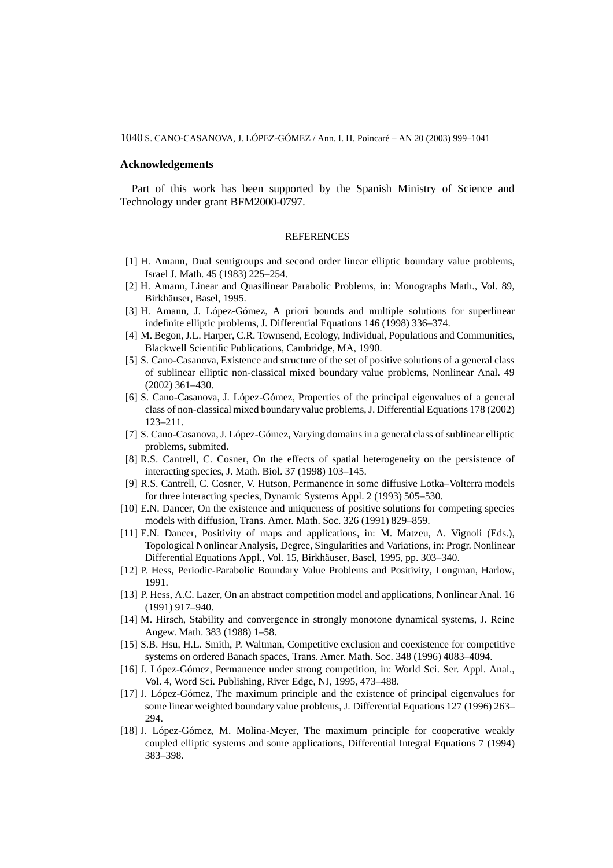#### **Acknowledgements**

Part of this work has been supported by the Spanish Ministry of Science and Technology under grant BFM2000-0797.

#### **REFERENCES**

- [1] H. Amann, Dual semigroups and second order linear elliptic boundary value problems, Israel J. Math. 45 (1983) 225–254.
- [2] H. Amann, Linear and Quasilinear Parabolic Problems, in: Monographs Math., Vol. 89, Birkhäuser, Basel, 1995.
- [3] H. Amann, J. López-Gómez, A priori bounds and multiple solutions for superlinear indefinite elliptic problems, J. Differential Equations 146 (1998) 336–374.
- [4] M. Begon, J.L. Harper, C.R. Townsend, Ecology, Individual, Populations and Communities, Blackwell Scientific Publications, Cambridge, MA, 1990.
- [5] S. Cano-Casanova, Existence and structure of the set of positive solutions of a general class of sublinear elliptic non-classical mixed boundary value problems, Nonlinear Anal. 49 (2002) 361–430.
- [6] S. Cano-Casanova, J. López-Gómez, Properties of the principal eigenvalues of a general class of non-classical mixed boundary value problems, J. Differential Equations 178 (2002) 123–211.
- [7] S. Cano-Casanova, J. López-Gómez, Varying domains in a general class of sublinear elliptic problems, submited.
- [8] R.S. Cantrell, C. Cosner, On the effects of spatial heterogeneity on the persistence of interacting species, J. Math. Biol. 37 (1998) 103–145.
- [9] R.S. Cantrell, C. Cosner, V. Hutson, Permanence in some diffusive Lotka–Volterra models for three interacting species, Dynamic Systems Appl. 2 (1993) 505–530.
- [10] E.N. Dancer, On the existence and uniqueness of positive solutions for competing species models with diffusion, Trans. Amer. Math. Soc. 326 (1991) 829–859.
- [11] E.N. Dancer, Positivity of maps and applications, in: M. Matzeu, A. Vignoli (Eds.), Topological Nonlinear Analysis, Degree, Singularities and Variations, in: Progr. Nonlinear Differential Equations Appl., Vol. 15, Birkhäuser, Basel, 1995, pp. 303–340.
- [12] P. Hess, Periodic-Parabolic Boundary Value Problems and Positivity, Longman, Harlow, 1991.
- [13] P. Hess, A.C. Lazer, On an abstract competition model and applications, Nonlinear Anal. 16 (1991) 917–940.
- [14] M. Hirsch, Stability and convergence in strongly monotone dynamical systems, J. Reine Angew. Math. 383 (1988) 1–58.
- [15] S.B. Hsu, H.L. Smith, P. Waltman, Competitive exclusion and coexistence for competitive systems on ordered Banach spaces, Trans. Amer. Math. Soc. 348 (1996) 4083–4094.
- [16] J. López-Gómez, Permanence under strong competition, in: World Sci. Ser. Appl. Anal., Vol. 4, Word Sci. Publishing, River Edge, NJ, 1995, 473–488.
- [17] J. López-Gómez, The maximum principle and the existence of principal eigenvalues for some linear weighted boundary value problems, J. Differential Equations 127 (1996) 263– 294.
- [18] J. López-Gómez, M. Molina-Meyer, The maximum principle for cooperative weakly coupled elliptic systems and some applications, Differential Integral Equations 7 (1994) 383–398.